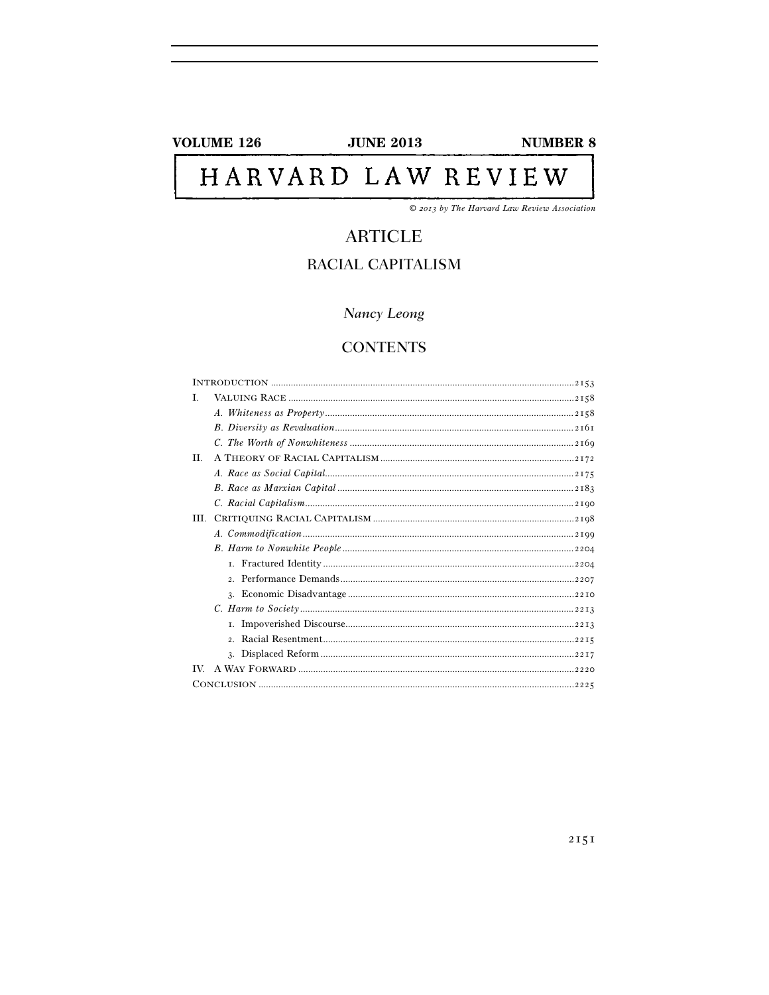**VOLUME 126** 

**JUNE 2013** 

**NUMBER 8** 

# HARVARD LAW REVIEW

© 2013 by The Harvard Law Review Association

# **ARTICLE** RACIAL CAPITALISM

# Nancy Leong

# **CONTENTS**

| Ī.  |  |
|-----|--|
|     |  |
|     |  |
|     |  |
| H.  |  |
|     |  |
|     |  |
|     |  |
| HL. |  |
|     |  |
|     |  |
|     |  |
|     |  |
|     |  |
|     |  |
|     |  |
|     |  |
|     |  |
|     |  |
|     |  |
|     |  |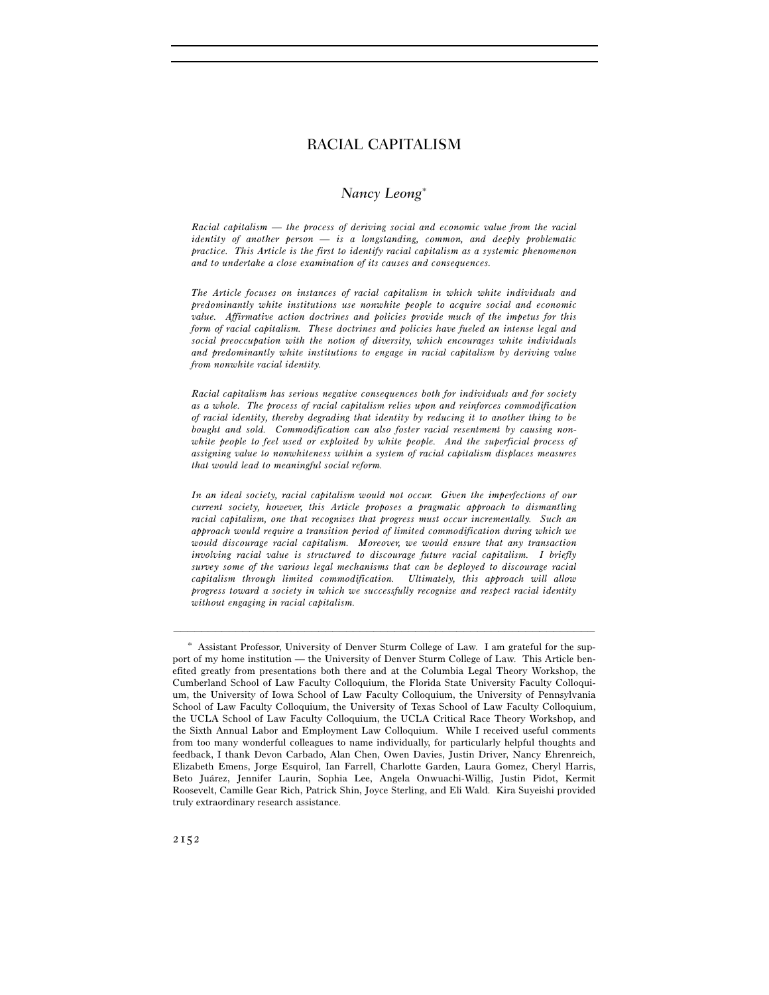# *Nancy Leong*<sup>∗</sup>

*Racial capitalism — the process of deriving social and economic value from the racial identity of another person — is a longstanding, common, and deeply problematic practice. This Article is the first to identify racial capitalism as a systemic phenomenon and to undertake a close examination of its causes and consequences.* 

*The Article focuses on instances of racial capitalism in which white individuals and predominantly white institutions use nonwhite people to acquire social and economic value. Affirmative action doctrines and policies provide much of the impetus for this form of racial capitalism. These doctrines and policies have fueled an intense legal and social preoccupation with the notion of diversity, which encourages white individuals and predominantly white institutions to engage in racial capitalism by deriving value from nonwhite racial identity.* 

*Racial capitalism has serious negative consequences both for individuals and for society as a whole. The process of racial capitalism relies upon and reinforces commodification of racial identity, thereby degrading that identity by reducing it to another thing to be bought and sold. Commodification can also foster racial resentment by causing nonwhite people to feel used or exploited by white people. And the superficial process of assigning value to nonwhiteness within a system of racial capitalism displaces measures that would lead to meaningful social reform.* 

*In an ideal society, racial capitalism would not occur. Given the imperfections of our current society, however, this Article proposes a pragmatic approach to dismantling racial capitalism, one that recognizes that progress must occur incrementally. Such an approach would require a transition period of limited commodification during which we would discourage racial capitalism. Moreover, we would ensure that any transaction involving racial value is structured to discourage future racial capitalism. I briefly survey some of the various legal mechanisms that can be deployed to discourage racial capitalism through limited commodification. Ultimately, this approach will allow progress toward a society in which we successfully recognize and respect racial identity without engaging in racial capitalism.* 

<sup>∗</sup> Assistant Professor, University of Denver Sturm College of Law. I am grateful for the support of my home institution — the University of Denver Sturm College of Law. This Article benefited greatly from presentations both there and at the Columbia Legal Theory Workshop, the Cumberland School of Law Faculty Colloquium, the Florida State University Faculty Colloquium, the University of Iowa School of Law Faculty Colloquium, the University of Pennsylvania School of Law Faculty Colloquium, the University of Texas School of Law Faculty Colloquium, the UCLA School of Law Faculty Colloquium, the UCLA Critical Race Theory Workshop, and the Sixth Annual Labor and Employment Law Colloquium. While I received useful comments from too many wonderful colleagues to name individually, for particularly helpful thoughts and feedback, I thank Devon Carbado, Alan Chen, Owen Davies, Justin Driver, Nancy Ehrenreich, Elizabeth Emens, Jorge Esquirol, Ian Farrell, Charlotte Garden, Laura Gomez, Cheryl Harris, Beto Juárez, Jennifer Laurin, Sophia Lee, Angela Onwuachi-Willig, Justin Pidot, Kermit Roosevelt, Camille Gear Rich, Patrick Shin, Joyce Sterling, and Eli Wald. Kira Suyeishi provided truly extraordinary research assistance.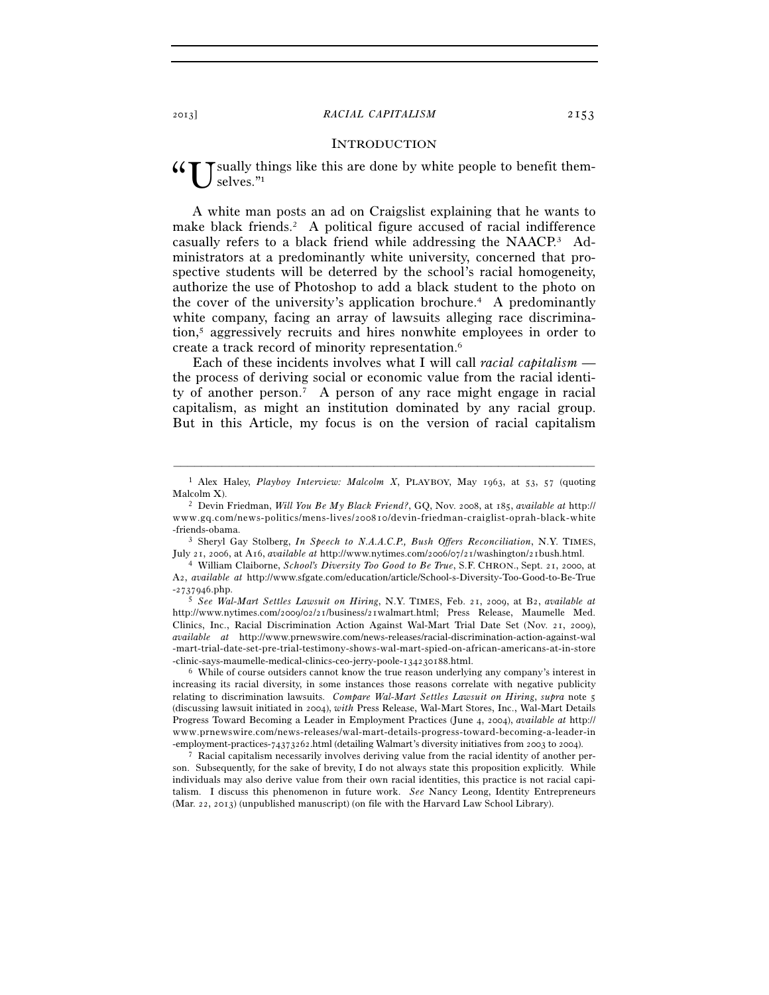# **INTRODUCTION**

sually things like this are done by white people to benefit themselves."1 "U

A white man posts an ad on Craigslist explaining that he wants to make black friends.<sup>2</sup> A political figure accused of racial indifference casually refers to a black friend while addressing the NAACP.3 Administrators at a predominantly white university, concerned that prospective students will be deterred by the school's racial homogeneity, authorize the use of Photoshop to add a black student to the photo on the cover of the university's application brochure.4 A predominantly white company, facing an array of lawsuits alleging race discrimination,5 aggressively recruits and hires nonwhite employees in order to create a track record of minority representation.6

Each of these incidents involves what I will call *racial capitalism* the process of deriving social or economic value from the racial identity of another person.7 A person of any race might engage in racial capitalism, as might an institution dominated by any racial group. But in this Article, my focus is on the version of racial capitalism

<sup>–––––––––––––––––––––––––––––––––––––––––––––––––––––––––––––</sup> 1 Alex Haley, *Playboy Interview: Malcolm X*, PLAYBOY, May 1963, at 53, 57 (quoting Malcolm X).<br><sup>2</sup> Devin Friedman, *Will You Be My Black Friend?*, GQ, Nov. 2008, at 185, *available at* http://

www.gq.com/news-politics/mens-lives/200810/devin-friedman-craiglist-oprah-black-white -friends-obama. 3 Sheryl Gay Stolberg, *In Speech to N.A.A.C.P., Bush Offers Reconciliation*, N.Y. TIMES,

July 21, 2006, at A16, *available at* http://www.nytimes.com/2006/07/21/washington/21bush.html. 4 William Claiborne, *School's Diversity Too Good to Be True*, S.F. CHRON., Sept. 21, 2000, at

A2, *available at* http://www.sfgate.com/education/article/School-s-Diversity-Too-Good-to-Be-True

<sup>-</sup>2737946.php. 5 *See Wal-Mart Settles Lawsuit on Hiring*, N.Y. TIMES, Feb. 21, 2009, at B2, *available at* http://www.nytimes.com/2009/02/21/business/21walmart.html; Press Release, Maumelle Med. Clinics, Inc., Racial Discrimination Action Against Wal-Mart Trial Date Set (Nov. 21, 2009), *available at* http://www.prnewswire.com/news-releases/racial-discrimination-action-against-wal -mart-trial-date-set-pre-trial-testimony-shows-wal-mart-spied-on-african-americans-at-in-store<br>-clinic-says-maumelle-medical-clinics-ceo-jerry-poole-134230188.html.

 $\delta$  While of course outsiders cannot know the true reason underlying any company's interest in increasing its racial diversity, in some instances those reasons correlate with negative publicity relating to discrimination lawsuits. *Compare Wal-Mart Settles Lawsuit on Hiring*, *supra* note 5 (discussing lawsuit initiated in 2004), *with* Press Release, Wal-Mart Stores, Inc., Wal-Mart Details Progress Toward Becoming a Leader in Employment Practices (June 4, 2004), *available at* http:// www.prnewswire.com/news-releases/wal-mart-details-progress-toward-becoming-a-leader-in -employment-practices-74373262.html (detailing Walmart's diversity initiatives from 2003 to 2004).

<sup>7</sup> Racial capitalism necessarily involves deriving value from the racial identity of another person. Subsequently, for the sake of brevity, I do not always state this proposition explicitly. While individuals may also derive value from their own racial identities, this practice is not racial capitalism. I discuss this phenomenon in future work. *See* Nancy Leong, Identity Entrepreneurs (Mar. 22, 2013) (unpublished manuscript) (on file with the Harvard Law School Library).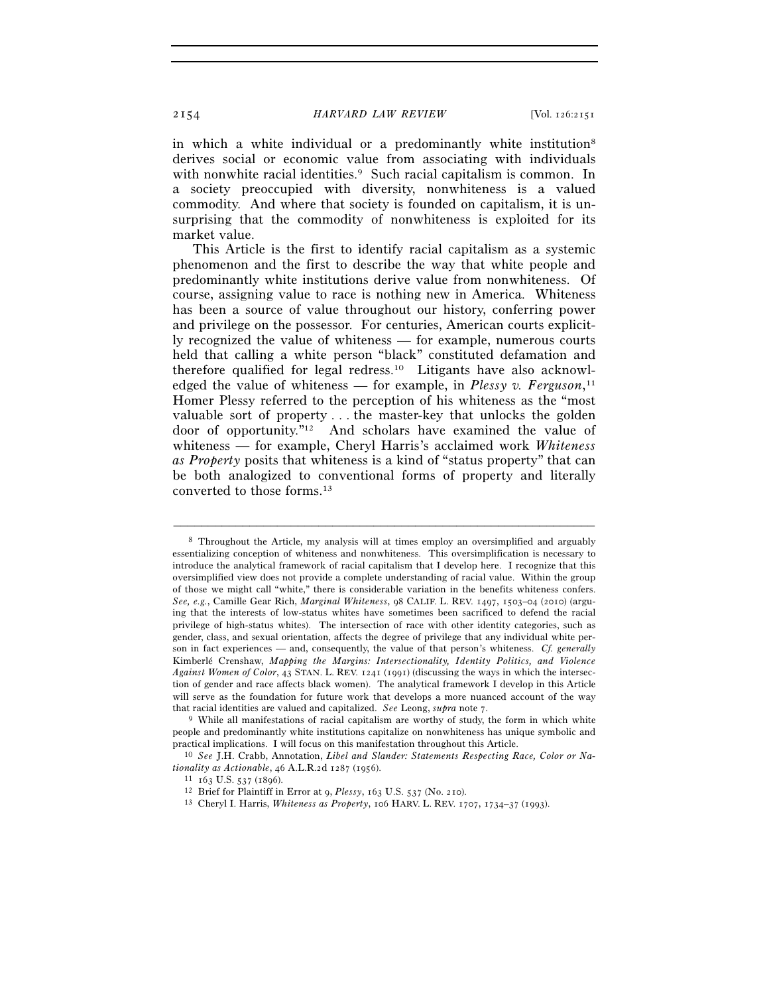in which a white individual or a predominantly white institution<sup>8</sup> derives social or economic value from associating with individuals with nonwhite racial identities.<sup>9</sup> Such racial capitalism is common. In a society preoccupied with diversity, nonwhiteness is a valued commodity. And where that society is founded on capitalism, it is unsurprising that the commodity of nonwhiteness is exploited for its market value.

This Article is the first to identify racial capitalism as a systemic phenomenon and the first to describe the way that white people and predominantly white institutions derive value from nonwhiteness. Of course, assigning value to race is nothing new in America. Whiteness has been a source of value throughout our history, conferring power and privilege on the possessor. For centuries, American courts explicitly recognized the value of whiteness — for example, numerous courts held that calling a white person "black" constituted defamation and therefore qualified for legal redress.10 Litigants have also acknowledged the value of whiteness — for example, in *Plessy v. Ferguson*, 11 Homer Plessy referred to the perception of his whiteness as the "most valuable sort of property . . . the master-key that unlocks the golden door of opportunity."12 And scholars have examined the value of whiteness — for example, Cheryl Harris's acclaimed work *Whiteness as Property* posits that whiteness is a kind of "status property" that can be both analogized to conventional forms of property and literally converted to those forms.13

<sup>8</sup> Throughout the Article, my analysis will at times employ an oversimplified and arguably essentializing conception of whiteness and nonwhiteness. This oversimplification is necessary to introduce the analytical framework of racial capitalism that I develop here. I recognize that this oversimplified view does not provide a complete understanding of racial value. Within the group of those we might call "white," there is considerable variation in the benefits whiteness confers. *See, e.g.*, Camille Gear Rich, *Marginal Whiteness*, 98 CALIF. L. REV. 1497, 1503–04 (2010) (arguing that the interests of low-status whites have sometimes been sacrificed to defend the racial privilege of high-status whites). The intersection of race with other identity categories, such as gender, class, and sexual orientation, affects the degree of privilege that any individual white person in fact experiences — and, consequently, the value of that person's whiteness. *Cf. generally* Kimberlé Crenshaw, *Mapping the Margins: Intersectionality, Identity Politics, and Violence Against Women of Color*, 43 STAN. L. REV. 1241 (1991) (discussing the ways in which the intersection of gender and race affects black women). The analytical framework I develop in this Article will serve as the foundation for future work that develops a more nuanced account of the way that racial identities are valued and capitalized. *See* Leong, *supra* note 7. 9 While all manifestations of racial capitalism are worthy of study, the form in which white

people and predominantly white institutions capitalize on nonwhiteness has unique symbolic and practical implications. I will focus on this manifestation throughout this Article.

<sup>&</sup>lt;sup>10</sup> See J.H. Crabb, Annotation, *Libel and Slander: Statements Respecting Race, Color or Na*tionality as Actionable, 46 A.L.R.2d 1287 (1956).<br>
<sup>11</sup> 163 U.S. 537 (1896).<br>
<sup>12</sup> Brief for Plaintiff in Error at 9, *Plessy*, 163 U.S. 537 (No. 210).<br>
<sup>13</sup> Cheryl I. Harris, *Whiteness as Property*, 106 HARV. L. REV. 170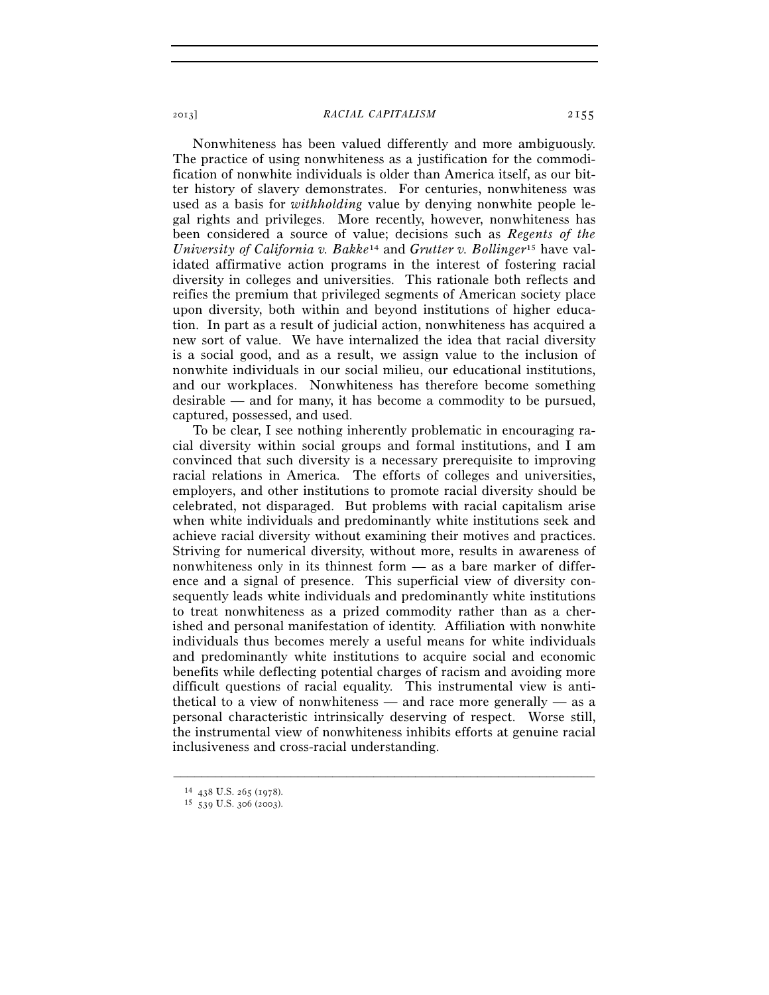Nonwhiteness has been valued differently and more ambiguously. The practice of using nonwhiteness as a justification for the commodification of nonwhite individuals is older than America itself, as our bitter history of slavery demonstrates. For centuries, nonwhiteness was used as a basis for *withholding* value by denying nonwhite people legal rights and privileges. More recently, however, nonwhiteness has been considered a source of value; decisions such as *Regents of the University of California v. Bakke*14 and *Grutter v. Bollinger*15 have validated affirmative action programs in the interest of fostering racial diversity in colleges and universities. This rationale both reflects and reifies the premium that privileged segments of American society place upon diversity, both within and beyond institutions of higher education. In part as a result of judicial action, nonwhiteness has acquired a new sort of value. We have internalized the idea that racial diversity is a social good, and as a result, we assign value to the inclusion of nonwhite individuals in our social milieu, our educational institutions, and our workplaces. Nonwhiteness has therefore become something desirable — and for many, it has become a commodity to be pursued, captured, possessed, and used.

To be clear, I see nothing inherently problematic in encouraging racial diversity within social groups and formal institutions, and I am convinced that such diversity is a necessary prerequisite to improving racial relations in America. The efforts of colleges and universities, employers, and other institutions to promote racial diversity should be celebrated, not disparaged. But problems with racial capitalism arise when white individuals and predominantly white institutions seek and achieve racial diversity without examining their motives and practices. Striving for numerical diversity, without more, results in awareness of nonwhiteness only in its thinnest form — as a bare marker of difference and a signal of presence. This superficial view of diversity consequently leads white individuals and predominantly white institutions to treat nonwhiteness as a prized commodity rather than as a cherished and personal manifestation of identity. Affiliation with nonwhite individuals thus becomes merely a useful means for white individuals and predominantly white institutions to acquire social and economic benefits while deflecting potential charges of racism and avoiding more difficult questions of racial equality. This instrumental view is antithetical to a view of nonwhiteness — and race more generally — as a personal characteristic intrinsically deserving of respect. Worse still, the instrumental view of nonwhiteness inhibits efforts at genuine racial inclusiveness and cross-racial understanding.

<sup>14</sup> <sup>438</sup> U.S. 265 (1978). 15 <sup>539</sup> U.S. 306 (2003).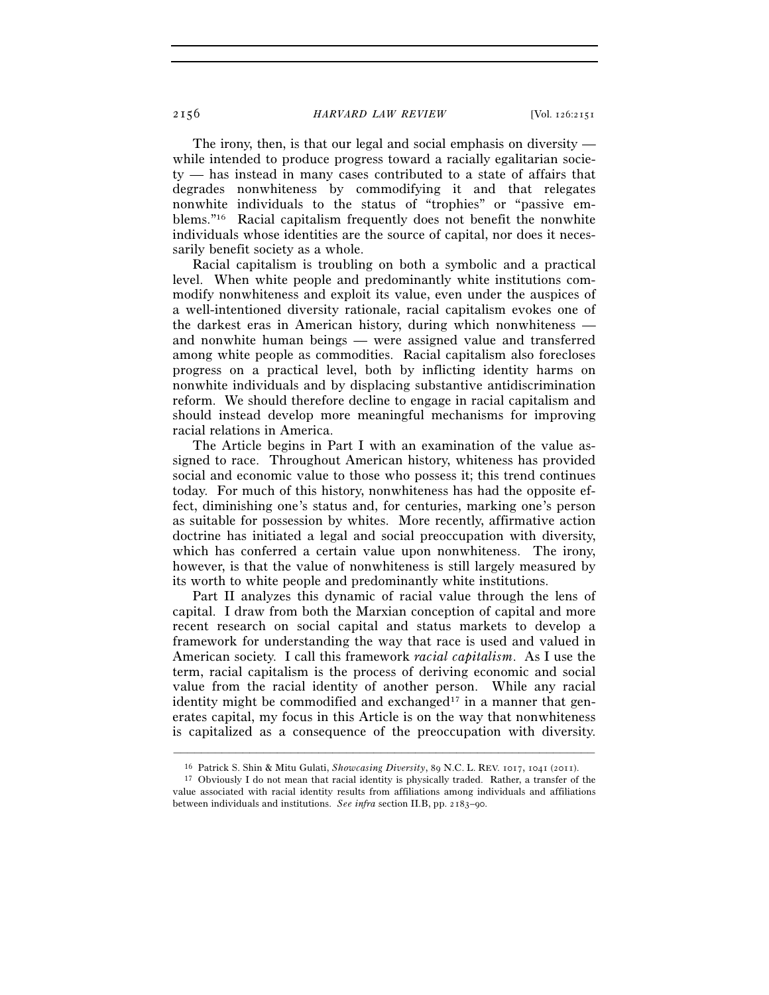The irony, then, is that our legal and social emphasis on diversity while intended to produce progress toward a racially egalitarian society — has instead in many cases contributed to a state of affairs that degrades nonwhiteness by commodifying it and that relegates nonwhite individuals to the status of "trophies" or "passive emblems."16 Racial capitalism frequently does not benefit the nonwhite individuals whose identities are the source of capital, nor does it necessarily benefit society as a whole.

Racial capitalism is troubling on both a symbolic and a practical level. When white people and predominantly white institutions commodify nonwhiteness and exploit its value, even under the auspices of a well-intentioned diversity rationale, racial capitalism evokes one of the darkest eras in American history, during which nonwhiteness and nonwhite human beings — were assigned value and transferred among white people as commodities. Racial capitalism also forecloses progress on a practical level, both by inflicting identity harms on nonwhite individuals and by displacing substantive antidiscrimination reform. We should therefore decline to engage in racial capitalism and should instead develop more meaningful mechanisms for improving racial relations in America.

The Article begins in Part I with an examination of the value assigned to race. Throughout American history, whiteness has provided social and economic value to those who possess it; this trend continues today. For much of this history, nonwhiteness has had the opposite effect, diminishing one's status and, for centuries, marking one's person as suitable for possession by whites. More recently, affirmative action doctrine has initiated a legal and social preoccupation with diversity, which has conferred a certain value upon nonwhiteness. The irony, however, is that the value of nonwhiteness is still largely measured by its worth to white people and predominantly white institutions.

Part II analyzes this dynamic of racial value through the lens of capital. I draw from both the Marxian conception of capital and more recent research on social capital and status markets to develop a framework for understanding the way that race is used and valued in American society. I call this framework *racial capitalism*. As I use the term, racial capitalism is the process of deriving economic and social value from the racial identity of another person. While any racial identity might be commodified and exchanged<sup>17</sup> in a manner that generates capital, my focus in this Article is on the way that nonwhiteness is capitalized as a consequence of the preoccupation with diversity.

<sup>–––––––––––––––––––––––––––––––––––––––––––––––––––––––––––––</sup> 16 Patrick S. Shin & Mitu Gulati, *Showcasing Diversity*, 89 N.C. L. REV. 1017, 1041 (2011). 17 Obviously I do not mean that racial identity is physically traded. Rather, a transfer of the

value associated with racial identity results from affiliations among individuals and affiliations between individuals and institutions. *See infra* section II.B, pp. 2183–90.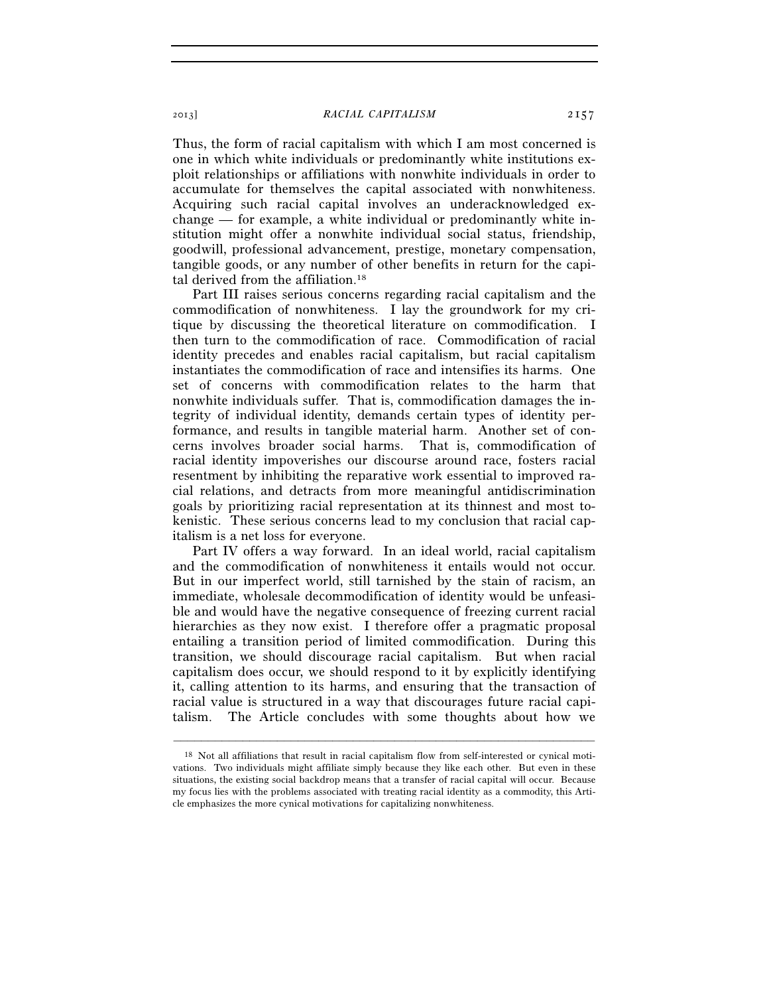Thus, the form of racial capitalism with which I am most concerned is one in which white individuals or predominantly white institutions exploit relationships or affiliations with nonwhite individuals in order to accumulate for themselves the capital associated with nonwhiteness. Acquiring such racial capital involves an underacknowledged exchange — for example, a white individual or predominantly white institution might offer a nonwhite individual social status, friendship, goodwill, professional advancement, prestige, monetary compensation, tangible goods, or any number of other benefits in return for the capital derived from the affiliation.18

Part III raises serious concerns regarding racial capitalism and the commodification of nonwhiteness. I lay the groundwork for my critique by discussing the theoretical literature on commodification. I then turn to the commodification of race. Commodification of racial identity precedes and enables racial capitalism, but racial capitalism instantiates the commodification of race and intensifies its harms. One set of concerns with commodification relates to the harm that nonwhite individuals suffer. That is, commodification damages the integrity of individual identity, demands certain types of identity performance, and results in tangible material harm. Another set of concerns involves broader social harms. That is, commodification of racial identity impoverishes our discourse around race, fosters racial resentment by inhibiting the reparative work essential to improved racial relations, and detracts from more meaningful antidiscrimination goals by prioritizing racial representation at its thinnest and most tokenistic. These serious concerns lead to my conclusion that racial capitalism is a net loss for everyone.

Part IV offers a way forward. In an ideal world, racial capitalism and the commodification of nonwhiteness it entails would not occur. But in our imperfect world, still tarnished by the stain of racism, an immediate, wholesale decommodification of identity would be unfeasible and would have the negative consequence of freezing current racial hierarchies as they now exist. I therefore offer a pragmatic proposal entailing a transition period of limited commodification. During this transition, we should discourage racial capitalism. But when racial capitalism does occur, we should respond to it by explicitly identifying it, calling attention to its harms, and ensuring that the transaction of racial value is structured in a way that discourages future racial capitalism. The Article concludes with some thoughts about how we

<sup>18</sup> Not all affiliations that result in racial capitalism flow from self-interested or cynical motivations. Two individuals might affiliate simply because they like each other. But even in these situations, the existing social backdrop means that a transfer of racial capital will occur. Because my focus lies with the problems associated with treating racial identity as a commodity, this Article emphasizes the more cynical motivations for capitalizing nonwhiteness.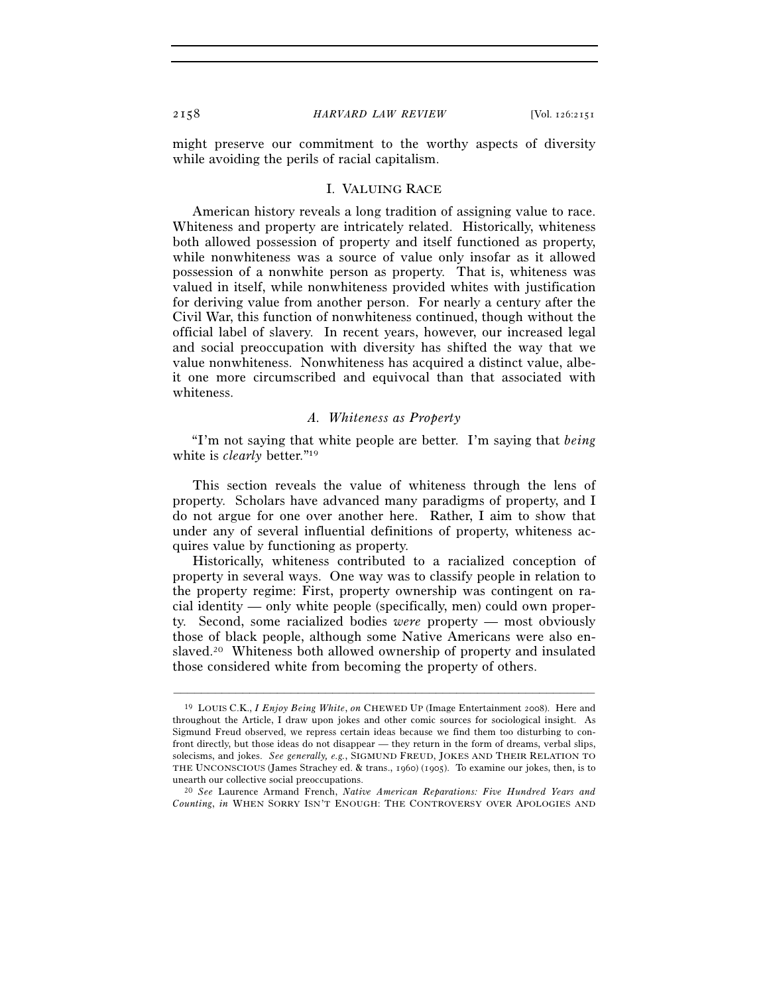might preserve our commitment to the worthy aspects of diversity while avoiding the perils of racial capitalism.

### I. VALUING RACE

American history reveals a long tradition of assigning value to race. Whiteness and property are intricately related. Historically, whiteness both allowed possession of property and itself functioned as property, while nonwhiteness was a source of value only insofar as it allowed possession of a nonwhite person as property. That is, whiteness was valued in itself, while nonwhiteness provided whites with justification for deriving value from another person. For nearly a century after the Civil War, this function of nonwhiteness continued, though without the official label of slavery. In recent years, however, our increased legal and social preoccupation with diversity has shifted the way that we value nonwhiteness. Nonwhiteness has acquired a distinct value, albeit one more circumscribed and equivocal than that associated with whiteness.

# *A. Whiteness as Property*

"I'm not saying that white people are better. I'm saying that *being* white is *clearly* better."19

This section reveals the value of whiteness through the lens of property. Scholars have advanced many paradigms of property, and I do not argue for one over another here. Rather, I aim to show that under any of several influential definitions of property, whiteness acquires value by functioning as property.

Historically, whiteness contributed to a racialized conception of property in several ways. One way was to classify people in relation to the property regime: First, property ownership was contingent on racial identity — only white people (specifically, men) could own property. Second, some racialized bodies *were* property — most obviously those of black people, although some Native Americans were also enslaved.20 Whiteness both allowed ownership of property and insulated those considered white from becoming the property of others.

<sup>19</sup> LOUIS C.K., *I Enjoy Being White*, *on* CHEWED UP (Image Entertainment 2008). Here and throughout the Article, I draw upon jokes and other comic sources for sociological insight. As Sigmund Freud observed, we repress certain ideas because we find them too disturbing to confront directly, but those ideas do not disappear — they return in the form of dreams, verbal slips, solecisms, and jokes. *See generally, e.g.*, SIGMUND FREUD, JOKES AND THEIR RELATION TO THE UNCONSCIOUS (James Strachey ed. & trans., 1960) (1905). To examine our jokes, then, is to unearth our collective social preoccupations. 20 *See* Laurence Armand French, *Native American Reparations: Five Hundred Years and* 

*Counting*, *in* WHEN SORRY ISN'T ENOUGH: THE CONTROVERSY OVER APOLOGIES AND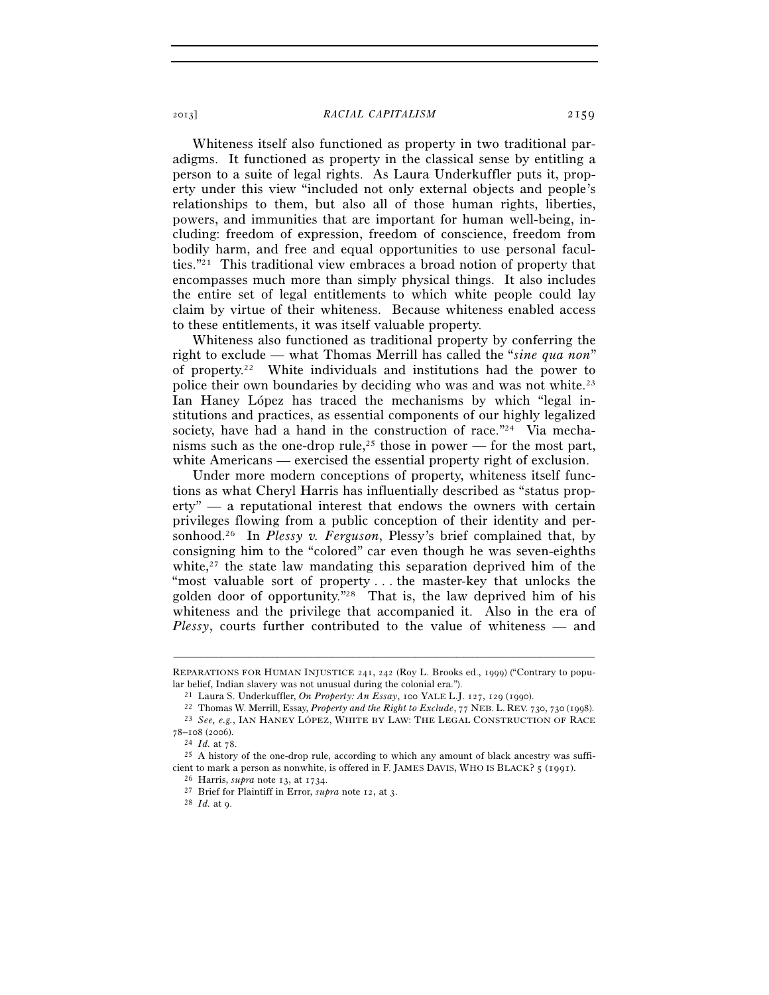Whiteness itself also functioned as property in two traditional paradigms. It functioned as property in the classical sense by entitling a person to a suite of legal rights. As Laura Underkuffler puts it, property under this view "included not only external objects and people's relationships to them, but also all of those human rights, liberties, powers, and immunities that are important for human well-being, including: freedom of expression, freedom of conscience, freedom from bodily harm, and free and equal opportunities to use personal faculties."21 This traditional view embraces a broad notion of property that encompasses much more than simply physical things. It also includes the entire set of legal entitlements to which white people could lay claim by virtue of their whiteness. Because whiteness enabled access to these entitlements, it was itself valuable property.

Whiteness also functioned as traditional property by conferring the right to exclude — what Thomas Merrill has called the "*sine qua non*" of property.22 White individuals and institutions had the power to police their own boundaries by deciding who was and was not white.23 Ian Haney López has traced the mechanisms by which "legal institutions and practices, as essential components of our highly legalized society, have had a hand in the construction of race."<sup>24</sup> Via mechanisms such as the one-drop rule,<sup>25</sup> those in power — for the most part, white Americans — exercised the essential property right of exclusion.

Under more modern conceptions of property, whiteness itself functions as what Cheryl Harris has influentially described as "status property" — a reputational interest that endows the owners with certain privileges flowing from a public conception of their identity and personhood.26 In *Plessy v. Ferguson*, Plessy's brief complained that, by consigning him to the "colored" car even though he was seven-eighths white, $27$  the state law mandating this separation deprived him of the "most valuable sort of property... the master-key that unlocks the golden door of opportunity."28 That is, the law deprived him of his whiteness and the privilege that accompanied it. Also in the era of *Plessy*, courts further contributed to the value of whiteness — and

<sup>78</sup>–108 (2006). 24 *Id.* at 78. 25 A history of the one-drop rule, according to which any amount of black ancestry was suffi-

<sup>–––––––––––––––––––––––––––––––––––––––––––––––––––––––––––––</sup> REPARATIONS FOR HUMAN INJUSTICE 241, 242 (Roy L. Brooks ed., 1999) ("Contrary to popular belief, Indian slavery was not unusual during the colonial era.").<br>
<sup>21</sup> Laura S. Underkuffler, *On Property: An Essay*, 100 YALE L.J. 127, 129 (1990).<br>
<sup>22</sup> Thomas W. Merrill, Essay, *Property and the Right to Exclud* 

cient to mark a person as nonwhite, is offered in F. JAMES DAVIS, WHO IS BLACK?  $5$  (1991).<br><sup>26</sup> Harris, *supra* note 13, at 1734.

<sup>&</sup>lt;sup>27</sup> Brief for Plaintiff in Error, *supra* note 12, at 3. <sup>28</sup> *Id.* at 9.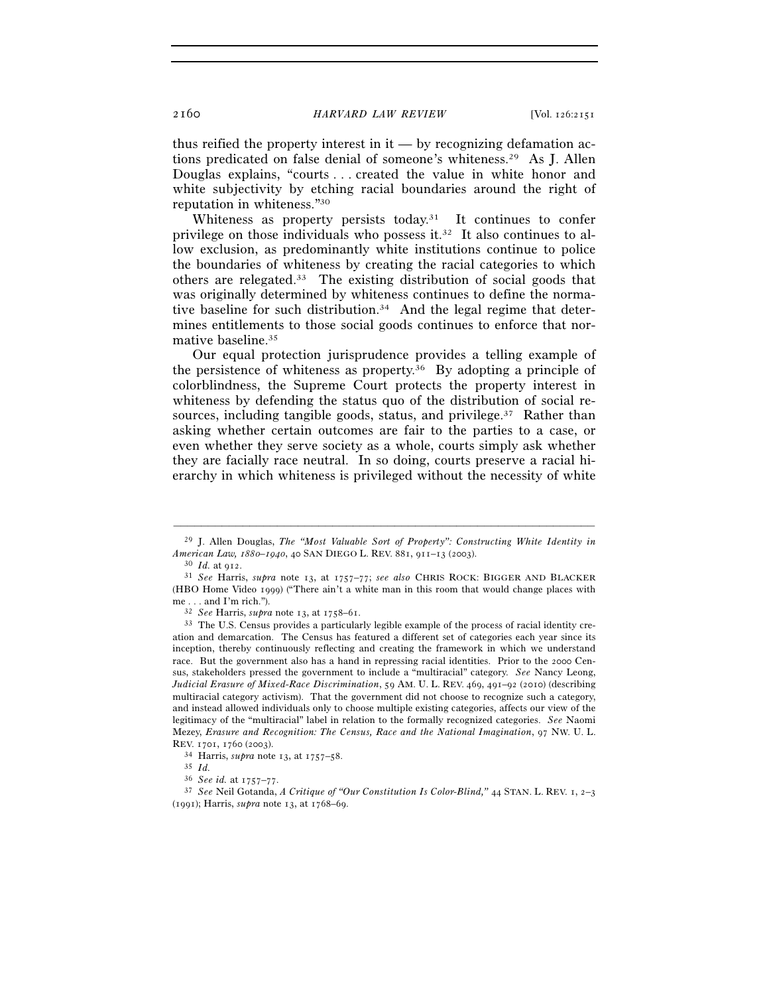thus reified the property interest in  $it -$  by recognizing defamation actions predicated on false denial of someone's whiteness.29 As J. Allen Douglas explains, "courts . . . created the value in white honor and white subjectivity by etching racial boundaries around the right of reputation in whiteness."30

Whiteness as property persists today.<sup>31</sup> It continues to confer privilege on those individuals who possess it.32 It also continues to allow exclusion, as predominantly white institutions continue to police the boundaries of whiteness by creating the racial categories to which others are relegated.33 The existing distribution of social goods that was originally determined by whiteness continues to define the normative baseline for such distribution.<sup>34</sup> And the legal regime that determines entitlements to those social goods continues to enforce that normative baseline.35

Our equal protection jurisprudence provides a telling example of the persistence of whiteness as property.36 By adopting a principle of colorblindness, the Supreme Court protects the property interest in whiteness by defending the status quo of the distribution of social resources, including tangible goods, status, and privilege.<sup>37</sup> Rather than asking whether certain outcomes are fair to the parties to a case, or even whether they serve society as a whole, courts simply ask whether they are facially race neutral. In so doing, courts preserve a racial hierarchy in which whiteness is privileged without the necessity of white

<sup>–––––––––––––––––––––––––––––––––––––––––––––––––––––––––––––</sup> 29 J. Allen Douglas, *The "Most Valuable Sort of Property": Constructing White Identity in American Law, 1880–1940*, 40 SAN DIEGO L. REV. 881, 911–13 (2003). 30 *Id.* at 912. 31 *See* Harris, *supra* note 13, at 1757–77; *see also* CHRIS ROCK: BIGGER AND BLACKER

<sup>(</sup>HBO Home Video 1999) ("There ain't a white man in this room that would change places with  $me...$  and I'm rich.").

<sup>32</sup> *See* Harris, *supra* note 13, at 1758–61.

<sup>33</sup> The U.S. Census provides a particularly legible example of the process of racial identity creation and demarcation. The Census has featured a different set of categories each year since its inception, thereby continuously reflecting and creating the framework in which we understand race. But the government also has a hand in repressing racial identities. Prior to the 2000 Census, stakeholders pressed the government to include a "multiracial" category. *See* Nancy Leong, *Judicial Erasure of Mixed-Race Discrimination*, 59 AM. U. L. REV. 469, 491–92 (2010) (describing multiracial category activism). That the government did not choose to recognize such a category, and instead allowed individuals only to choose multiple existing categories, affects our view of the legitimacy of the "multiracial" label in relation to the formally recognized categories. *See* Naomi Mezey, *Erasure and Recognition: The Census, Race and the National Imagination*, 97 NW. U. L. REV. 1701, 1760 (2003). 34 Harris, *supra* note 13, at 1757–58. 35 *Id.*

<sup>&</sup>lt;sup>37</sup> See Neil Gotanda, *A Critique of "Our Constitution Is Color-Blind,"* 44 STAN. L. REV. 1, 2–3 (1991); Harris, *supra* note 13, at 1768–69.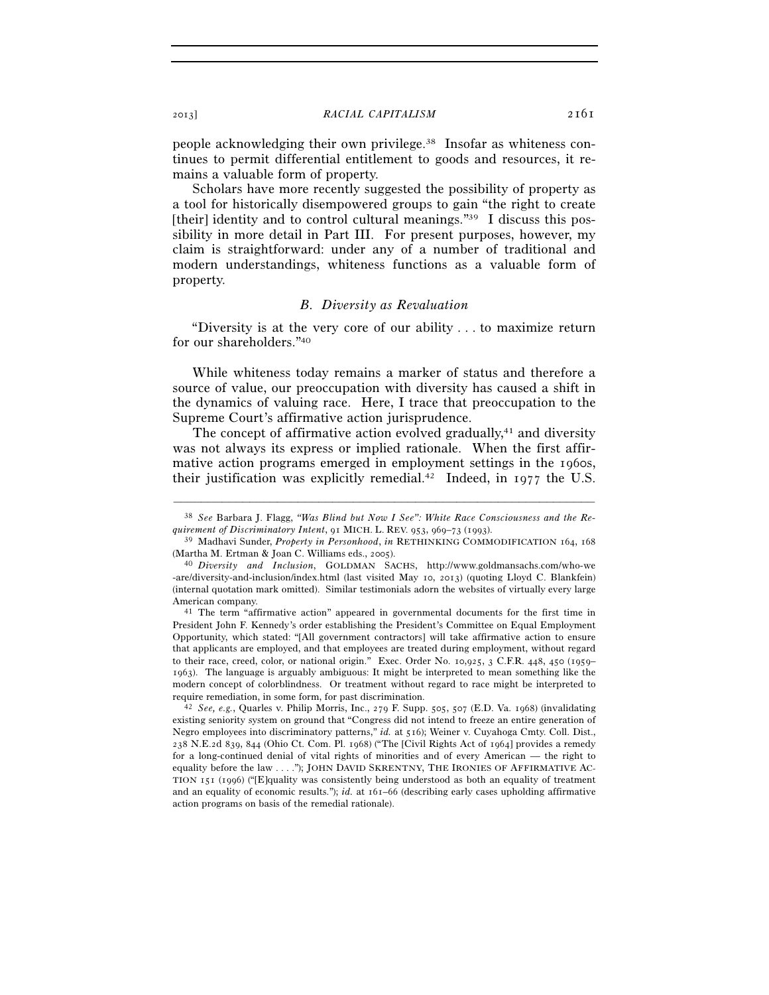people acknowledging their own privilege.38 Insofar as whiteness continues to permit differential entitlement to goods and resources, it remains a valuable form of property.

Scholars have more recently suggested the possibility of property as a tool for historically disempowered groups to gain "the right to create [their] identity and to control cultural meanings." $39$  I discuss this possibility in more detail in Part III. For present purposes, however, my claim is straightforward: under any of a number of traditional and modern understandings, whiteness functions as a valuable form of property.

# *B. Diversity as Revaluation*

"Diversity is at the very core of our ability . . . to maximize return for our shareholders."40

While whiteness today remains a marker of status and therefore a source of value, our preoccupation with diversity has caused a shift in the dynamics of valuing race. Here, I trace that preoccupation to the Supreme Court's affirmative action jurisprudence.

The concept of affirmative action evolved gradually, $41$  and diversity was not always its express or implied rationale. When the first affirmative action programs emerged in employment settings in the 1960s, their justification was explicitly remedial.<sup>42</sup> Indeed, in 1977 the U.S.

<sup>–––––––––––––––––––––––––––––––––––––––––––––––––––––––––––––</sup> 38 *See* Barbara J. Flagg, *"Was Blind but Now I See": White Race Consciousness and the Requirement of Discriminatory Intent*, 91 MICH. L. REV. 953, 969–73 (1993). 39 Madhavi Sunder, *Property in Personhood*, *in* RETHINKING COMMODIFICATION <sup>164</sup>, <sup>168</sup>

<sup>(</sup>Martha M. Ertman & Joan C. Williams eds., 2005). 40 *Diversity and Inclusion*, GOLDMAN SACHS, http://www.goldmansachs.com/who-we

<sup>-</sup>are/diversity-and-inclusion/index.html (last visited May 10, 2013) (quoting Lloyd C. Blankfein) (internal quotation mark omitted). Similar testimonials adorn the websites of virtually every large American company.<br><sup>41</sup> The term "affirmative action" appeared in governmental documents for the first time in

President John F. Kennedy's order establishing the President's Committee on Equal Employment Opportunity, which stated: "[All government contractors] will take affirmative action to ensure that applicants are employed, and that employees are treated during employment, without regard to their race, creed, color, or national origin." Exec. Order No. 10,925, 3 C.F.R. 448, 450 (1959– 1963). The language is arguably ambiguous: It might be interpreted to mean something like the modern concept of colorblindness. Or treatment without regard to race might be interpreted to require remediation, in some form, for past discrimination. 42 *See, e.g.*, Quarles v. Philip Morris, Inc., 279 F. Supp. 505, 507 (E.D. Va. 1968) (invalidating

existing seniority system on ground that "Congress did not intend to freeze an entire generation of Negro employees into discriminatory patterns," *id.* at 516); Weiner v. Cuyahoga Cmty. Coll. Dist., 238 N.E.2d 839, 844 (Ohio Ct. Com. Pl. 1968) ("The [Civil Rights Act of 1964] provides a remedy for a long-continued denial of vital rights of minorities and of every American — the right to equality before the law . . . ."); JOHN DAVID SKRENTNY, THE IRONIES OF AFFIRMATIVE AC-TION 151 (1996) ("[E]quality was consistently being understood as both an equality of treatment and an equality of economic results."); *id.* at 161–66 (describing early cases upholding affirmative action programs on basis of the remedial rationale).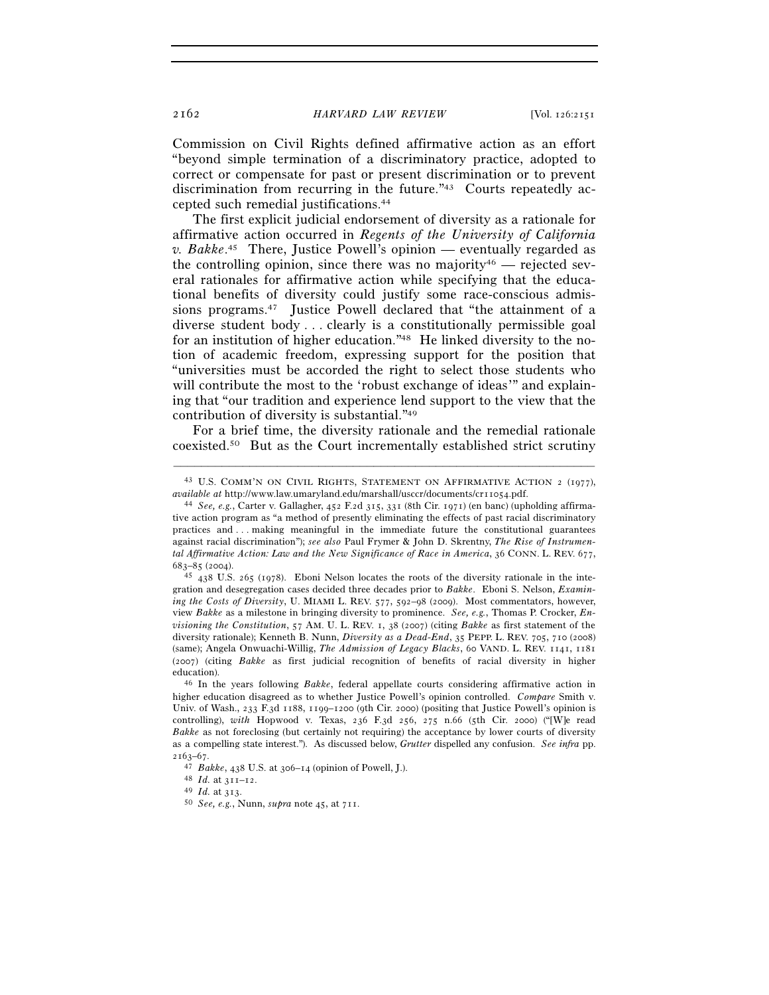Commission on Civil Rights defined affirmative action as an effort "beyond simple termination of a discriminatory practice, adopted to correct or compensate for past or present discrimination or to prevent discrimination from recurring in the future."43 Courts repeatedly accepted such remedial justifications.44

The first explicit judicial endorsement of diversity as a rationale for affirmative action occurred in *Regents of the University of California v. Bakke*. 45 There, Justice Powell's opinion — eventually regarded as the controlling opinion, since there was no majority<sup>46</sup> — rejected several rationales for affirmative action while specifying that the educational benefits of diversity could justify some race-conscious admissions programs.47 Justice Powell declared that "the attainment of a diverse student body . . . clearly is a constitutionally permissible goal for an institution of higher education."48 He linked diversity to the notion of academic freedom, expressing support for the position that "universities must be accorded the right to select those students who will contribute the most to the 'robust exchange of ideas'" and explaining that "our tradition and experience lend support to the view that the contribution of diversity is substantial."49

For a brief time, the diversity rationale and the remedial rationale coexisted.50 But as the Court incrementally established strict scrutiny

<sup>–––––––––––––––––––––––––––––––––––––––––––––––––––––––––––––</sup> 43 U.S. COMM'N ON CIVIL RIGHTS, STATEMENT ON AFFIRMATIVE ACTION 2 (1977), *available at* http://www.law.umaryland.edu/marshall/usccr/documents/cr11054.pdf. 44 *See, e.g.*, Carter v. Gallagher, 452 F.2d 315, 331 (8th Cir. 1971) (en banc) (upholding affirma-

tive action program as "a method of presently eliminating the effects of past racial discriminatory practices and . . . making meaningful in the immediate future the constitutional guarantees against racial discrimination"); *see also* Paul Frymer & John D. Skrentny, *The Rise of Instrumental Affirmative Action: Law and the New Significance of Race in America*, 36 CONN. L. REV. 677,

<sup>683</sup>–85 (2004). 45 <sup>438</sup> U.S. 265 (1978). Eboni Nelson locates the roots of the diversity rationale in the integration and desegregation cases decided three decades prior to *Bakke*. Eboni S. Nelson, *Examining the Costs of Diversity*, U. MIAMI L. REV. 577, 592–98 (2009). Most commentators, however, view *Bakke* as a milestone in bringing diversity to prominence. *See, e.g.*, Thomas P. Crocker, *Envisioning the Constitution*, 57 AM. U. L. REV. 1, 38 (2007) (citing *Bakke* as first statement of the diversity rationale); Kenneth B. Nunn, *Diversity as a Dead-End*, 35 PEPP. L. REV. 705, 710 (2008) (same); Angela Onwuachi-Willig, *The Admission of Legacy Blacks*, 60 VAND. L. REV. 1141, 1181 (2007) (citing *Bakke* as first judicial recognition of benefits of racial diversity in higher education). 46 In the years following *Bakke*, federal appellate courts considering affirmative action in

higher education disagreed as to whether Justice Powell's opinion controlled. *Compare* Smith v. Univ. of Wash., 233 F.3d 1188, 1199–1200 (9th Cir. 2000) (positing that Justice Powell's opinion is controlling), *with* Hopwood v. Texas, 236 F.3d 256, 275 n.66 (5th Cir. 2000) ("[W]e read *Bakke* as not foreclosing (but certainly not requiring) the acceptance by lower courts of diversity as a compelling state interest."). As discussed below, *Grutter* dispelled any confusion. *See infra* pp.

<sup>2163</sup>–67. 47 *Bakke*, 438 U.S. at 306–14 (opinion of Powell, J.). 48 *Id.* at 311–12. 49 *Id.* at 313. 50 *See, e.g.*, Nunn, *supra* note 45, at 711.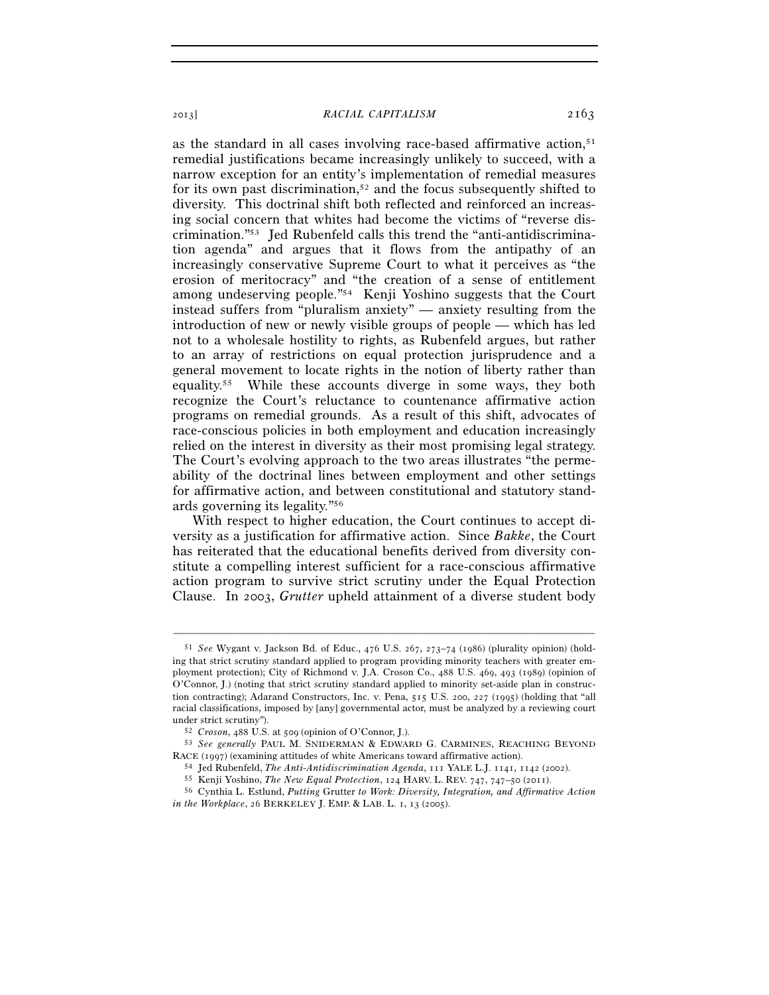as the standard in all cases involving race-based affirmative action, $51$ remedial justifications became increasingly unlikely to succeed, with a narrow exception for an entity's implementation of remedial measures for its own past discrimination,<sup>52</sup> and the focus subsequently shifted to diversity. This doctrinal shift both reflected and reinforced an increasing social concern that whites had become the victims of "reverse discrimination."53 Jed Rubenfeld calls this trend the "anti-antidiscrimination agenda" and argues that it flows from the antipathy of an increasingly conservative Supreme Court to what it perceives as "the erosion of meritocracy" and "the creation of a sense of entitlement among undeserving people."54 Kenji Yoshino suggests that the Court instead suffers from "pluralism anxiety" — anxiety resulting from the introduction of new or newly visible groups of people — which has led not to a wholesale hostility to rights, as Rubenfeld argues, but rather to an array of restrictions on equal protection jurisprudence and a general movement to locate rights in the notion of liberty rather than equality.55 While these accounts diverge in some ways, they both recognize the Court's reluctance to countenance affirmative action programs on remedial grounds. As a result of this shift, advocates of race-conscious policies in both employment and education increasingly relied on the interest in diversity as their most promising legal strategy. The Court's evolving approach to the two areas illustrates "the permeability of the doctrinal lines between employment and other settings for affirmative action, and between constitutional and statutory standards governing its legality."56

With respect to higher education, the Court continues to accept diversity as a justification for affirmative action. Since *Bakke*, the Court has reiterated that the educational benefits derived from diversity constitute a compelling interest sufficient for a race-conscious affirmative action program to survive strict scrutiny under the Equal Protection Clause. In 2003, *Grutter* upheld attainment of a diverse student body

<sup>51</sup> *See* Wygant v. Jackson Bd. of Educ., 476 U.S. 267, 273–74 (1986) (plurality opinion) (holding that strict scrutiny standard applied to program providing minority teachers with greater employment protection); City of Richmond v. J.A. Croson Co., 488 U.S. 469, 493 (1989) (opinion of O'Connor, J.) (noting that strict scrutiny standard applied to minority set-aside plan in construction contracting); Adarand Constructors, Inc. v. Pena, 515 U.S. 200, 227 (1995) (holding that "all racial classifications, imposed by [any] governmental actor, must be analyzed by a reviewing court

under strict scrutiny"). 52 *Croson*, 488 U.S. at 509 (opinion of O'Connor, J.). 53 *See generally* PAUL M. SNIDERMAN & EDWARD G. CARMINES, REACHING BEYOND RACE (1997) (examining attitudes of white Americans toward affirmative action).<br>  $^{54}$  Jed Rubenfeld, *The Anti-Antidiscrimination Agenda*, 111 YALE L.J. 1141, 1142 (2002).<br>  $^{55}$  Kenji Yoshino, *The New Equal Protectio* 

*in the Workplace*, 26 BERKELEY J. EMP. & LAB. L. 1, 13 (2005).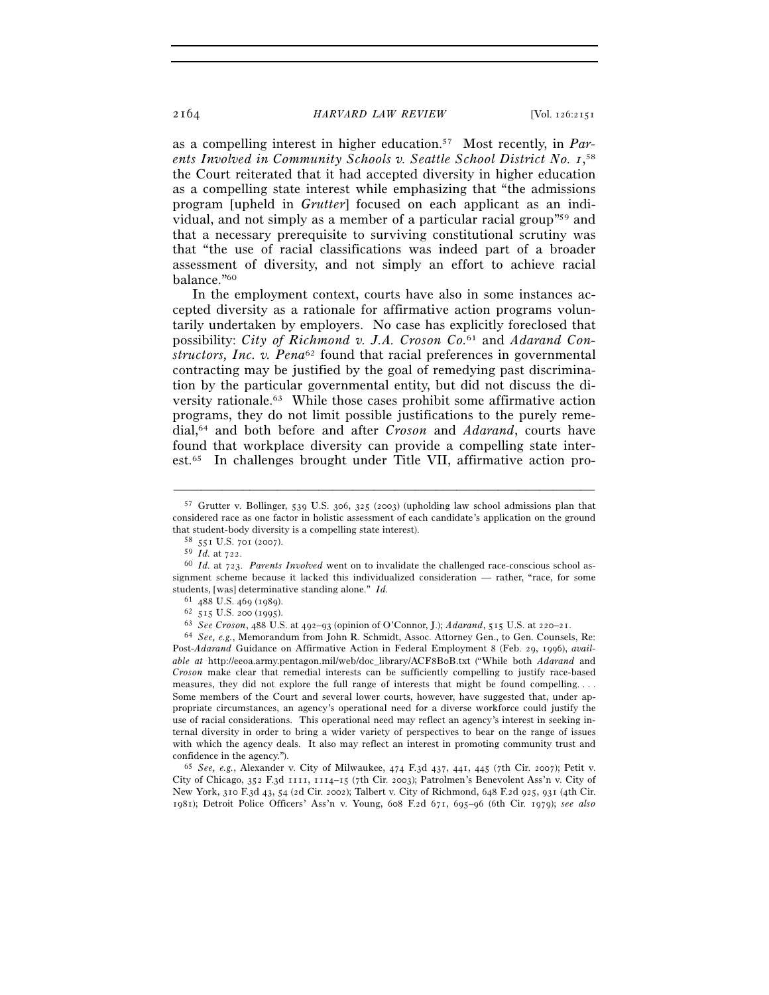as a compelling interest in higher education.57 Most recently, in *Par*ents Involved in Community Schools v. Seattle School District No. 1,<sup>58</sup> the Court reiterated that it had accepted diversity in higher education as a compelling state interest while emphasizing that "the admissions program [upheld in *Grutter*] focused on each applicant as an individual, and not simply as a member of a particular racial group"59 and that a necessary prerequisite to surviving constitutional scrutiny was that "the use of racial classifications was indeed part of a broader assessment of diversity, and not simply an effort to achieve racial balance."60

In the employment context, courts have also in some instances accepted diversity as a rationale for affirmative action programs voluntarily undertaken by employers. No case has explicitly foreclosed that possibility: *City of Richmond v. J.A. Croson Co.*61 and *Adarand Constructors, Inc. v. Pena*62 found that racial preferences in governmental contracting may be justified by the goal of remedying past discrimination by the particular governmental entity, but did not discuss the diversity rationale.63 While those cases prohibit some affirmative action programs, they do not limit possible justifications to the purely remedial,64 and both before and after *Croson* and *Adarand*, courts have found that workplace diversity can provide a compelling state interest.65 In challenges brought under Title VII, affirmative action pro-

<sup>57</sup> Grutter v. Bollinger, 539 U.S. 306, 325 (2003) (upholding law school admissions plan that considered race as one factor in holistic assessment of each candidate's application on the ground that student-body diversity is a compelling state interest).  $^{58}$  551 U.S. 701 (2007).  $^{59}$  *Id.* at 722.

<sup>&</sup>lt;sup>60</sup> *Id.* at 723. *Parents Involved* went on to invalidate the challenged race-conscious school assignment scheme because it lacked this individualized consideration — rather, "race, for some students, [was] determinative standing alone." *Id.* <sup>61</sup> 488 U.S. 469 (1989).

<sup>&</sup>lt;sup>62</sup> 515 U.S. 200 (1995).<br><sup>63</sup> *See Croson*, 488 U.S. at 492–93 (opinion of O'Connor, J.); *Adarand*, 515 U.S. at 220–21.<br><sup>64</sup> *See, e.g.*, Memorandum from John R. Schmidt, Assoc. Attorney Gen., to Gen. Counsels, Re:

Post-*Adarand* Guidance on Affirmative Action in Federal Employment 8 (Feb. 29, 1996), *available at* http://eeoa.army.pentagon.mil/web/doc\_library/ACF8B0B.txt ("While both *Adarand* and *Croson* make clear that remedial interests can be sufficiently compelling to justify race-based measures, they did not explore the full range of interests that might be found compelling. . . . Some members of the Court and several lower courts, however, have suggested that, under appropriate circumstances, an agency's operational need for a diverse workforce could justify the use of racial considerations. This operational need may reflect an agency's interest in seeking internal diversity in order to bring a wider variety of perspectives to bear on the range of issues with which the agency deals. It also may reflect an interest in promoting community trust and

confidence in the agency."). 65 *See, e.g.*, Alexander v. City of Milwaukee, 474 F.3d 437, 441, 445 (7th Cir. 2007); Petit v. City of Chicago, 352 F.3d 1111, 1114–15 (7th Cir. 2003); Patrolmen's Benevolent Ass'n v. City of New York, 310 F.3d 43, 54 (2d Cir. 2002); Talbert v. City of Richmond, 648 F.2d 925, 931 (4th Cir. 1981); Detroit Police Officers' Ass'n v. Young, 608 F.2d 671, 695–96 (6th Cir. 1979); *see also*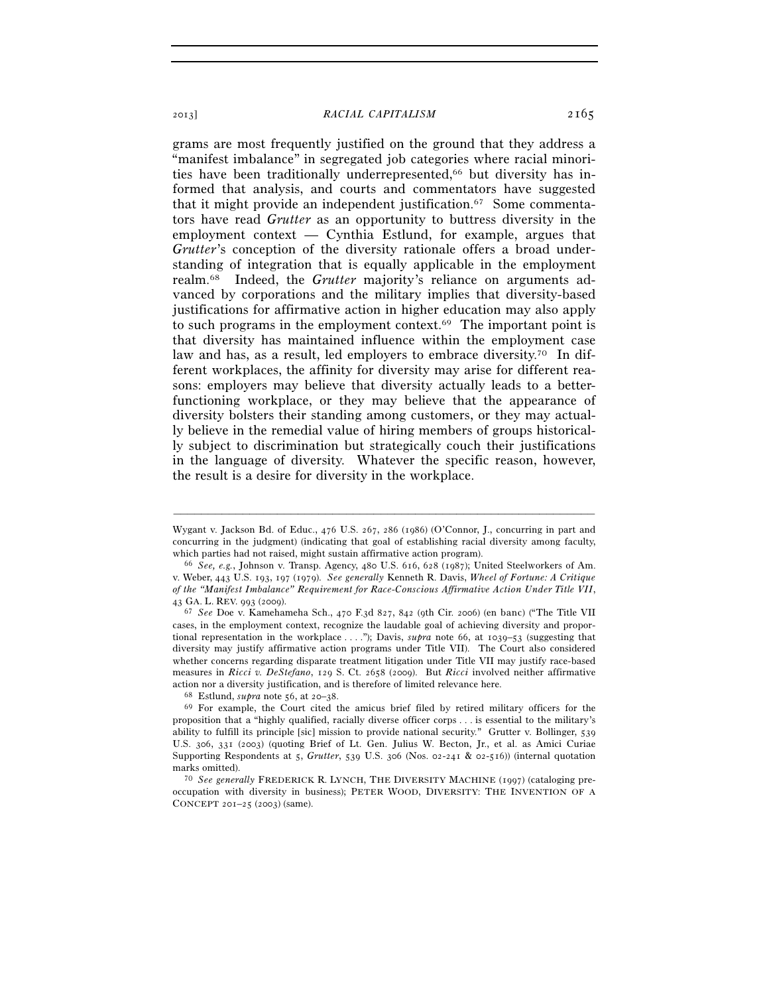grams are most frequently justified on the ground that they address a "manifest imbalance" in segregated job categories where racial minorities have been traditionally underrepresented,<sup>66</sup> but diversity has informed that analysis, and courts and commentators have suggested that it might provide an independent justification.67 Some commentators have read *Grutter* as an opportunity to buttress diversity in the employment context — Cynthia Estlund, for example, argues that *Grutter*'s conception of the diversity rationale offers a broad understanding of integration that is equally applicable in the employment realm.68 Indeed, the *Grutter* majority's reliance on arguments advanced by corporations and the military implies that diversity-based justifications for affirmative action in higher education may also apply to such programs in the employment context.69 The important point is that diversity has maintained influence within the employment case law and has, as a result, led employers to embrace diversity.70 In different workplaces, the affinity for diversity may arise for different reasons: employers may believe that diversity actually leads to a betterfunctioning workplace, or they may believe that the appearance of diversity bolsters their standing among customers, or they may actually believe in the remedial value of hiring members of groups historically subject to discrimination but strategically couch their justifications in the language of diversity. Whatever the specific reason, however, the result is a desire for diversity in the workplace.

Wygant v. Jackson Bd. of Educ., 476 U.S. 267, 286 (1986) (O'Connor, J., concurring in part and concurring in the judgment) (indicating that goal of establishing racial diversity among faculty,

which parties had not raised, might sustain affirmative action program). 66 *See, e.g.*, Johnson v. Transp. Agency, 480 U.S. 616, 628 (1987); United Steelworkers of Am. v. Weber, 443 U.S. 193, 197 (1979). *See generally* Kenneth R. Davis, *Wheel of Fortune: A Critique of the "Manifest Imbalance" Requirement for Race-Conscious Affirmative Action Under Title VII*,

<sup>43</sup> GA. L. REV. 993 (2009). 67 *See* Doe v. Kamehameha Sch., 470 F.3d 827, 842 (9th Cir. 2006) (en banc) ("The Title VII cases, in the employment context, recognize the laudable goal of achieving diversity and proportional representation in the workplace . . . ."); Davis, *supra* note 66, at 1039–53 (suggesting that diversity may justify affirmative action programs under Title VII). The Court also considered whether concerns regarding disparate treatment litigation under Title VII may justify race-based measures in *Ricci v. DeStefano*, 129 S. Ct. 2658 (2009). But *Ricci* involved neither affirmative action nor a diversity justification, and is therefore of limited relevance here.<br><sup>68</sup> Estlund, *supra* note 56, at 20–38.<br><sup>69</sup> For example, the Court cited the amicus brief filed by retired military officers for the

proposition that a "highly qualified, racially diverse officer corps . . . is essential to the military's ability to fulfill its principle [sic] mission to provide national security." Grutter v. Bollinger, 539 U.S. 306, 331 (2003) (quoting Brief of Lt. Gen. Julius W. Becton, Jr., et al. as Amici Curiae Supporting Respondents at 5, *Grutter*, 539 U.S. 306 (Nos. 02-241 & 02-516)) (internal quotation marks omitted).<br><sup>70</sup> *See generally* FREDERICK R. LYNCH, THE DIVERSITY MACHINE (1997) (cataloging pre-

occupation with diversity in business); PETER WOOD, DIVERSITY: THE INVENTION OF A CONCEPT 201–25 (2003) (same).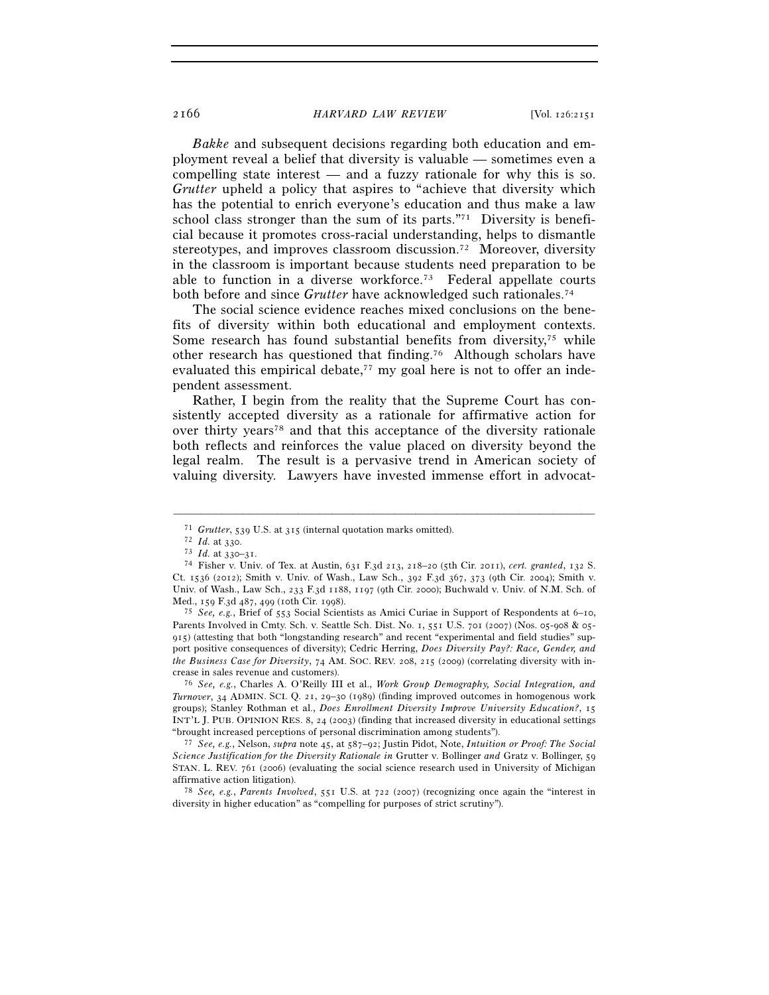*Bakke* and subsequent decisions regarding both education and employment reveal a belief that diversity is valuable — sometimes even a compelling state interest — and a fuzzy rationale for why this is so. *Grutter* upheld a policy that aspires to "achieve that diversity which has the potential to enrich everyone's education and thus make a law school class stronger than the sum of its parts."71 Diversity is beneficial because it promotes cross-racial understanding, helps to dismantle stereotypes, and improves classroom discussion.<sup>72</sup> Moreover, diversity in the classroom is important because students need preparation to be able to function in a diverse workforce.73 Federal appellate courts both before and since *Grutter* have acknowledged such rationales.<sup>74</sup>

The social science evidence reaches mixed conclusions on the benefits of diversity within both educational and employment contexts. Some research has found substantial benefits from diversity, $75$  while other research has questioned that finding.76 Although scholars have evaluated this empirical debate,<sup>77</sup> my goal here is not to offer an independent assessment.

Rather, I begin from the reality that the Supreme Court has consistently accepted diversity as a rationale for affirmative action for over thirty years78 and that this acceptance of the diversity rationale both reflects and reinforces the value placed on diversity beyond the legal realm. The result is a pervasive trend in American society of valuing diversity. Lawyers have invested immense effort in advocat-

–––––––––––––––––––––––––––––––––––––––––––––––––––––––––––––

<sup>75</sup> See, e.g., Brief of 553 Social Scientists as Amici Curiae in Support of Respondents at 6-10, Parents Involved in Cmty. Sch. v. Seattle Sch. Dist. No. 1, 551 U.S. 701 (2007) (Nos. 05-908 & 05-915) (attesting that both "longstanding research" and recent "experimental and field studies" support positive consequences of diversity); Cedric Herring, *Does Diversity Pay?: Race, Gender, and the Business Case for Diversity*, 74 AM. SOC. REV. 208, 215 (2009) (correlating diversity with increase in sales revenue and customers). 76 *See, e.g.*, Charles A. O'Reilly III et al., *Work Group Demography, Social Integration, and* 

*Turnover*, 34 ADMIN. SCI. Q. 21, 29–30 (1989) (finding improved outcomes in homogenous work groups); Stanley Rothman et al., *Does Enrollment Diversity Improve University Education?*, 15 INT'L J. PUB. OPINION RES. 8, 24 (2003) (finding that increased diversity in educational settings

"brought increased perceptions of personal discrimination among students"). 77 *See, e.g.*, Nelson, *supra* note 45, at 587–92; Justin Pidot, Note, *Intuition or Proof: The Social Science Justification for the Diversity Rationale in* Grutter v. Bollinger *and* Gratz v. Bollinger, 59 STAN. L. REV. 761 (2006) (evaluating the social science research used in University of Michigan affirmative action litigation).

<sup>78</sup> *See, e.g., Parents Involved*, 551 U.S. at 722 (2007) (recognizing once again the "interest in diversity in higher education" as "compelling for purposes of strict scrutiny").

<sup>71</sup> *Grutter*, 539 U.S. at 315 (internal quotation marks omitted). 72 *Id.* at 330. 73 *Id.* at 330–31. 74 Fisher v. Univ. of Tex. at Austin, 631 F.3d 213, 218–20 (5th Cir. 2011), *cert. granted*, 132 S. Ct. 1536 (2012); Smith v. Univ. of Wash., Law Sch., 392 F.3d 367, 373 (9th Cir. 2004); Smith v. Univ. of Wash., Law Sch., 233 F.3d 1188, 1197 (9th Cir. 2000); Buchwald v. Univ. of N.M. Sch. of Med., 159 F.3d 487, 499 (10th Cir. 1998).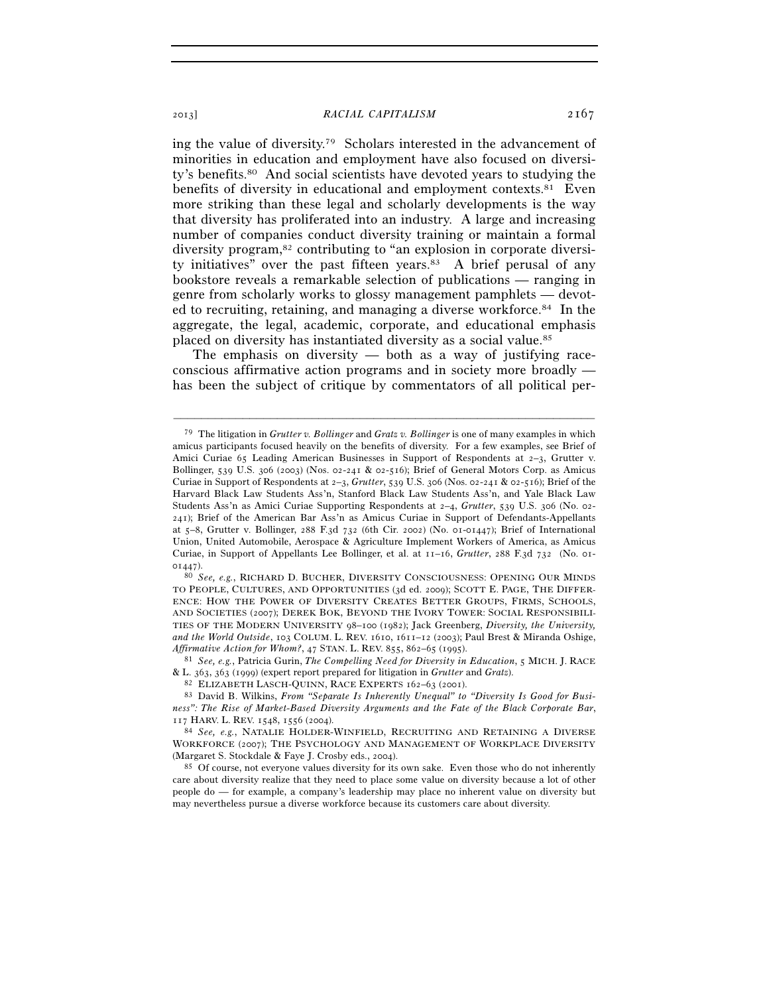ing the value of diversity.79 Scholars interested in the advancement of minorities in education and employment have also focused on diversity's benefits.80 And social scientists have devoted years to studying the benefits of diversity in educational and employment contexts. $81$  Even more striking than these legal and scholarly developments is the way that diversity has proliferated into an industry. A large and increasing number of companies conduct diversity training or maintain a formal diversity program,<sup>82</sup> contributing to "an explosion in corporate diversity initiatives" over the past fifteen years. $83$  A brief perusal of any bookstore reveals a remarkable selection of publications — ranging in genre from scholarly works to glossy management pamphlets — devoted to recruiting, retaining, and managing a diverse workforce.84 In the aggregate, the legal, academic, corporate, and educational emphasis placed on diversity has instantiated diversity as a social value.85

The emphasis on diversity — both as a way of justifying raceconscious affirmative action programs and in society more broadly has been the subject of critique by commentators of all political per-

–––––––––––––––––––––––––––––––––––––––––––––––––––––––––––––

& L. 363, 363 (1999) (expert report prepared for litigation in *Grutter* and *Gratz*).<br><sup>82</sup> ELIZABETH LASCH-QUINN, RACE EXPERTS 162–63 (2001).<br><sup>83</sup> David B. Wilkins, *From "Separate Is Inherently Unequal" to "Diversity Is* 

<sup>79</sup> The litigation in *Grutter v. Bollinger* and *Gratz v. Bollinger* is one of many examples in which amicus participants focused heavily on the benefits of diversity. For a few examples, see Brief of Amici Curiae 65 Leading American Businesses in Support of Respondents at  $2-3$ , Grutter v. Bollinger, 539 U.S. 306 (2003) (Nos. 02-241 & 02-516); Brief of General Motors Corp. as Amicus Curiae in Support of Respondents at 2–3, *Grutter*, 539 U.S. 306 (Nos. 02-241 & 02-516); Brief of the Harvard Black Law Students Ass'n, Stanford Black Law Students Ass'n, and Yale Black Law Students Ass'n as Amici Curiae Supporting Respondents at 2–4, *Grutter*, 539 U.S. 306 (No. 02- 241); Brief of the American Bar Ass'n as Amicus Curiae in Support of Defendants-Appellants at 5–8, Grutter v. Bollinger, 288 F.3d 732 (6th Cir. 2002) (No. 01-01447); Brief of International Union, United Automobile, Aerospace & Agriculture Implement Workers of America, as Amicus Curiae, in Support of Appellants Lee Bollinger, et al. at 11–16, *Grutter*, 288 F.3d 732 (No. 01- <sup>01447</sup>). 80 *See, e.g.*, RICHARD D. BUCHER, DIVERSITY CONSCIOUSNESS: OPENING OUR MINDS

TO PEOPLE, CULTURES, AND OPPORTUNITIES (3d ed. 2009); SCOTT E. PAGE, THE DIFFER-ENCE: HOW THE POWER OF DIVERSITY CREATES BETTER GROUPS, FIRMS, SCHOOLS, AND SOCIETIES (2007); DEREK BOK, BEYOND THE IVORY TOWER: SOCIAL RESPONSIBILI-TIES OF THE MODERN UNIVERSITY 98–100 (1982); Jack Greenberg, *Diversity, the University, and the World Outside*, 103 COLUM. L. REV. 1610, 1611–12 (2003); Paul Brest & Miranda Oshige, *Affirmative Action for Whom?*, 47 STAN. L. REV. 855, 862–65 (1995). 81 *See, e.g.*, Patricia Gurin, *The Compelling Need for Diversity in Education*, 5 MICH. J. RACE

*ness": The Rise of Market-Based Diversity Arguments and the Fate of the Black Corporate Bar*, <sup>117</sup> HARV. L. REV. 1548, 1556 (2004). 84 *See, e.g.*, NATALIE HOLDER-WINFIELD, RECRUITING AND RETAINING <sup>A</sup> DIVERSE

WORKFORCE (2007); THE PSYCHOLOGY AND MANAGEMENT OF WORKPLACE DIVERSITY (Margaret S. Stockdale & Faye J. Crosby eds., 2004).<br><sup>85</sup> Of course, not everyone values diversity for its own sake. Even those who do not inherently

care about diversity realize that they need to place some value on diversity because a lot of other people do — for example, a company's leadership may place no inherent value on diversity but may nevertheless pursue a diverse workforce because its customers care about diversity.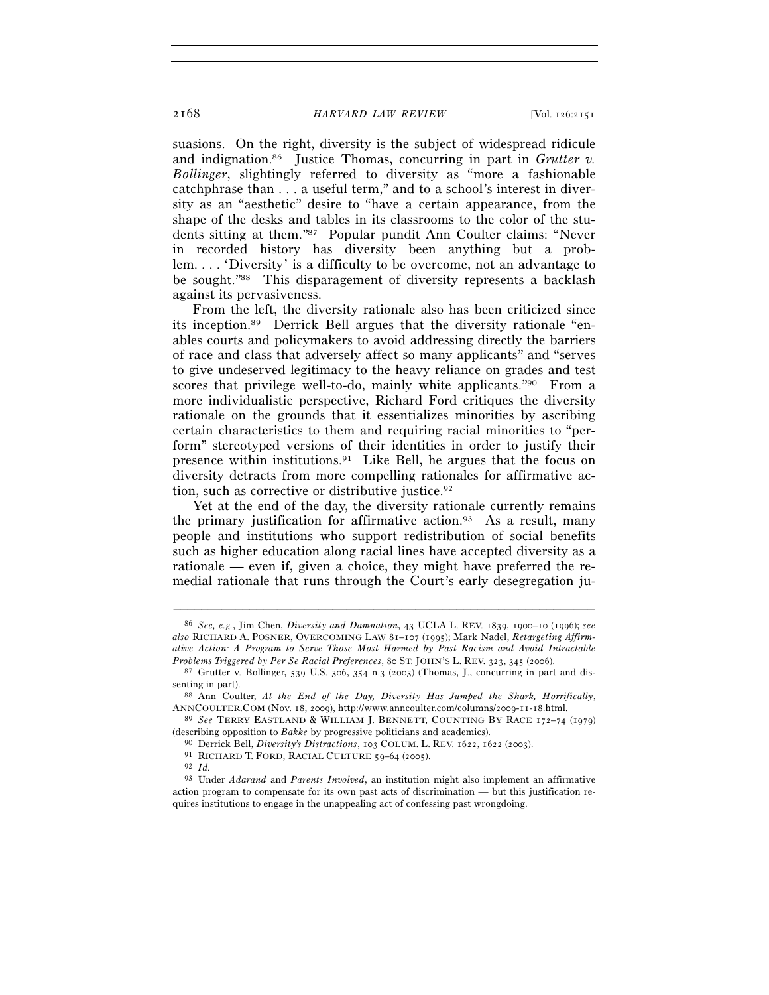suasions. On the right, diversity is the subject of widespread ridicule and indignation.86 Justice Thomas, concurring in part in *Grutter v. Bollinger*, slightingly referred to diversity as "more a fashionable catchphrase than . . . a useful term," and to a school's interest in diversity as an "aesthetic" desire to "have a certain appearance, from the shape of the desks and tables in its classrooms to the color of the students sitting at them."87 Popular pundit Ann Coulter claims: "Never in recorded history has diversity been anything but a problem. . . . 'Diversity' is a difficulty to be overcome, not an advantage to be sought."88 This disparagement of diversity represents a backlash against its pervasiveness.

From the left, the diversity rationale also has been criticized since its inception.89 Derrick Bell argues that the diversity rationale "enables courts and policymakers to avoid addressing directly the barriers of race and class that adversely affect so many applicants" and "serves to give undeserved legitimacy to the heavy reliance on grades and test scores that privilege well-to-do, mainly white applicants."<sup>90</sup> From a more individualistic perspective, Richard Ford critiques the diversity rationale on the grounds that it essentializes minorities by ascribing certain characteristics to them and requiring racial minorities to "perform" stereotyped versions of their identities in order to justify their presence within institutions.<sup>91</sup> Like Bell, he argues that the focus on diversity detracts from more compelling rationales for affirmative action, such as corrective or distributive justice.<sup>92</sup>

Yet at the end of the day, the diversity rationale currently remains the primary justification for affirmative action.<sup>93</sup> As a result, many people and institutions who support redistribution of social benefits such as higher education along racial lines have accepted diversity as a rationale — even if, given a choice, they might have preferred the remedial rationale that runs through the Court's early desegregation ju-

<sup>86</sup> *See, e.g.*, Jim Chen, *Diversity and Damnation*, 43 UCLA L. REV. 1839, 1900–10 (1996); *see also* RICHARD A. POSNER, OVERCOMING LAW 81–107 (1995); Mark Nadel, *Retargeting Affirmative Action: A Program to Serve Those Most Harmed by Past Racism and Avoid Intractable* 

<sup>&</sup>lt;sup>87</sup> Grutter v. Bollinger, 539 U.S. 306, 354 n.3 (2003) (Thomas, J., concurring in part and dissenting in part). 88 Ann Coulter, *At the End of the Day, Diversity Has Jumped the Shark, Horrifically*,

ANNCOULTER.COM (Nov. 18, 2009), http://www.anncoulter.com/columns/2009-11-18.html. 89 *See* TERRY EASTLAND & WILLIAM J. BENNETT, COUNTING BY RACE <sup>172</sup>–74 (1979)

<sup>% (</sup>describing opposition to *Bakke* by progressive politicians and academics).<br><sup>90</sup> Derrick Bell, *Diversity's Distractions*, 103 COLUM. L. REV. 1622, 1622 (2003).<br><sup>91</sup> RICHARD T. FORD, RACIAL CULTURE 59–64 (2005).<br><sup>92</sup> I

<sup>93</sup> Under *Adarand* and *Parents Involved*, an institution might also implement an affirmative action program to compensate for its own past acts of discrimination — but this justification requires institutions to engage in the unappealing act of confessing past wrongdoing.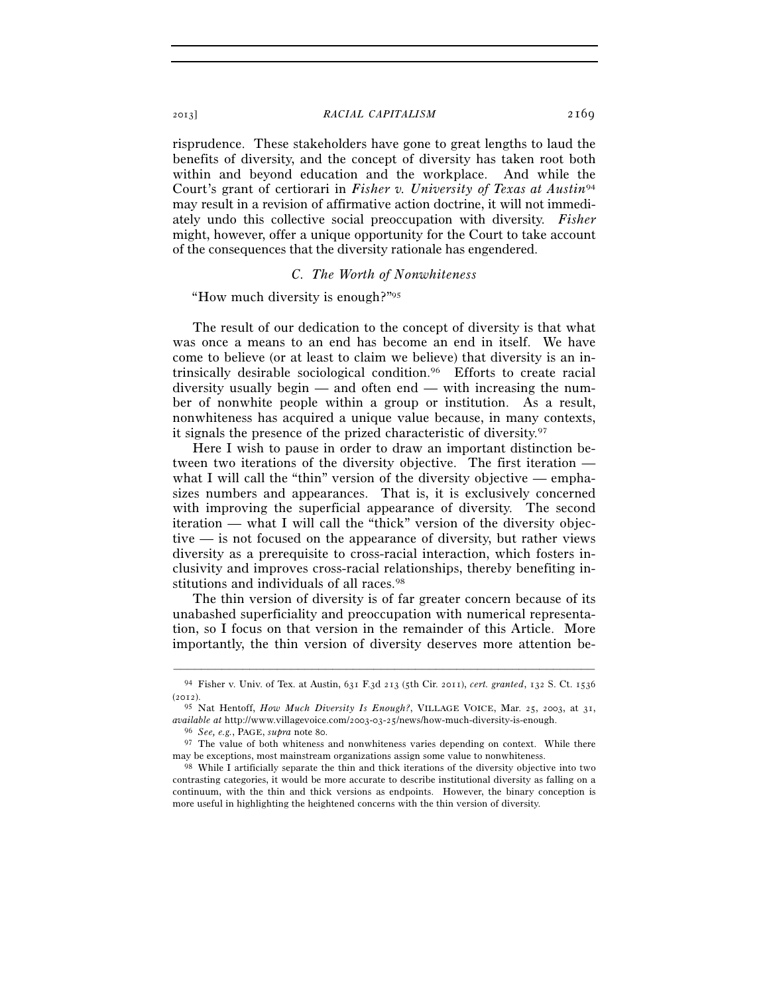risprudence. These stakeholders have gone to great lengths to laud the benefits of diversity, and the concept of diversity has taken root both within and beyond education and the workplace. And while the Court's grant of certiorari in *Fisher v. University of Texas at Austin*<sup>94</sup> may result in a revision of affirmative action doctrine, it will not immediately undo this collective social preoccupation with diversity. *Fisher* might, however, offer a unique opportunity for the Court to take account of the consequences that the diversity rationale has engendered.

# *C. The Worth of Nonwhiteness*

"How much diversity is enough?"95

The result of our dedication to the concept of diversity is that what was once a means to an end has become an end in itself. We have come to believe (or at least to claim we believe) that diversity is an intrinsically desirable sociological condition.96 Efforts to create racial diversity usually begin — and often end — with increasing the number of nonwhite people within a group or institution. As a result, nonwhiteness has acquired a unique value because, in many contexts, it signals the presence of the prized characteristic of diversity.97

Here I wish to pause in order to draw an important distinction between two iterations of the diversity objective. The first iteration what I will call the "thin" version of the diversity objective — emphasizes numbers and appearances. That is, it is exclusively concerned with improving the superficial appearance of diversity. The second iteration — what I will call the "thick" version of the diversity objective — is not focused on the appearance of diversity, but rather views diversity as a prerequisite to cross-racial interaction, which fosters inclusivity and improves cross-racial relationships, thereby benefiting institutions and individuals of all races.<sup>98</sup>

The thin version of diversity is of far greater concern because of its unabashed superficiality and preoccupation with numerical representation, so I focus on that version in the remainder of this Article. More importantly, the thin version of diversity deserves more attention be-

<sup>–––––––––––––––––––––––––––––––––––––––––––––––––––––––––––––</sup> 94 Fisher v. Univ. of Tex. at Austin, 631 F.3d 213 (5th Cir. 2011), *cert. granted*, 132 S. Ct. 1536 (2012).

<sup>95</sup> Nat Hentoff, *How Much Diversity Is Enough?*, VILLAGE VOICE, Mar. 25, 2003, at 31, *available at* http://www.villagevoice.com/2003-03-25/news/how-much-diversity-is-enough. 96 *See, e.g.*, PAGE, *supra* note 80.

 $97$  The value of both whiteness and nonwhiteness varies depending on context. While there may be exceptions, most mainstream organizations assign some value to nonwhiteness. 98 While I artificially separate the thin and thick iterations of the diversity objective into two

contrasting categories, it would be more accurate to describe institutional diversity as falling on a continuum, with the thin and thick versions as endpoints. However, the binary conception is more useful in highlighting the heightened concerns with the thin version of diversity.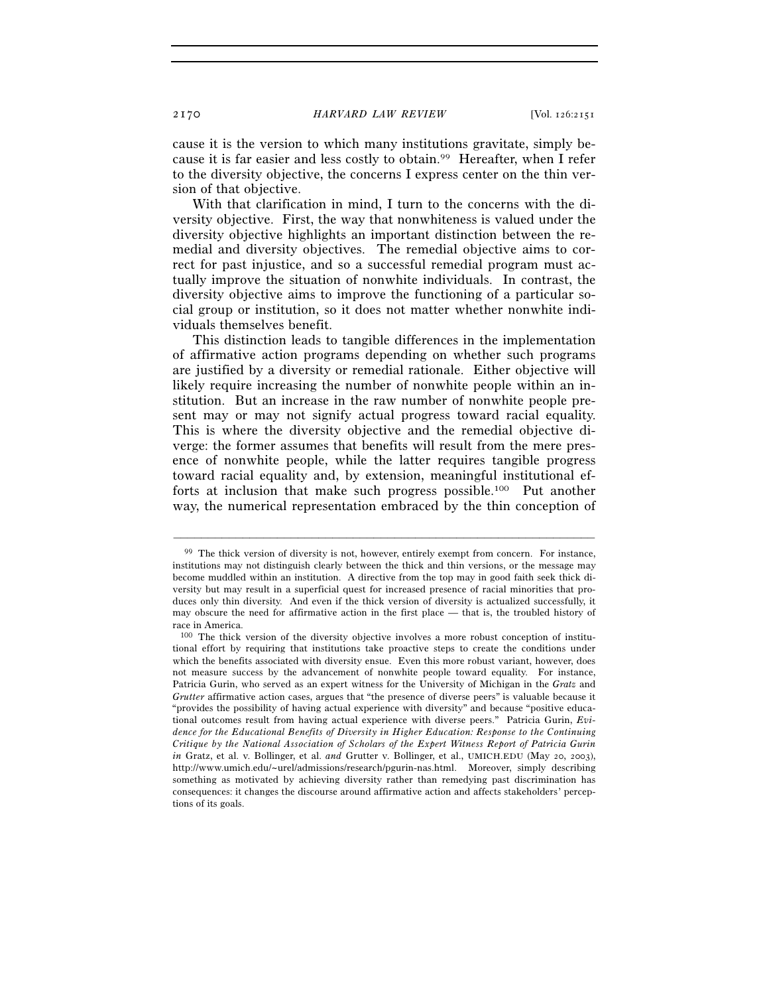cause it is the version to which many institutions gravitate, simply because it is far easier and less costly to obtain.99 Hereafter, when I refer to the diversity objective, the concerns I express center on the thin version of that objective.

With that clarification in mind, I turn to the concerns with the diversity objective. First, the way that nonwhiteness is valued under the diversity objective highlights an important distinction between the remedial and diversity objectives. The remedial objective aims to correct for past injustice, and so a successful remedial program must actually improve the situation of nonwhite individuals. In contrast, the diversity objective aims to improve the functioning of a particular social group or institution, so it does not matter whether nonwhite individuals themselves benefit.

This distinction leads to tangible differences in the implementation of affirmative action programs depending on whether such programs are justified by a diversity or remedial rationale. Either objective will likely require increasing the number of nonwhite people within an institution. But an increase in the raw number of nonwhite people present may or may not signify actual progress toward racial equality. This is where the diversity objective and the remedial objective diverge: the former assumes that benefits will result from the mere presence of nonwhite people, while the latter requires tangible progress toward racial equality and, by extension, meaningful institutional efforts at inclusion that make such progress possible.100 Put another way, the numerical representation embraced by the thin conception of

<sup>99</sup> The thick version of diversity is not, however, entirely exempt from concern. For instance, institutions may not distinguish clearly between the thick and thin versions, or the message may become muddled within an institution. A directive from the top may in good faith seek thick diversity but may result in a superficial quest for increased presence of racial minorities that produces only thin diversity. And even if the thick version of diversity is actualized successfully, it may obscure the need for affirmative action in the first place — that is, the troubled history of race in America.

<sup>100</sup> The thick version of the diversity objective involves a more robust conception of institutional effort by requiring that institutions take proactive steps to create the conditions under which the benefits associated with diversity ensue. Even this more robust variant, however, does not measure success by the advancement of nonwhite people toward equality. For instance, Patricia Gurin, who served as an expert witness for the University of Michigan in the *Gratz* and *Grutter* affirmative action cases, argues that "the presence of diverse peers" is valuable because it "provides the possibility of having actual experience with diversity" and because "positive educational outcomes result from having actual experience with diverse peers." Patricia Gurin, *Evidence for the Educational Benefits of Diversity in Higher Education: Response to the Continuing Critique by the National Association of Scholars of the Expert Witness Report of Patricia Gurin in* Gratz, et al. v. Bollinger, et al. *and* Grutter v. Bollinger, et al., UMICH.EDU (May 20, 2003), http://www.umich.edu/~urel/admissions/research/pgurin-nas.html. Moreover, simply describing something as motivated by achieving diversity rather than remedying past discrimination has consequences: it changes the discourse around affirmative action and affects stakeholders' perceptions of its goals.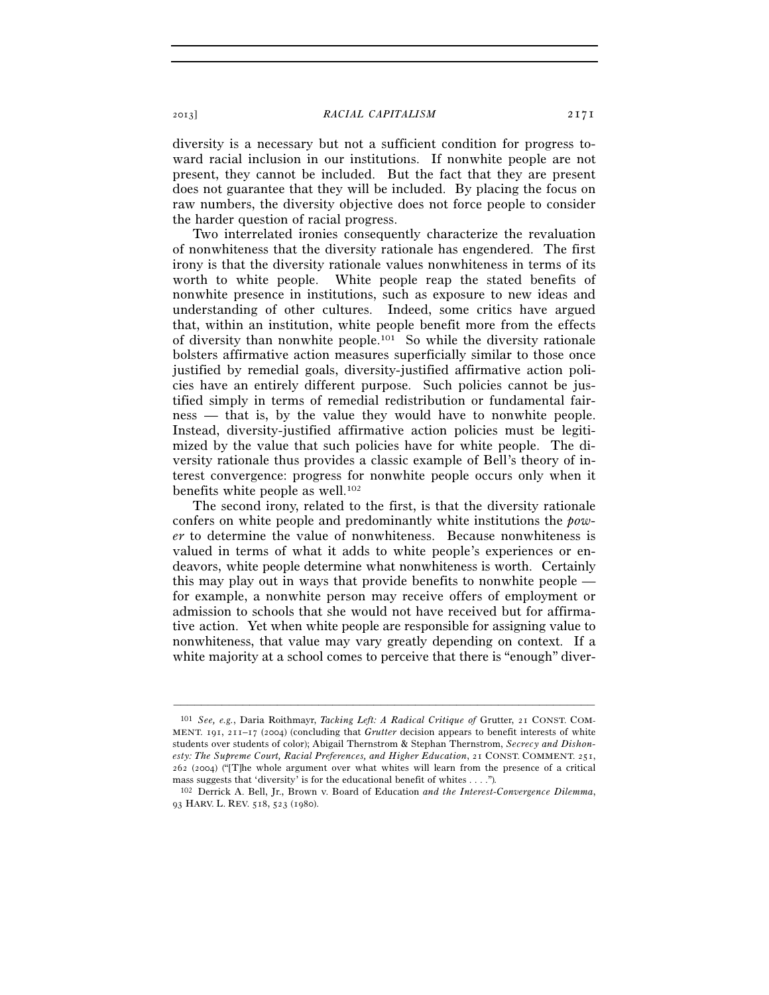diversity is a necessary but not a sufficient condition for progress toward racial inclusion in our institutions. If nonwhite people are not present, they cannot be included. But the fact that they are present does not guarantee that they will be included. By placing the focus on raw numbers, the diversity objective does not force people to consider the harder question of racial progress.

Two interrelated ironies consequently characterize the revaluation of nonwhiteness that the diversity rationale has engendered. The first irony is that the diversity rationale values nonwhiteness in terms of its worth to white people. White people reap the stated benefits of nonwhite presence in institutions, such as exposure to new ideas and understanding of other cultures. Indeed, some critics have argued that, within an institution, white people benefit more from the effects of diversity than nonwhite people.101 So while the diversity rationale bolsters affirmative action measures superficially similar to those once justified by remedial goals, diversity-justified affirmative action policies have an entirely different purpose. Such policies cannot be justified simply in terms of remedial redistribution or fundamental fairness — that is, by the value they would have to nonwhite people. Instead, diversity-justified affirmative action policies must be legitimized by the value that such policies have for white people. The diversity rationale thus provides a classic example of Bell's theory of interest convergence: progress for nonwhite people occurs only when it benefits white people as well.<sup>102</sup>

The second irony, related to the first, is that the diversity rationale confers on white people and predominantly white institutions the *power* to determine the value of nonwhiteness. Because nonwhiteness is valued in terms of what it adds to white people's experiences or endeavors, white people determine what nonwhiteness is worth. Certainly this may play out in ways that provide benefits to nonwhite people for example, a nonwhite person may receive offers of employment or admission to schools that she would not have received but for affirmative action. Yet when white people are responsible for assigning value to nonwhiteness, that value may vary greatly depending on context. If a white majority at a school comes to perceive that there is "enough" diver-

<sup>101</sup> *See, e.g.*, Daria Roithmayr, *Tacking Left: A Radical Critique of* Grutter, 21 CONST. COM-MENT. 191, 211–17 (2004) (concluding that *Grutter* decision appears to benefit interests of white students over students of color); Abigail Thernstrom & Stephan Thernstrom, *Secrecy and Dishonesty: The Supreme Court, Racial Preferences, and Higher Education*, 21 CONST. COMMENT. 251, 262 (2004) ("[T]he whole argument over what whites will learn from the presence of a critical mass suggests that 'diversity' is for the educational benefit of whites . . . .")*.* 

<sup>102</sup> Derrick A. Bell, Jr., Brown v. Board of Education *and the Interest-Convergence Dilemma*, 93 HARV. L. REV. 518, 523 (1980).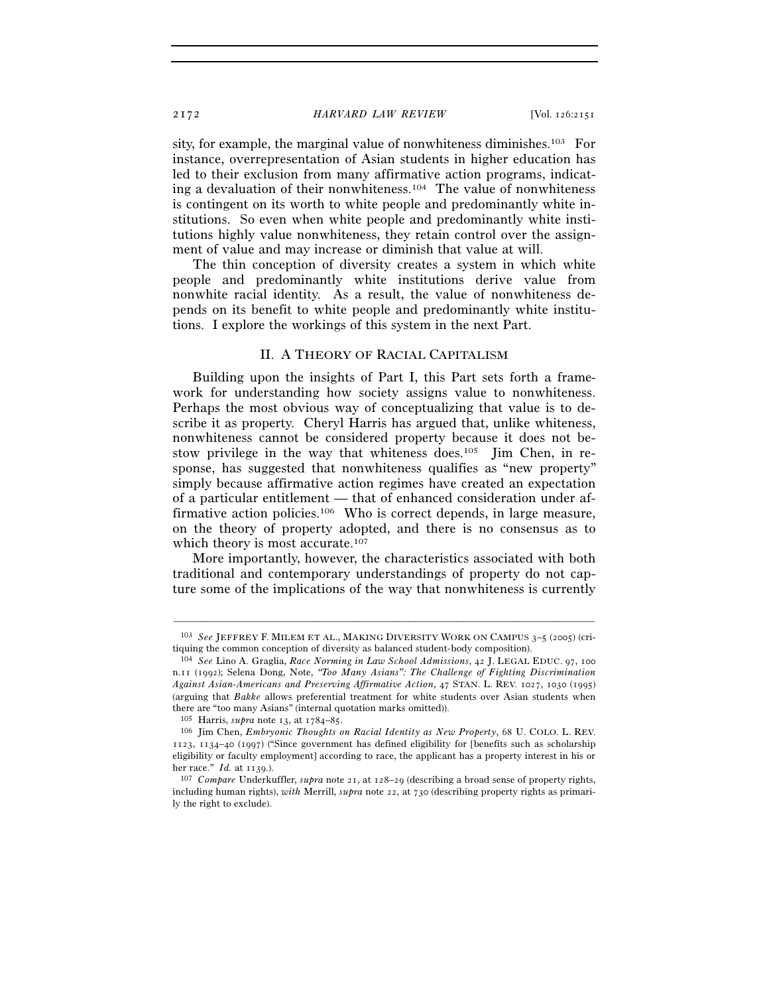sity, for example, the marginal value of nonwhiteness diminishes.103 For instance, overrepresentation of Asian students in higher education has led to their exclusion from many affirmative action programs, indicating a devaluation of their nonwhiteness.104 The value of nonwhiteness is contingent on its worth to white people and predominantly white institutions. So even when white people and predominantly white institutions highly value nonwhiteness, they retain control over the assignment of value and may increase or diminish that value at will.

The thin conception of diversity creates a system in which white people and predominantly white institutions derive value from nonwhite racial identity. As a result, the value of nonwhiteness depends on its benefit to white people and predominantly white institutions. I explore the workings of this system in the next Part.

# II. A THEORY OF RACIAL CAPITALISM

Building upon the insights of Part I, this Part sets forth a framework for understanding how society assigns value to nonwhiteness. Perhaps the most obvious way of conceptualizing that value is to describe it as property. Cheryl Harris has argued that, unlike whiteness, nonwhiteness cannot be considered property because it does not bestow privilege in the way that whiteness does.<sup>105</sup> Jim Chen, in response, has suggested that nonwhiteness qualifies as "new property" simply because affirmative action regimes have created an expectation of a particular entitlement — that of enhanced consideration under affirmative action policies.<sup>106</sup> Who is correct depends, in large measure, on the theory of property adopted, and there is no consensus as to which theory is most accurate.<sup>107</sup>

More importantly, however, the characteristics associated with both traditional and contemporary understandings of property do not capture some of the implications of the way that nonwhiteness is currently

<sup>–––––––––––––––––––––––––––––––––––––––––––––––––––––––––––––</sup> 103 *See* JEFFREY F. MILEM ET AL., MAKING DIVERSITY WORK ON CAMPUS 3–5 (2005) (critiquing the common conception of diversity as balanced student-body composition).

<sup>104</sup> *See* Lino A. Graglia, *Race Norming in Law School Admissions*, 42 J. LEGAL EDUC. 97, 100 n.11 (1992); Selena Dong, Note, *"Too Many Asians": The Challenge of Fighting Discrimination Against Asian-Americans and Preserving Affirmative Action*, 47 STAN. L. REV. 1027, 1030 (1995) (arguing that *Bakke* allows preferential treatment for white students over Asian students when there are "too many Asians" (internal quotation marks omitted)).

<sup>105</sup> Harris, *supra* note 13, at 1784–85. 106 Jim Chen, *Embryonic Thoughts on Racial Identity as New Property*, 68 U. COLO. L. REV. 1123, 1134–40 (1997) ("Since government has defined eligibility for [benefits such as scholarship eligibility or faculty employment] according to race, the applicant has a property interest in his or her race." *Id.* at 1139.).<br><sup>107</sup> *Compare* Underkuffler, *supra* note 21, at 128–29 (describing a broad sense of property rights,

including human rights), *with* Merrill, *supra* note 22, at 730 (describing property rights as primarily the right to exclude).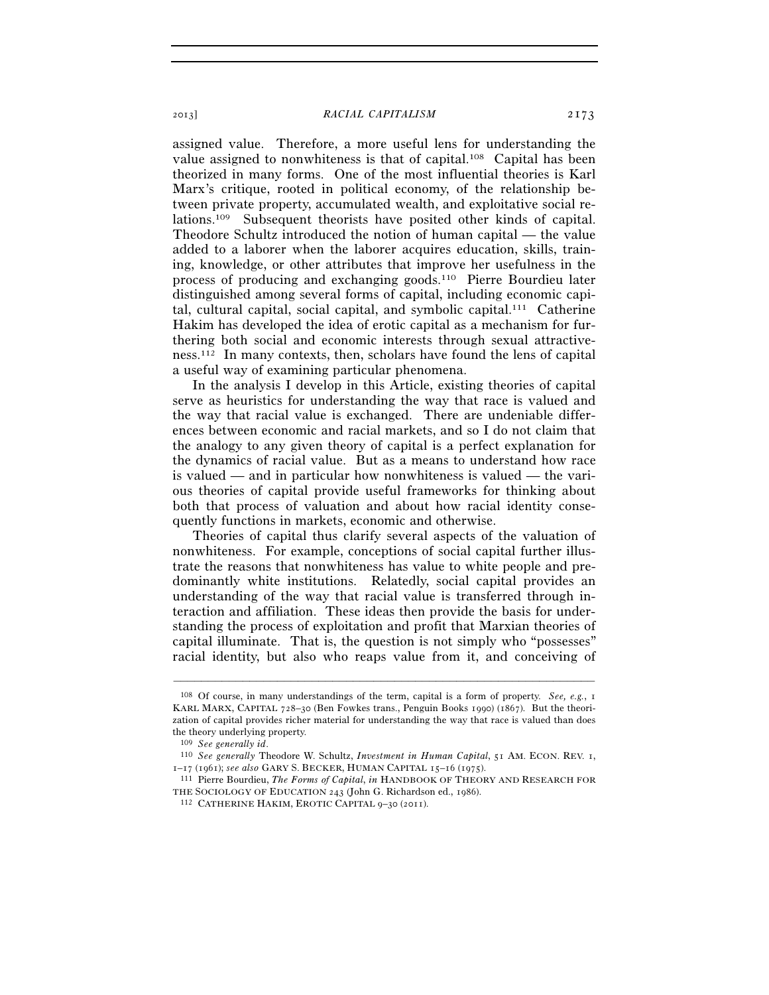assigned value. Therefore, a more useful lens for understanding the value assigned to nonwhiteness is that of capital.<sup>108</sup> Capital has been theorized in many forms. One of the most influential theories is Karl Marx's critique, rooted in political economy, of the relationship between private property, accumulated wealth, and exploitative social relations.109 Subsequent theorists have posited other kinds of capital. Theodore Schultz introduced the notion of human capital — the value added to a laborer when the laborer acquires education, skills, training, knowledge, or other attributes that improve her usefulness in the process of producing and exchanging goods.110 Pierre Bourdieu later distinguished among several forms of capital, including economic capital, cultural capital, social capital, and symbolic capital.111 Catherine Hakim has developed the idea of erotic capital as a mechanism for furthering both social and economic interests through sexual attractiveness.112 In many contexts, then, scholars have found the lens of capital a useful way of examining particular phenomena.

In the analysis I develop in this Article, existing theories of capital serve as heuristics for understanding the way that race is valued and the way that racial value is exchanged. There are undeniable differences between economic and racial markets, and so I do not claim that the analogy to any given theory of capital is a perfect explanation for the dynamics of racial value. But as a means to understand how race is valued — and in particular how nonwhiteness is valued — the various theories of capital provide useful frameworks for thinking about both that process of valuation and about how racial identity consequently functions in markets, economic and otherwise.

Theories of capital thus clarify several aspects of the valuation of nonwhiteness. For example, conceptions of social capital further illustrate the reasons that nonwhiteness has value to white people and predominantly white institutions. Relatedly, social capital provides an understanding of the way that racial value is transferred through interaction and affiliation. These ideas then provide the basis for understanding the process of exploitation and profit that Marxian theories of capital illuminate. That is, the question is not simply who "possesses" racial identity, but also who reaps value from it, and conceiving of

<sup>108</sup> Of course, in many understandings of the term, capital is a form of property. *See, e.g.*, 1 KARL MARX, CAPITAL 728–30 (Ben Fowkes trans., Penguin Books 1990) (1867). But the theorization of capital provides richer material for understanding the way that race is valued than does the theory underlying property.<br> $\frac{109}{2}$  See generally id.

<sup>109</sup> *See generally id*. 110 *See generally* Theodore W. Schultz, *Investment in Human Capital*, 51 AM. ECON. REV. 1, <sup>1</sup>–17 (1961); *see also* GARY S. BECKER, HUMAN CAPITAL <sup>15</sup>–16 (1975). 111 Pierre Bourdieu, *The Forms of Capital*, *in* HANDBOOK OF THEORY AND RESEARCH FOR

THE SOCIOLOGY OF EDUCATION <sup>243</sup> (John G. Richardson ed., 1986). 112 CATHERINE HAKIM, EROTIC CAPITAL <sup>9</sup>–30 (2011).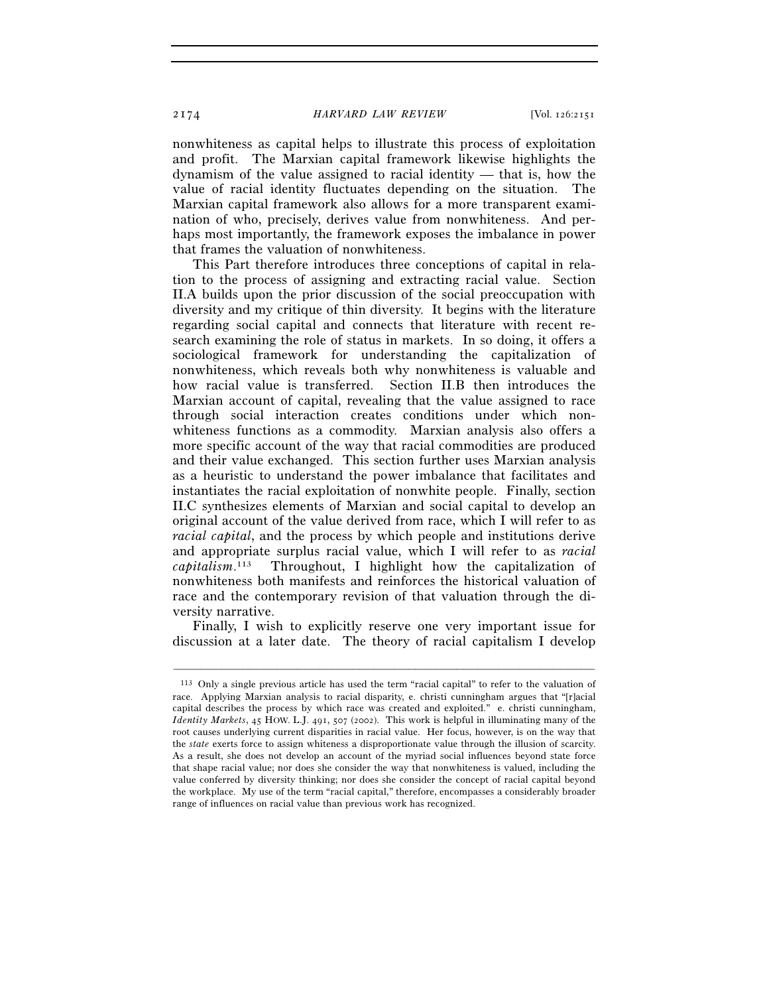nonwhiteness as capital helps to illustrate this process of exploitation and profit. The Marxian capital framework likewise highlights the dynamism of the value assigned to racial identity — that is, how the value of racial identity fluctuates depending on the situation. The Marxian capital framework also allows for a more transparent examination of who, precisely, derives value from nonwhiteness. And perhaps most importantly, the framework exposes the imbalance in power that frames the valuation of nonwhiteness.

This Part therefore introduces three conceptions of capital in relation to the process of assigning and extracting racial value. Section II.A builds upon the prior discussion of the social preoccupation with diversity and my critique of thin diversity. It begins with the literature regarding social capital and connects that literature with recent research examining the role of status in markets. In so doing, it offers a sociological framework for understanding the capitalization of nonwhiteness, which reveals both why nonwhiteness is valuable and how racial value is transferred. Section II.B then introduces the Marxian account of capital, revealing that the value assigned to race through social interaction creates conditions under which nonwhiteness functions as a commodity. Marxian analysis also offers a more specific account of the way that racial commodities are produced and their value exchanged. This section further uses Marxian analysis as a heuristic to understand the power imbalance that facilitates and instantiates the racial exploitation of nonwhite people. Finally, section II.C synthesizes elements of Marxian and social capital to develop an original account of the value derived from race, which I will refer to as *racial capital*, and the process by which people and institutions derive and appropriate surplus racial value, which I will refer to as *racial capitalism*. Throughout, I highlight how the capitalization of nonwhiteness both manifests and reinforces the historical valuation of race and the contemporary revision of that valuation through the diversity narrative.

Finally, I wish to explicitly reserve one very important issue for discussion at a later date. The theory of racial capitalism I develop

<sup>113</sup> Only a single previous article has used the term "racial capital" to refer to the valuation of race. Applying Marxian analysis to racial disparity, e. christi cunningham argues that "[r]acial capital describes the process by which race was created and exploited." e. christi cunningham, *Identity Markets*, 45 HOW. L.J. 491, 507 (2002). This work is helpful in illuminating many of the root causes underlying current disparities in racial value. Her focus, however, is on the way that the *state* exerts force to assign whiteness a disproportionate value through the illusion of scarcity. As a result, she does not develop an account of the myriad social influences beyond state force that shape racial value; nor does she consider the way that nonwhiteness is valued, including the value conferred by diversity thinking; nor does she consider the concept of racial capital beyond the workplace. My use of the term "racial capital," therefore, encompasses a considerably broader range of influences on racial value than previous work has recognized.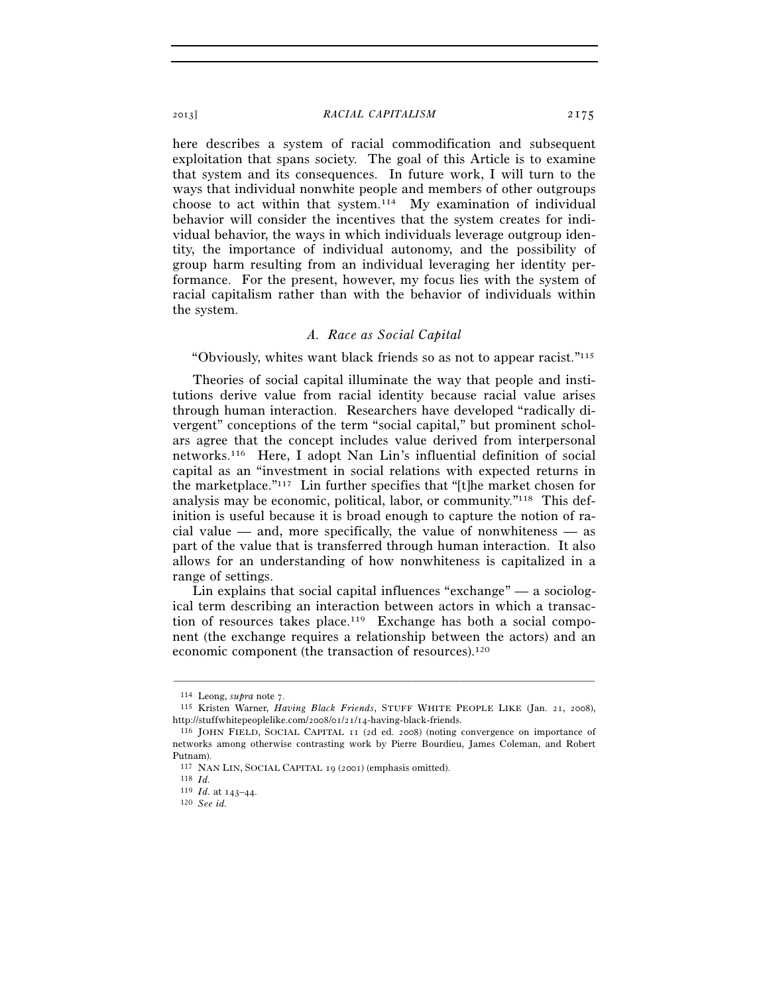here describes a system of racial commodification and subsequent exploitation that spans society. The goal of this Article is to examine that system and its consequences. In future work, I will turn to the ways that individual nonwhite people and members of other outgroups choose to act within that system.114 My examination of individual behavior will consider the incentives that the system creates for individual behavior, the ways in which individuals leverage outgroup identity, the importance of individual autonomy, and the possibility of group harm resulting from an individual leveraging her identity performance. For the present, however, my focus lies with the system of racial capitalism rather than with the behavior of individuals within the system.

# *A. Race as Social Capital*

"Obviously, whites want black friends so as not to appear racist."115

Theories of social capital illuminate the way that people and institutions derive value from racial identity because racial value arises through human interaction. Researchers have developed "radically divergent" conceptions of the term "social capital," but prominent scholars agree that the concept includes value derived from interpersonal networks.116 Here, I adopt Nan Lin's influential definition of social capital as an "investment in social relations with expected returns in the marketplace."117 Lin further specifies that "[t]he market chosen for analysis may be economic, political, labor, or community."118 This definition is useful because it is broad enough to capture the notion of racial value — and, more specifically, the value of nonwhiteness — as part of the value that is transferred through human interaction. It also allows for an understanding of how nonwhiteness is capitalized in a range of settings.

Lin explains that social capital influences "exchange" — a sociological term describing an interaction between actors in which a transaction of resources takes place.<sup>119</sup> Exchange has both a social component (the exchange requires a relationship between the actors) and an economic component (the transaction of resources).120

<sup>114</sup> Leong, *supra* note 7. 115 Kristen Warner, *Having Black Friends*, STUFF WHITE PEOPLE LIKE (Jan. 21, 2008), http://stuffwhitepeoplelike.com/2008/01/21/14-having-black-friends. 116 JOHN FIELD, SOCIAL CAPITAL <sup>11</sup> (2d ed. 2008) (noting convergence on importance of

networks among otherwise contrasting work by Pierre Bourdieu, James Coleman, and Robert Putnam).

<sup>117</sup> NAN LIN, SOCIAL CAPITAL <sup>19</sup> (2001) (emphasis omitted). 118 *Id.* 

<sup>119</sup> *Id.* at 143–44. 120 *See id.*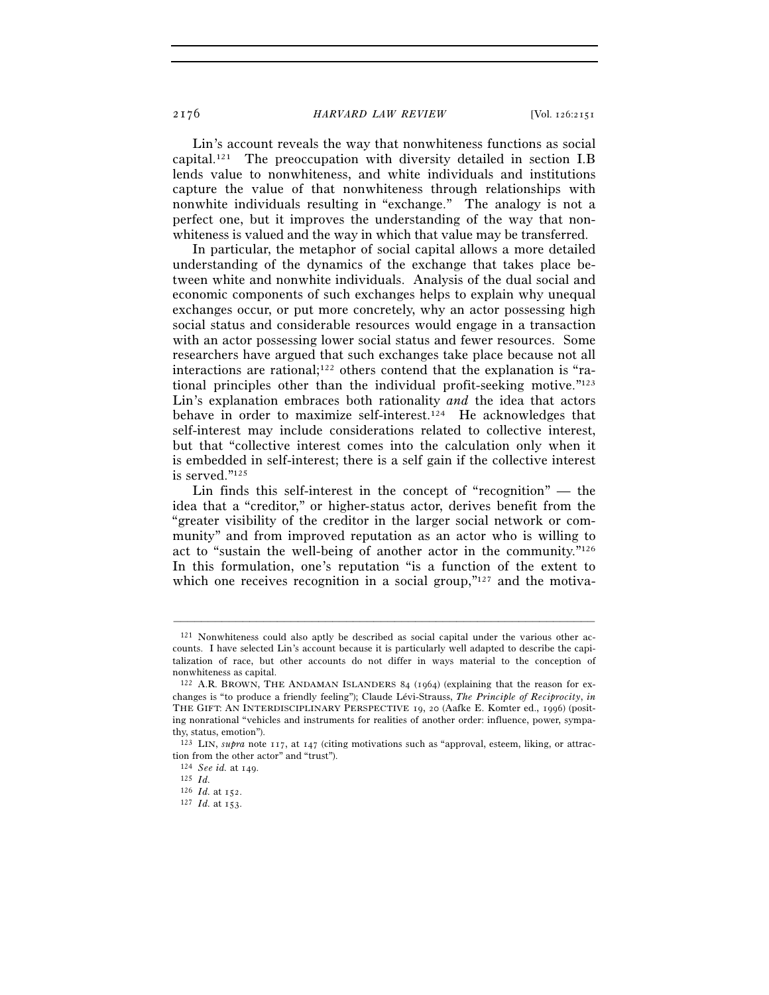Lin's account reveals the way that nonwhiteness functions as social capital.<sup>121</sup> The preoccupation with diversity detailed in section I.B lends value to nonwhiteness, and white individuals and institutions capture the value of that nonwhiteness through relationships with nonwhite individuals resulting in "exchange." The analogy is not a perfect one, but it improves the understanding of the way that nonwhiteness is valued and the way in which that value may be transferred.

In particular, the metaphor of social capital allows a more detailed understanding of the dynamics of the exchange that takes place between white and nonwhite individuals. Analysis of the dual social and economic components of such exchanges helps to explain why unequal exchanges occur, or put more concretely, why an actor possessing high social status and considerable resources would engage in a transaction with an actor possessing lower social status and fewer resources. Some researchers have argued that such exchanges take place because not all interactions are rational;122 others contend that the explanation is "rational principles other than the individual profit-seeking motive."123 Lin's explanation embraces both rationality *and* the idea that actors behave in order to maximize self-interest.124 He acknowledges that self-interest may include considerations related to collective interest, but that "collective interest comes into the calculation only when it is embedded in self-interest; there is a self gain if the collective interest is served."125

Lin finds this self-interest in the concept of "recognition" — the idea that a "creditor," or higher-status actor, derives benefit from the "greater visibility of the creditor in the larger social network or community" and from improved reputation as an actor who is willing to act to "sustain the well-being of another actor in the community."126 In this formulation, one's reputation "is a function of the extent to which one receives recognition in a social group,"<sup>127</sup> and the motiva-

<sup>121</sup> Nonwhiteness could also aptly be described as social capital under the various other accounts. I have selected Lin's account because it is particularly well adapted to describe the capitalization of race, but other accounts do not differ in ways material to the conception of nonwhiteness as capital.

<sup>122</sup> A.R. BROWN, THE ANDAMAN ISLANDERS 84 (1964) (explaining that the reason for exchanges is "to produce a friendly feeling"); Claude Lévi-Strauss, *The Principle of Reciprocity*, *in* THE GIFT: AN INTERDISCIPLINARY PERSPECTIVE 19, 20 (Aafke E. Komter ed., 1996) (positing nonrational "vehicles and instruments for realities of another order: influence, power, sympathy, status, emotion").

<sup>123</sup> LIN, *supra* note 117, at 147 (citing motivations such as "approval, esteem, liking, or attraction from the other actor" and "trust").

<sup>124</sup> *See id.* at 149. 125 *Id.* 

<sup>127</sup> *Id.* at 153.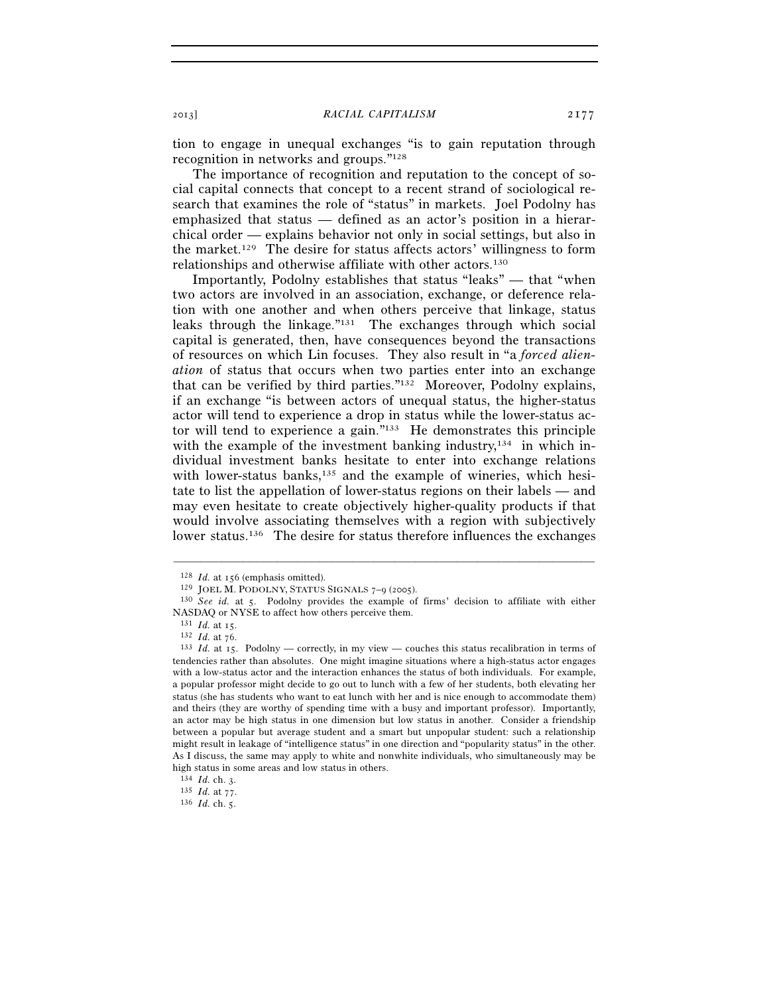tion to engage in unequal exchanges "is to gain reputation through recognition in networks and groups."128

The importance of recognition and reputation to the concept of social capital connects that concept to a recent strand of sociological research that examines the role of "status" in markets. Joel Podolny has emphasized that status — defined as an actor's position in a hierarchical order — explains behavior not only in social settings, but also in the market.129 The desire for status affects actors' willingness to form relationships and otherwise affiliate with other actors.130

Importantly, Podolny establishes that status "leaks" — that "when two actors are involved in an association, exchange, or deference relation with one another and when others perceive that linkage, status leaks through the linkage."131 The exchanges through which social capital is generated, then, have consequences beyond the transactions of resources on which Lin focuses. They also result in "a *forced alienation* of status that occurs when two parties enter into an exchange that can be verified by third parties."132 Moreover, Podolny explains, if an exchange "is between actors of unequal status, the higher-status actor will tend to experience a drop in status while the lower-status actor will tend to experience a gain. $\frac{m_{33}}{12}$  He demonstrates this principle with the example of the investment banking industry,<sup>134</sup> in which individual investment banks hesitate to enter into exchange relations with lower-status banks,<sup>135</sup> and the example of wineries, which hesitate to list the appellation of lower-status regions on their labels — and may even hesitate to create objectively higher-quality products if that would involve associating themselves with a region with subjectively lower status.<sup>136</sup> The desire for status therefore influences the exchanges

<sup>128</sup> *Id.* at 156 (emphasis omitted).<br><sup>129</sup> JOEL M. PODOLNY, STATUS SIGNALS 7–9 (2005).<br><sup>130</sup> *See id.* at 5. Podolny provides the example of firms' decision to affiliate with either NASDAQ or NYSE to affect how others perceive them.<br> $131$  *Id.* at 15.

<sup>131</sup> *Id.* at 15. 132 *Id.* at 76. 133 *Id.* at 15. Podolny — correctly, in my view — couches this status recalibration in terms of tendencies rather than absolutes. One might imagine situations where a high-status actor engages with a low-status actor and the interaction enhances the status of both individuals. For example, a popular professor might decide to go out to lunch with a few of her students, both elevating her status (she has students who want to eat lunch with her and is nice enough to accommodate them) and theirs (they are worthy of spending time with a busy and important professor). Importantly, an actor may be high status in one dimension but low status in another. Consider a friendship between a popular but average student and a smart but unpopular student: such a relationship might result in leakage of "intelligence status" in one direction and "popularity status" in the other. As I discuss, the same may apply to white and nonwhite individuals, who simultaneously may be high status in some areas and low status in others.<br> $^{134}$  *Id.* ch. 3.

<sup>134</sup> *Id.* ch. 3. 135 *Id.* at 77. 136 *Id.* ch. 5.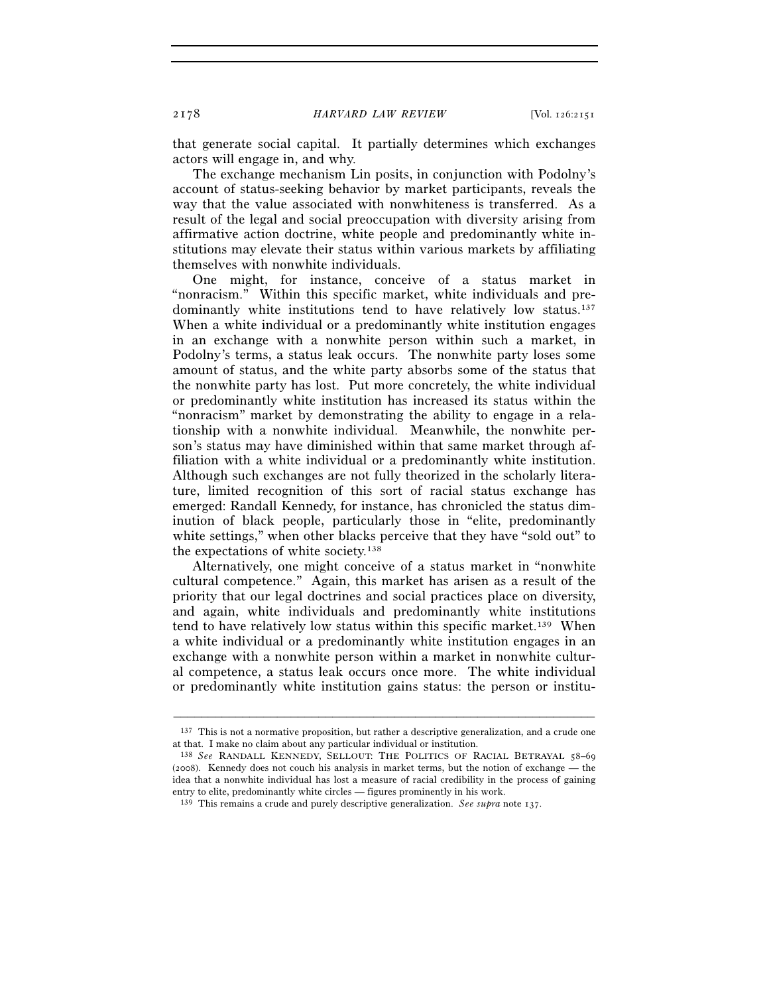that generate social capital. It partially determines which exchanges actors will engage in, and why.

The exchange mechanism Lin posits, in conjunction with Podolny's account of status-seeking behavior by market participants, reveals the way that the value associated with nonwhiteness is transferred. As a result of the legal and social preoccupation with diversity arising from affirmative action doctrine, white people and predominantly white institutions may elevate their status within various markets by affiliating themselves with nonwhite individuals.

One might, for instance, conceive of a status market in "nonracism." Within this specific market, white individuals and predominantly white institutions tend to have relatively low status.<sup>137</sup> When a white individual or a predominantly white institution engages in an exchange with a nonwhite person within such a market, in Podolny's terms, a status leak occurs. The nonwhite party loses some amount of status, and the white party absorbs some of the status that the nonwhite party has lost. Put more concretely, the white individual or predominantly white institution has increased its status within the "nonracism" market by demonstrating the ability to engage in a relationship with a nonwhite individual. Meanwhile, the nonwhite person's status may have diminished within that same market through affiliation with a white individual or a predominantly white institution. Although such exchanges are not fully theorized in the scholarly literature, limited recognition of this sort of racial status exchange has emerged: Randall Kennedy, for instance, has chronicled the status diminution of black people, particularly those in "elite, predominantly white settings," when other blacks perceive that they have "sold out" to the expectations of white society.138

Alternatively, one might conceive of a status market in "nonwhite cultural competence." Again, this market has arisen as a result of the priority that our legal doctrines and social practices place on diversity, and again, white individuals and predominantly white institutions tend to have relatively low status within this specific market.139 When a white individual or a predominantly white institution engages in an exchange with a nonwhite person within a market in nonwhite cultural competence, a status leak occurs once more. The white individual or predominantly white institution gains status: the person or institu-

<sup>–––––––––––––––––––––––––––––––––––––––––––––––––––––––––––––</sup> 137 This is not a normative proposition, but rather a descriptive generalization, and a crude one at that. I make no claim about any particular individual or institution.

<sup>138</sup> *See* RANDALL KENNEDY, SELLOUT: THE POLITICS OF RACIAL BETRAYAL 58–69 (2008). Kennedy does not couch his analysis in market terms, but the notion of exchange — the idea that a nonwhite individual has lost a measure of racial credibility in the process of gaining entry to elite, predominantly white circles — figures prominently in his work.

<sup>139</sup> This remains a crude and purely descriptive generalization. *See supra* note 137.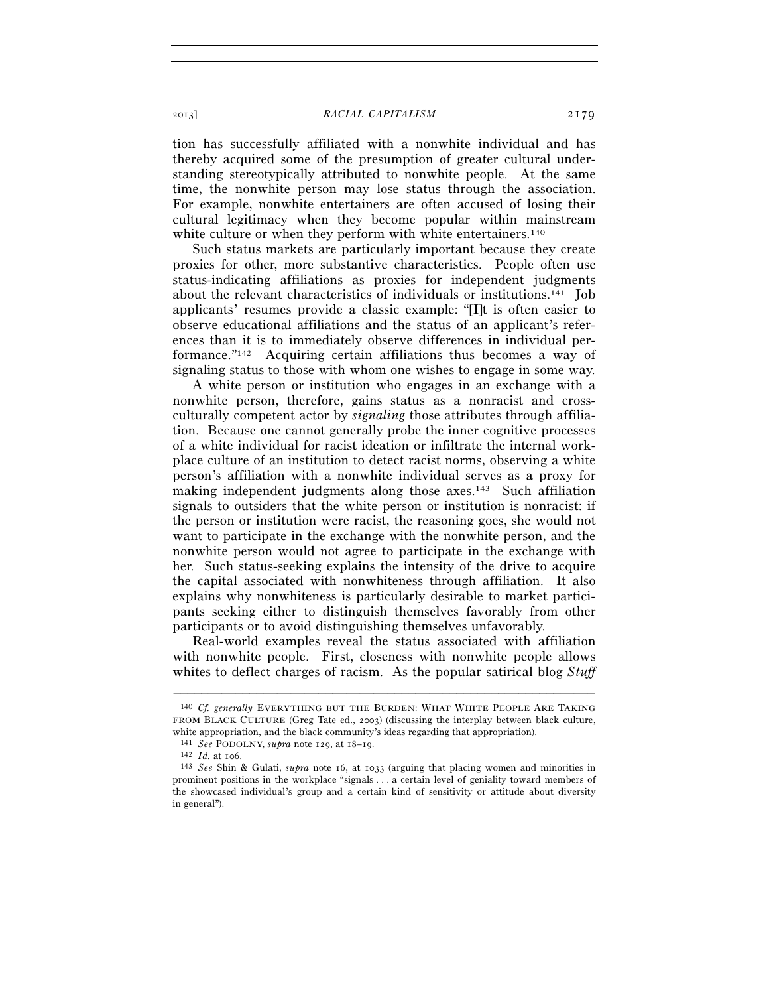tion has successfully affiliated with a nonwhite individual and has thereby acquired some of the presumption of greater cultural understanding stereotypically attributed to nonwhite people. At the same time, the nonwhite person may lose status through the association. For example, nonwhite entertainers are often accused of losing their cultural legitimacy when they become popular within mainstream white culture or when they perform with white entertainers.<sup>140</sup>

Such status markets are particularly important because they create proxies for other, more substantive characteristics. People often use status-indicating affiliations as proxies for independent judgments about the relevant characteristics of individuals or institutions.141 Job applicants' resumes provide a classic example: "[I]t is often easier to observe educational affiliations and the status of an applicant's references than it is to immediately observe differences in individual performance."142 Acquiring certain affiliations thus becomes a way of signaling status to those with whom one wishes to engage in some way.

A white person or institution who engages in an exchange with a nonwhite person, therefore, gains status as a nonracist and crossculturally competent actor by *signaling* those attributes through affiliation. Because one cannot generally probe the inner cognitive processes of a white individual for racist ideation or infiltrate the internal workplace culture of an institution to detect racist norms, observing a white person's affiliation with a nonwhite individual serves as a proxy for making independent judgments along those axes.<sup>143</sup> Such affiliation signals to outsiders that the white person or institution is nonracist: if the person or institution were racist, the reasoning goes, she would not want to participate in the exchange with the nonwhite person, and the nonwhite person would not agree to participate in the exchange with her. Such status-seeking explains the intensity of the drive to acquire the capital associated with nonwhiteness through affiliation. It also explains why nonwhiteness is particularly desirable to market participants seeking either to distinguish themselves favorably from other participants or to avoid distinguishing themselves unfavorably.

Real-world examples reveal the status associated with affiliation with nonwhite people. First, closeness with nonwhite people allows whites to deflect charges of racism. As the popular satirical blog *Stuff* 

<sup>140</sup> *Cf. generally* EVERYTHING BUT THE BURDEN: WHAT WHITE PEOPLE ARE TAKING FROM BLACK CULTURE (Greg Tate ed., 2003) (discussing the interplay between black culture, white appropriation, and the black community's ideas regarding that appropriation).<br>
<sup>141</sup> See PODOLNY, supra note 129, at 18–19.<br>
<sup>142</sup> *Id.* at 106.<br>
<sup>143</sup> See Shin & Gulati, supra note 16, at 1033 (arguing that placing

prominent positions in the workplace "signals . . . a certain level of geniality toward members of the showcased individual's group and a certain kind of sensitivity or attitude about diversity in general").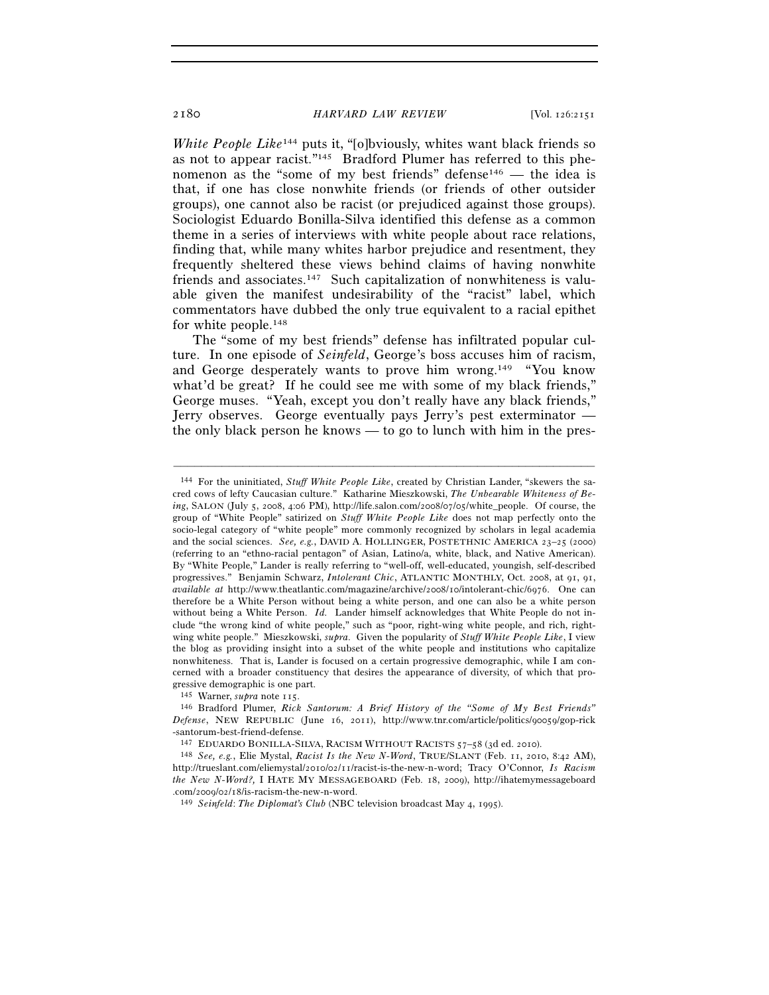*White People Like*<sup>144</sup> puts it, "[o]bviously, whites want black friends so as not to appear racist."145 Bradford Plumer has referred to this phenomenon as the "some of my best friends" defense<sup>146</sup> — the idea is that, if one has close nonwhite friends (or friends of other outsider groups), one cannot also be racist (or prejudiced against those groups). Sociologist Eduardo Bonilla-Silva identified this defense as a common theme in a series of interviews with white people about race relations, finding that, while many whites harbor prejudice and resentment, they frequently sheltered these views behind claims of having nonwhite friends and associates.<sup>147</sup> Such capitalization of nonwhiteness is valuable given the manifest undesirability of the "racist" label, which commentators have dubbed the only true equivalent to a racial epithet for white people.148

The "some of my best friends" defense has infiltrated popular culture. In one episode of *Seinfeld*, George's boss accuses him of racism, and George desperately wants to prove him wrong.149 "You know what'd be great? If he could see me with some of my black friends," George muses. "Yeah, except you don't really have any black friends," Jerry observes. George eventually pays Jerry's pest exterminator the only black person he knows — to go to lunch with him in the pres-

–––––––––––––––––––––––––––––––––––––––––––––––––––––––––––––

145 Warner, *supra* note 115.

<sup>144</sup> For the uninitiated, *Stuff White People Like*, created by Christian Lander, "skewers the sacred cows of lefty Caucasian culture." Katharine Mieszkowski, *The Unbearable Whiteness of Being*, SALON (July 5, 2008, 4:06 PM), http://life.salon.com/2008/07/05/white\_people. Of course, the group of "White People" satirized on *Stuff White People Like* does not map perfectly onto the socio-legal category of "white people" more commonly recognized by scholars in legal academia and the social sciences. *See, e.g.*, DAVID A. HOLLINGER, POSTETHNIC AMERICA 23–25 (2000) (referring to an "ethno-racial pentagon" of Asian, Latino/a, white, black, and Native American). By "White People," Lander is really referring to "well-off, well-educated, youngish, self-described progressives." Benjamin Schwarz, *Intolerant Chic*, ATLANTIC MONTHLY, Oct. 2008, at 91, 91, *available at* http://www.theatlantic.com/magazine/archive/2008/10/intolerant-chic/6976. One can therefore be a White Person without being a white person, and one can also be a white person without being a White Person. *Id.* Lander himself acknowledges that White People do not include "the wrong kind of white people," such as "poor, right-wing white people, and rich, rightwing white people." Mieszkowski, *supra*. Given the popularity of *Stuff White People Like*, I view the blog as providing insight into a subset of the white people and institutions who capitalize nonwhiteness. That is, Lander is focused on a certain progressive demographic, while I am concerned with a broader constituency that desires the appearance of diversity, of which that progressive demographic is one part.

<sup>146</sup> Bradford Plumer, *Rick Santorum: A Brief History of the "Some of My Best Friends" Defense*, NEW REPUBLIC (June 16, 2011), http://www.tnr.com/article/politics/90059/gop-rick -santorum-best-friend-defense.<br><sup>147</sup> EDUARDO BONILLA-SILVA, RACISM WITHOUT RACISTS 57–58 (3d ed. 2010).

<sup>&</sup>lt;sup>148</sup> See, e.g., Elie Mystal, *Racist Is the New N-Word*, TRUE/SLANT (Feb. 11, 2010, 8:42 AM), http://trueslant.com/eliemystal/2010/02/11/racist-is-the-new-n-word; Tracy O'Connor, *Is Racism the New N-Word?,* I HATE MY MESSAGEBOARD (Feb. 18, 2009), http://ihatemymessageboard .com/2009/02/18/is-racism-the-new-n-word. 149 *Seinfeld*: *The Diplomat's Club* (NBC television broadcast May 4, 1995).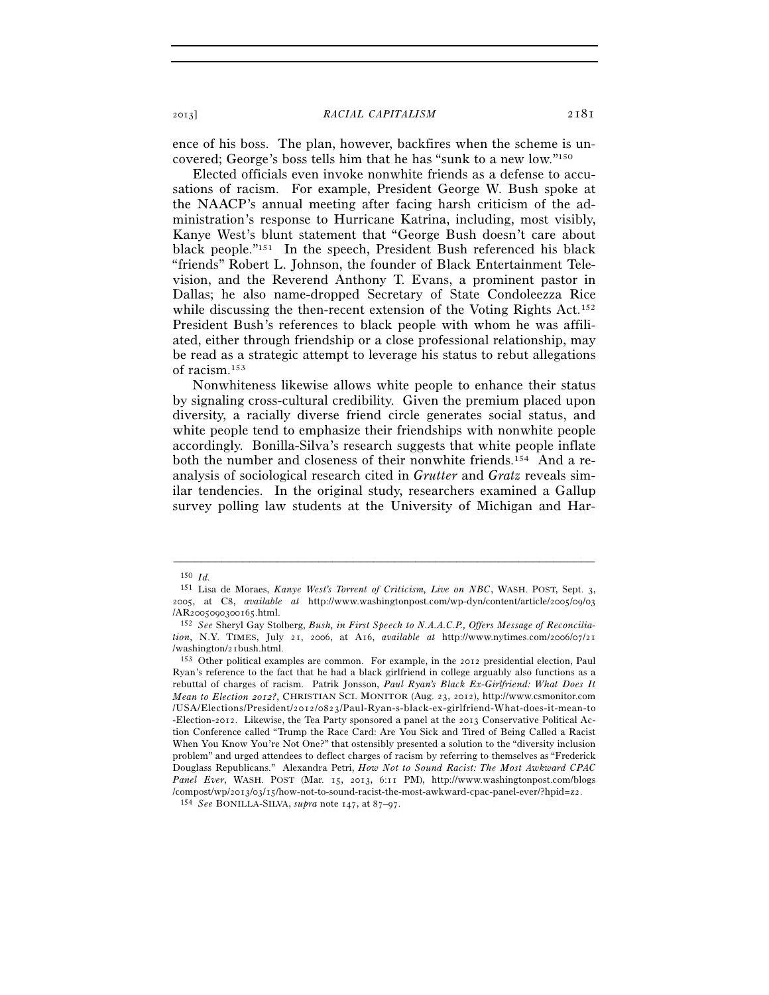ence of his boss. The plan, however, backfires when the scheme is uncovered; George's boss tells him that he has "sunk to a new low."150

Elected officials even invoke nonwhite friends as a defense to accusations of racism. For example, President George W. Bush spoke at the NAACP's annual meeting after facing harsh criticism of the administration's response to Hurricane Katrina, including, most visibly, Kanye West's blunt statement that "George Bush doesn't care about black people."151 In the speech, President Bush referenced his black "friends" Robert L. Johnson, the founder of Black Entertainment Television, and the Reverend Anthony T. Evans, a prominent pastor in Dallas; he also name-dropped Secretary of State Condoleezza Rice while discussing the then-recent extension of the Voting Rights Act.<sup>152</sup> President Bush's references to black people with whom he was affiliated, either through friendship or a close professional relationship, may be read as a strategic attempt to leverage his status to rebut allegations of racism.153

Nonwhiteness likewise allows white people to enhance their status by signaling cross-cultural credibility. Given the premium placed upon diversity, a racially diverse friend circle generates social status, and white people tend to emphasize their friendships with nonwhite people accordingly. Bonilla-Silva's research suggests that white people inflate both the number and closeness of their nonwhite friends.154 And a reanalysis of sociological research cited in *Grutter* and *Gratz* reveals similar tendencies. In the original study, researchers examined a Gallup survey polling law students at the University of Michigan and Har-

<sup>150</sup> *Id.*

<sup>151</sup> Lisa de Moraes, *Kanye West's Torrent of Criticism, Live on NBC*, WASH. POST, Sept. 3, 2005, at C8, *available at* http://www.washingtonpost.com/wp-dyn/content/article/2005/09/03 /AR2005090300165.html. 152 *See* Sheryl Gay Stolberg, *Bush, in First Speech to N.A.A.C.P., Offers Message of Reconcilia-*

*tion*, N.Y. TIMES, July 21, 2006, at A16, *available at* http://www.nytimes.com/2006/07/21 /washington/21bush.html. 153 Other political examples are common. For example, in the 2012 presidential election, Paul

Ryan's reference to the fact that he had a black girlfriend in college arguably also functions as a rebuttal of charges of racism. Patrik Jonsson, *Paul Ryan's Black Ex-Girlfriend: What Does It Mean to Election 2012?*, CHRISTIAN SCI. MONITOR (Aug. 23, 2012), http://www.csmonitor.com /USA/Elections/President/2012/0823/Paul-Ryan-s-black-ex-girlfriend-What-does-it-mean-to -Election-2012. Likewise, the Tea Party sponsored a panel at the 2013 Conservative Political Action Conference called "Trump the Race Card: Are You Sick and Tired of Being Called a Racist When You Know You're Not One?" that ostensibly presented a solution to the "diversity inclusion problem" and urged attendees to deflect charges of racism by referring to themselves as "Frederick Douglass Republicans." Alexandra Petri, *How Not to Sound Racist: The Most Awkward CPAC Panel Ever*, WASH. POST (Mar. 15, 2013, 6:11 PM), http://www.washingtonpost.com/blogs /compost/wp/2013/03/15/how-not-to-sound-racist-the-most-awkward-cpac-panel-ever/?hpid=z2. 154 *See* BONILLA-SILVA, *supra* note 147, at 87–97.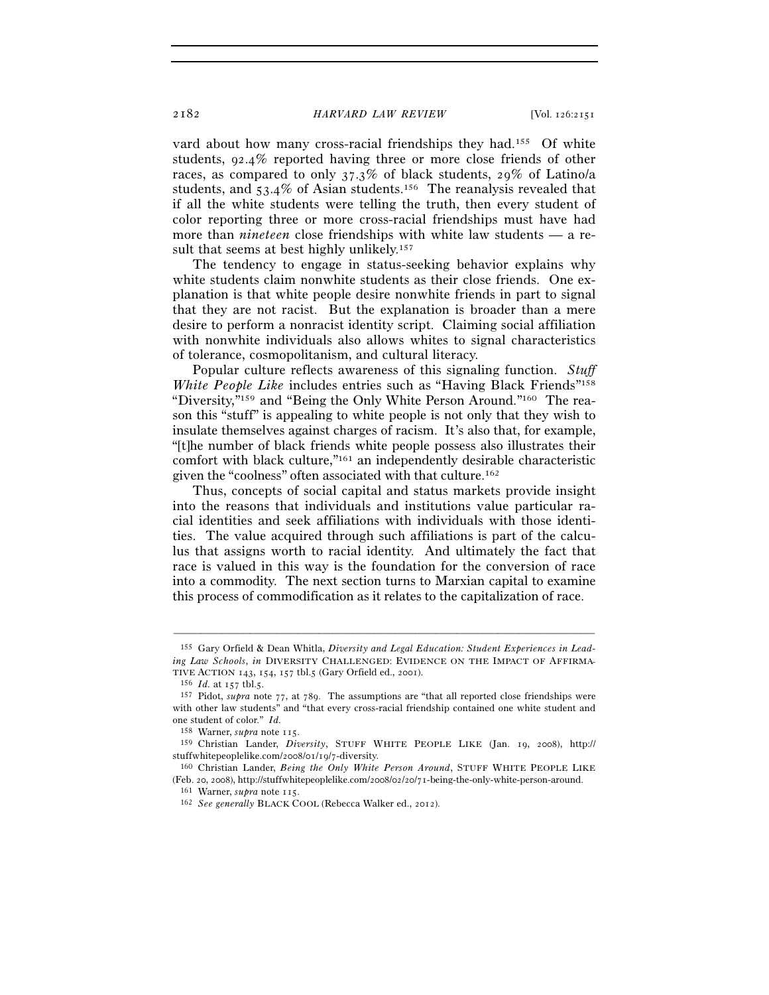vard about how many cross-racial friendships they had.<sup>155</sup> Of white students, 92.4% reported having three or more close friends of other races, as compared to only 37.3% of black students, 29% of Latino/a students, and  $53.4\%$  of Asian students.<sup>156</sup> The reanalysis revealed that if all the white students were telling the truth, then every student of color reporting three or more cross-racial friendships must have had more than *nineteen* close friendships with white law students — a result that seems at best highly unlikely.<sup>157</sup>

The tendency to engage in status-seeking behavior explains why white students claim nonwhite students as their close friends. One explanation is that white people desire nonwhite friends in part to signal that they are not racist. But the explanation is broader than a mere desire to perform a nonracist identity script. Claiming social affiliation with nonwhite individuals also allows whites to signal characteristics of tolerance, cosmopolitanism, and cultural literacy.

Popular culture reflects awareness of this signaling function. *Stuff White People Like* includes entries such as "Having Black Friends"<sup>158</sup> "Diversity,"159 and "Being the Only White Person Around."160 The reason this "stuff" is appealing to white people is not only that they wish to insulate themselves against charges of racism. It's also that, for example, "[t]he number of black friends white people possess also illustrates their comfort with black culture,"161 an independently desirable characteristic given the "coolness" often associated with that culture.162

Thus, concepts of social capital and status markets provide insight into the reasons that individuals and institutions value particular racial identities and seek affiliations with individuals with those identities. The value acquired through such affiliations is part of the calculus that assigns worth to racial identity. And ultimately the fact that race is valued in this way is the foundation for the conversion of race into a commodity. The next section turns to Marxian capital to examine this process of commodification as it relates to the capitalization of race.

<sup>155</sup> Gary Orfield & Dean Whitla, *Diversity and Legal Education: Student Experiences in Leading Law Schools*, *in* DIVERSITY CHALLENGED: EVIDENCE ON THE IMPACT OF AFFIRMA-

TIVE ACTION 143, 154, 157 tbl.5 (Gary Orfield ed., 2001).<br><sup>156</sup> *Id.* at 157 tbl.5.<br><sup>157</sup> Pidot, *supra* note 77, at 789. The assumptions are "that all reported close friendships were with other law students" and "that every cross-racial friendship contained one white student and one student of color." *Id.* 158 Warner, *supra* note 115. 159 Christian Lander, *Diversity*, STUFF WHITE PEOPLE LIKE (Jan. 19, 2008), http://

stuffwhitepeoplelike.com/2008/01/19/7-diversity. 160 Christian Lander, *Being the Only White Person Around*, STUFF WHITE PEOPLE LIKE

<sup>(</sup>Feb. 20, 2008), http://stuffwhitepeoplelike.com/2008/02/20/71-being-the-only-white-person-around. 161 Warner, *supra* note 115. 162 *See generally* BLACK COOL (Rebecca Walker ed., 2012).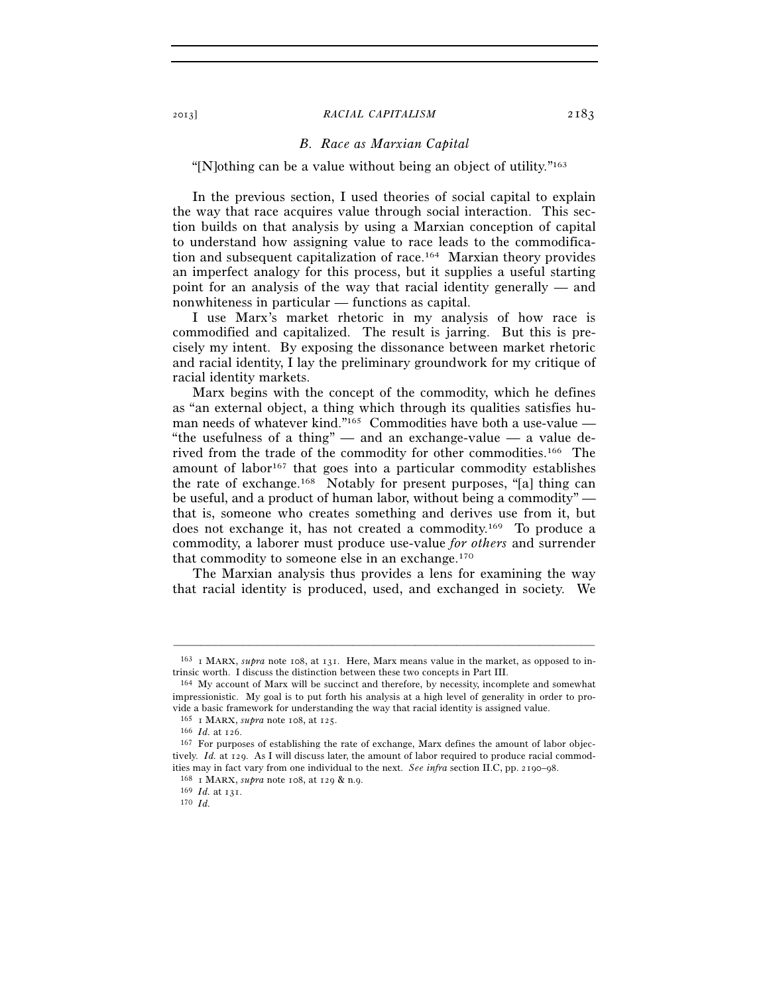# *B. Race as Marxian Capital*

"[N]othing can be a value without being an object of utility."163

In the previous section, I used theories of social capital to explain the way that race acquires value through social interaction. This section builds on that analysis by using a Marxian conception of capital to understand how assigning value to race leads to the commodification and subsequent capitalization of race.164 Marxian theory provides an imperfect analogy for this process, but it supplies a useful starting point for an analysis of the way that racial identity generally — and nonwhiteness in particular — functions as capital.

I use Marx's market rhetoric in my analysis of how race is commodified and capitalized. The result is jarring. But this is precisely my intent. By exposing the dissonance between market rhetoric and racial identity, I lay the preliminary groundwork for my critique of racial identity markets.

Marx begins with the concept of the commodity, which he defines as "an external object, a thing which through its qualities satisfies human needs of whatever kind."165 Commodities have both a use-value — "the usefulness of a thing" — and an exchange-value — a value derived from the trade of the commodity for other commodities.166 The amount of labor<sup>167</sup> that goes into a particular commodity establishes the rate of exchange.168 Notably for present purposes, "[a] thing can be useful, and a product of human labor, without being a commodity" that is, someone who creates something and derives use from it, but does not exchange it, has not created a commodity.169 To produce a commodity, a laborer must produce use-value *for others* and surrender that commodity to someone else in an exchange.<sup>170</sup>

The Marxian analysis thus provides a lens for examining the way that racial identity is produced, used, and exchanged in society. We

<sup>–––––––––––––––––––––––––––––––––––––––––––––––––––––––––––––</sup> 163 1 MARX, *supra* note 108, at 131. Here, Marx means value in the market, as opposed to intrinsic worth. I discuss the distinction between these two concepts in Part III. 164 My account of Marx will be succinct and therefore, by necessity, incomplete and somewhat

impressionistic. My goal is to put forth his analysis at a high level of generality in order to provide a basic framework for understanding the way that racial identity is assigned value.<br><sup>165</sup> I MARX, *supra* note 108, at 125.<br><sup>166</sup> *Id.* at 126.<br><sup>166</sup> *Id.* at 126.<br><sup>167</sup> For purposes of establishing the rate of excha

tively. *Id.* at 129. As I will discuss later, the amount of labor required to produce racial commodities may in fact vary from one individual to the next. *See infra* section II.C, pp. 2190–98.<br><sup>168</sup> 1 MARX, *supra* note 108, at 129 & n.9.<br><sup>169</sup> *Id.* at 131.<br><sup>170</sup> *Id.*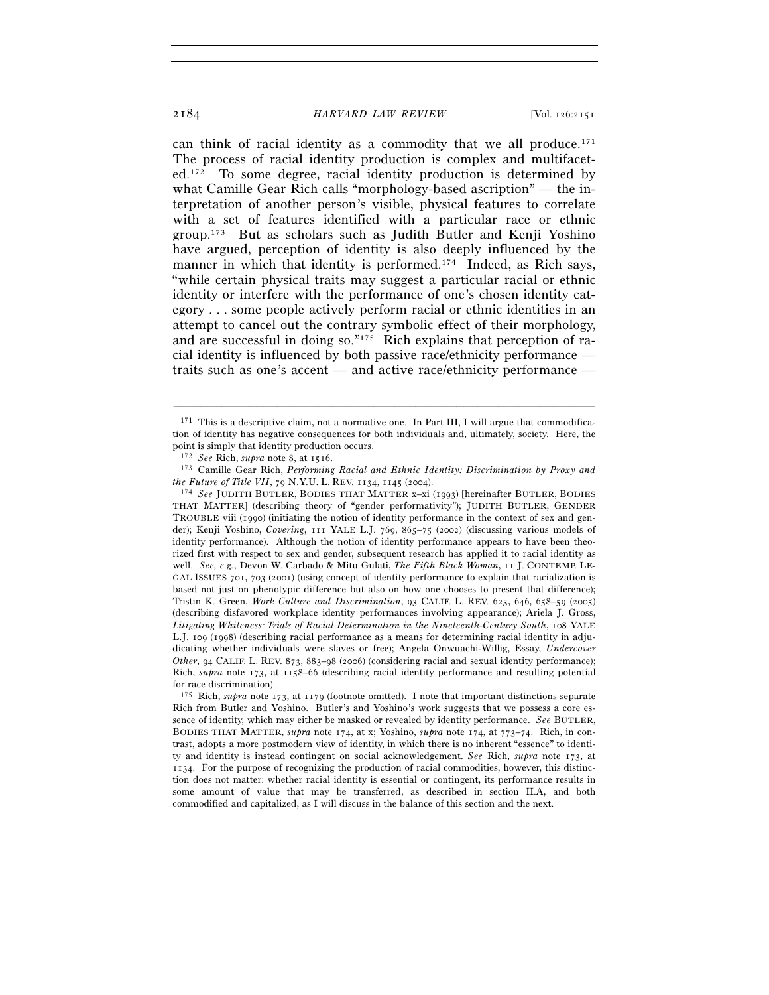can think of racial identity as a commodity that we all produce.171 The process of racial identity production is complex and multifaceted.172 To some degree, racial identity production is determined by what Camille Gear Rich calls "morphology-based ascription" — the interpretation of another person's visible, physical features to correlate with a set of features identified with a particular race or ethnic group.173 But as scholars such as Judith Butler and Kenji Yoshino have argued, perception of identity is also deeply influenced by the manner in which that identity is performed.<sup>174</sup> Indeed, as Rich says, "while certain physical traits may suggest a particular racial or ethnic identity or interfere with the performance of one's chosen identity category . . . some people actively perform racial or ethnic identities in an attempt to cancel out the contrary symbolic effect of their morphology, and are successful in doing so."175 Rich explains that perception of racial identity is influenced by both passive race/ethnicity performance traits such as one's accent — and active race/ethnicity performance —

 $1^{71}$  This is a descriptive claim, not a normative one. In Part III, I will argue that commodification of identity has negative consequences for both individuals and, ultimately, society. Here, the point is simply that identity production occurs.

<sup>172</sup> *See* Rich, *supra* note 8, at 1516. 173 Camille Gear Rich, *Performing Racial and Ethnic Identity: Discrimination by Proxy and the Future of Title VII*, 79 N.Y.U. L. REV. 1134, 1145 (2004).<br><sup>174</sup> *See* JUDITH BUTLER, BODIES THAT MATTER x–xi (1993) [hereinafter BUTLER, BODIES

THAT MATTER] (describing theory of "gender performativity"); JUDITH BUTLER, GENDER TROUBLE viii (1990) (initiating the notion of identity performance in the context of sex and gender); Kenji Yoshino, *Covering*, 111 YALE L.J. 769, 865–75 (2002) (discussing various models of identity performance). Although the notion of identity performance appears to have been theorized first with respect to sex and gender, subsequent research has applied it to racial identity as well. *See, e.g.*, Devon W. Carbado & Mitu Gulati, *The Fifth Black Woman*, 11 J. CONTEMP. LE-GAL ISSUES 701, 703 (2001) (using concept of identity performance to explain that racialization is based not just on phenotypic difference but also on how one chooses to present that difference); Tristin K. Green, *Work Culture and Discrimination*, 93 CALIF. L. REV. 623, 646, 658–59 (2005) (describing disfavored workplace identity performances involving appearance); Ariela J. Gross, *Litigating Whiteness: Trials of Racial Determination in the Nineteenth-Century South*, 108 YALE L.J. 109 (1998) (describing racial performance as a means for determining racial identity in adjudicating whether individuals were slaves or free); Angela Onwuachi-Willig, Essay, *Undercover Other*, 94 CALIF. L. REV. 873, 883–98 (2006) (considering racial and sexual identity performance); Rich, *supra* note 173, at 1158–66 (describing racial identity performance and resulting potential for race discrimination).

<sup>175</sup> Rich, *supra* note 173, at 1179 (footnote omitted). I note that important distinctions separate Rich from Butler and Yoshino. Butler's and Yoshino's work suggests that we possess a core essence of identity, which may either be masked or revealed by identity performance. *See* BUTLER, BODIES THAT MATTER, *supra* note 174, at x; Yoshino, *supra* note 174, at 773–74. Rich, in contrast, adopts a more postmodern view of identity, in which there is no inherent "essence" to identity and identity is instead contingent on social acknowledgement. *See* Rich, *supra* note 173, at 1134. For the purpose of recognizing the production of racial commodities, however, this distinction does not matter: whether racial identity is essential or contingent, its performance results in some amount of value that may be transferred, as described in section II.A, and both commodified and capitalized, as I will discuss in the balance of this section and the next.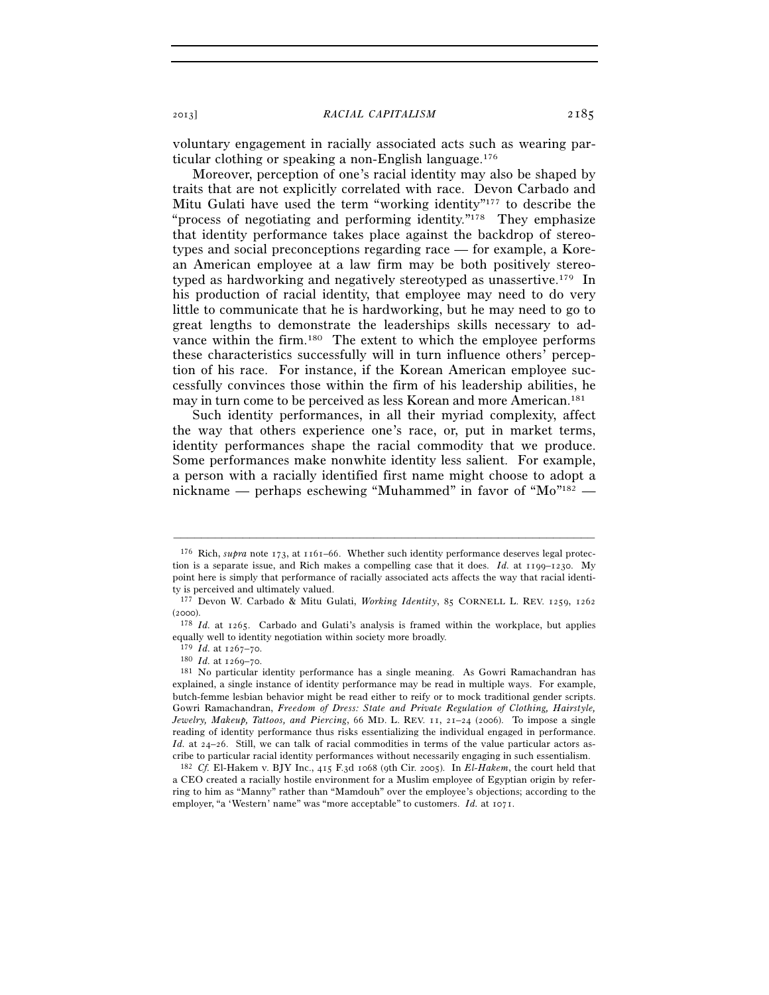voluntary engagement in racially associated acts such as wearing particular clothing or speaking a non-English language.176

Moreover, perception of one's racial identity may also be shaped by traits that are not explicitly correlated with race. Devon Carbado and Mitu Gulati have used the term "working identity"177 to describe the "process of negotiating and performing identity."178 They emphasize that identity performance takes place against the backdrop of stereotypes and social preconceptions regarding race — for example, a Korean American employee at a law firm may be both positively stereotyped as hardworking and negatively stereotyped as unassertive.179 In his production of racial identity, that employee may need to do very little to communicate that he is hardworking, but he may need to go to great lengths to demonstrate the leaderships skills necessary to advance within the firm.180 The extent to which the employee performs these characteristics successfully will in turn influence others' perception of his race. For instance, if the Korean American employee successfully convinces those within the firm of his leadership abilities, he may in turn come to be perceived as less Korean and more American.181

Such identity performances, in all their myriad complexity, affect the way that others experience one's race, or, put in market terms, identity performances shape the racial commodity that we produce. Some performances make nonwhite identity less salient. For example, a person with a racially identified first name might choose to adopt a nickname — perhaps eschewing "Muhammed" in favor of "Mo"182 —

<sup>176</sup> Rich, *supra* note 173, at 1161–66. Whether such identity performance deserves legal protection is a separate issue, and Rich makes a compelling case that it does. *Id.* at 1199–1230. My point here is simply that performance of racially associated acts affects the way that racial identity is perceived and ultimately valued.

<sup>177</sup> Devon W. Carbado & Mitu Gulati, *Working Identity*, 85 CORNELL L. REV. 1259, 1262 (2000). 178 *Id.* at 1265. Carbado and Gulati's analysis is framed within the workplace, but applies

equally well to identity negotiation within society more broadly.  $^{179}$   $\, Id.$  at 1267–70.

<sup>&</sup>lt;sup>180</sup> *Id.* at 1269–70. 180 *Id.* at 1269–70. 181 *Isa identify performance has a single meaning.* As Gowri Ramachandran has explained, a single instance of identity performance may be read in multiple ways. For example, butch-femme lesbian behavior might be read either to reify or to mock traditional gender scripts. Gowri Ramachandran, *Freedom of Dress: State and Private Regulation of Clothing, Hairstyle, Jewelry, Makeup, Tattoos, and Piercing*, 66 MD. L. REV. 11, 21–24 (2006). To impose a single reading of identity performance thus risks essentializing the individual engaged in performance. *Id.* at 24-26. Still, we can talk of racial commodities in terms of the value particular actors ascribe to particular racial identity performances without necessarily engaging in such essentialism. 182 *Cf.* El-Hakem v. BJY Inc., 415 F.3d 1068 (9th Cir. 2005). In *El-Hakem*, the court held that

a CEO created a racially hostile environment for a Muslim employee of Egyptian origin by referring to him as "Manny" rather than "Mamdouh" over the employee's objections; according to the employer, "a 'Western' name" was "more acceptable" to customers. *Id.* at 1071.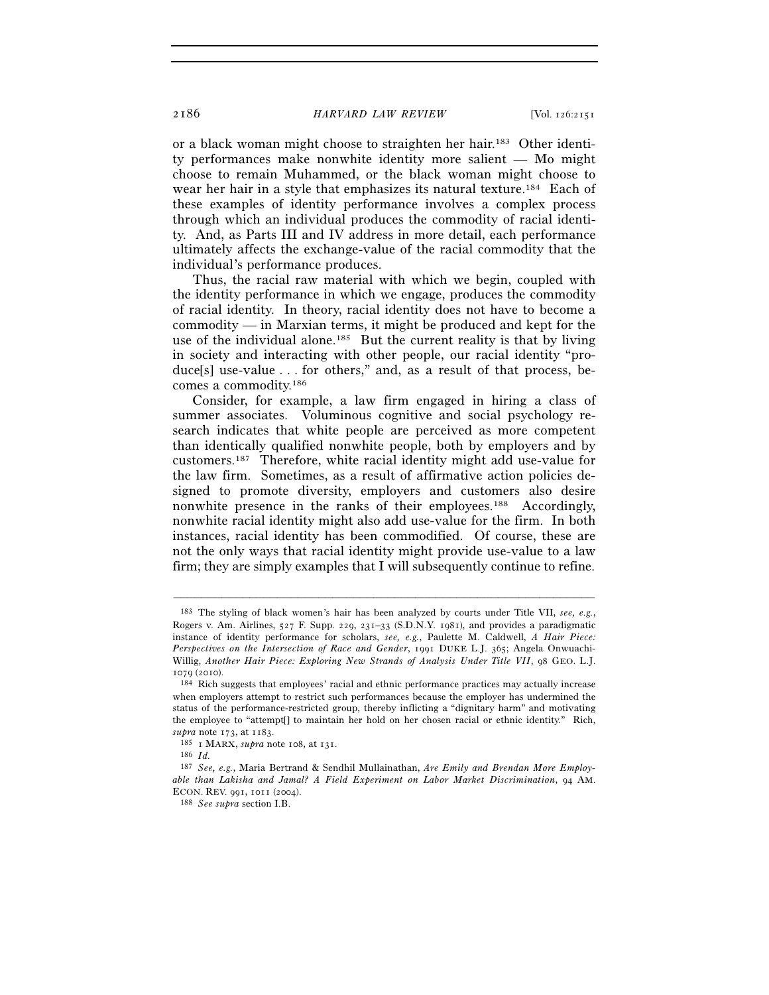or a black woman might choose to straighten her hair.183 Other identity performances make nonwhite identity more salient — Mo might choose to remain Muhammed, or the black woman might choose to wear her hair in a style that emphasizes its natural texture.184 Each of these examples of identity performance involves a complex process through which an individual produces the commodity of racial identity. And, as Parts III and IV address in more detail, each performance ultimately affects the exchange-value of the racial commodity that the individual's performance produces.

Thus, the racial raw material with which we begin, coupled with the identity performance in which we engage, produces the commodity of racial identity. In theory, racial identity does not have to become a commodity — in Marxian terms, it might be produced and kept for the use of the individual alone.<sup>185</sup> But the current reality is that by living in society and interacting with other people, our racial identity "produce[s] use-value . . . for others," and, as a result of that process, becomes a commodity.186

Consider, for example, a law firm engaged in hiring a class of summer associates. Voluminous cognitive and social psychology research indicates that white people are perceived as more competent than identically qualified nonwhite people, both by employers and by customers.187 Therefore, white racial identity might add use-value for the law firm. Sometimes, as a result of affirmative action policies designed to promote diversity, employers and customers also desire nonwhite presence in the ranks of their employees.<sup>188</sup> Accordingly, nonwhite racial identity might also add use-value for the firm. In both instances, racial identity has been commodified. Of course, these are not the only ways that racial identity might provide use-value to a law firm; they are simply examples that I will subsequently continue to refine.

<sup>183</sup> The styling of black women's hair has been analyzed by courts under Title VII, *see, e.g.*, Rogers v. Am. Airlines, 527 F. Supp. 229, 231–33 (S.D.N.Y. 1981), and provides a paradigmatic instance of identity performance for scholars, *see, e.g.*, Paulette M. Caldwell, *A Hair Piece: Perspectives on the Intersection of Race and Gender*, 1991 DUKE L.J. 365; Angela Onwuachi-Willig, *Another Hair Piece: Exploring New Strands of Analysis Under Title VII*, 98 GEO. L.J. 1079 (2010). 184 Rich suggests that employees' racial and ethnic performance practices may actually increase

when employers attempt to restrict such performances because the employer has undermined the status of the performance-restricted group, thereby inflicting a "dignitary harm" and motivating the employee to "attempt[] to maintain her hold on her chosen racial or ethnic identity." Rich,

*supra* note 173, at 1183.<br><sup>185</sup> 1 MARX, *supra* note 108, at 131.<br><sup>186</sup> *Id.* 

<sup>187</sup> *See, e.g.*, Maria Bertrand & Sendhil Mullainathan, *Are Emily and Brendan More Employable than Lakisha and Jamal? A Field Experiment on Labor Market Discrimination*, 94 AM. ECON. REV. 991, 1011 (2004). 188 *See supra* section I.B.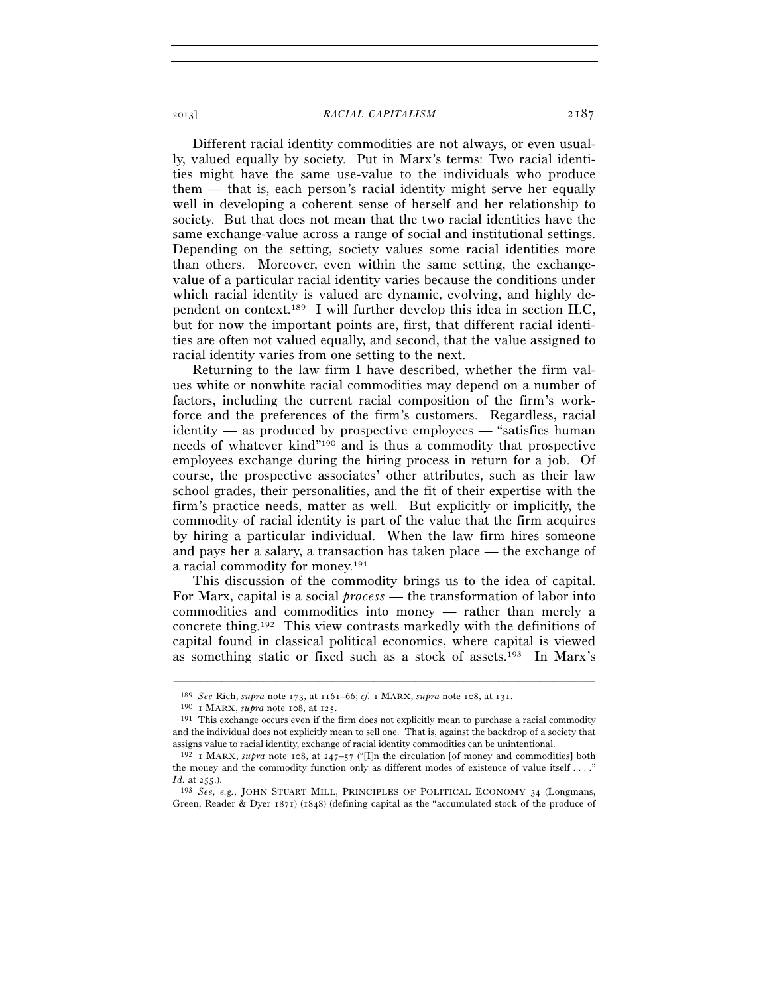Different racial identity commodities are not always, or even usually, valued equally by society. Put in Marx's terms: Two racial identities might have the same use-value to the individuals who produce them — that is, each person's racial identity might serve her equally well in developing a coherent sense of herself and her relationship to society. But that does not mean that the two racial identities have the same exchange-value across a range of social and institutional settings. Depending on the setting, society values some racial identities more than others. Moreover, even within the same setting, the exchangevalue of a particular racial identity varies because the conditions under which racial identity is valued are dynamic, evolving, and highly dependent on context.189 I will further develop this idea in section II.C, but for now the important points are, first, that different racial identities are often not valued equally, and second, that the value assigned to racial identity varies from one setting to the next.

Returning to the law firm I have described, whether the firm values white or nonwhite racial commodities may depend on a number of factors, including the current racial composition of the firm's workforce and the preferences of the firm's customers. Regardless, racial identity — as produced by prospective employees — "satisfies human needs of whatever kind"190 and is thus a commodity that prospective employees exchange during the hiring process in return for a job. Of course, the prospective associates' other attributes, such as their law school grades, their personalities, and the fit of their expertise with the firm's practice needs, matter as well. But explicitly or implicitly, the commodity of racial identity is part of the value that the firm acquires by hiring a particular individual. When the law firm hires someone and pays her a salary, a transaction has taken place — the exchange of a racial commodity for money.191

This discussion of the commodity brings us to the idea of capital. For Marx, capital is a social *process* — the transformation of labor into commodities and commodities into money — rather than merely a concrete thing.192 This view contrasts markedly with the definitions of capital found in classical political economics, where capital is viewed as something static or fixed such as a stock of assets.193 In Marx's

<sup>&</sup>lt;sup>189</sup> See Rich, supra note 173, at 1161–66; cf. 1 MARX, supra note 108, at 131.<br><sup>190</sup> 1 MARX, supra note 108, at 125.<br><sup>191</sup> This exchange occurs even if the firm does not explicitly mean to purchase a racial commodity and the individual does not explicitly mean to sell one. That is, against the backdrop of a society that assigns value to racial identity, exchange of racial identity commodities can be unintentional.

<sup>&</sup>lt;sup>192</sup> I MARX, *supra* note 108, at  $247-57$  ("IIn the circulation [of money and commodities] both the money and the commodity function only as different modes of existence of value itself . . . ."<br>*Id.* at  $255$ .).

<sup>&</sup>lt;sup>193</sup> *See, e.g.*, JOHN STUART MILL, PRINCIPLES OF POLITICAL ECONOMY 34 (Longmans, Green, Reader & Dyer 1871) (1848) (defining capital as the "accumulated stock of the produce of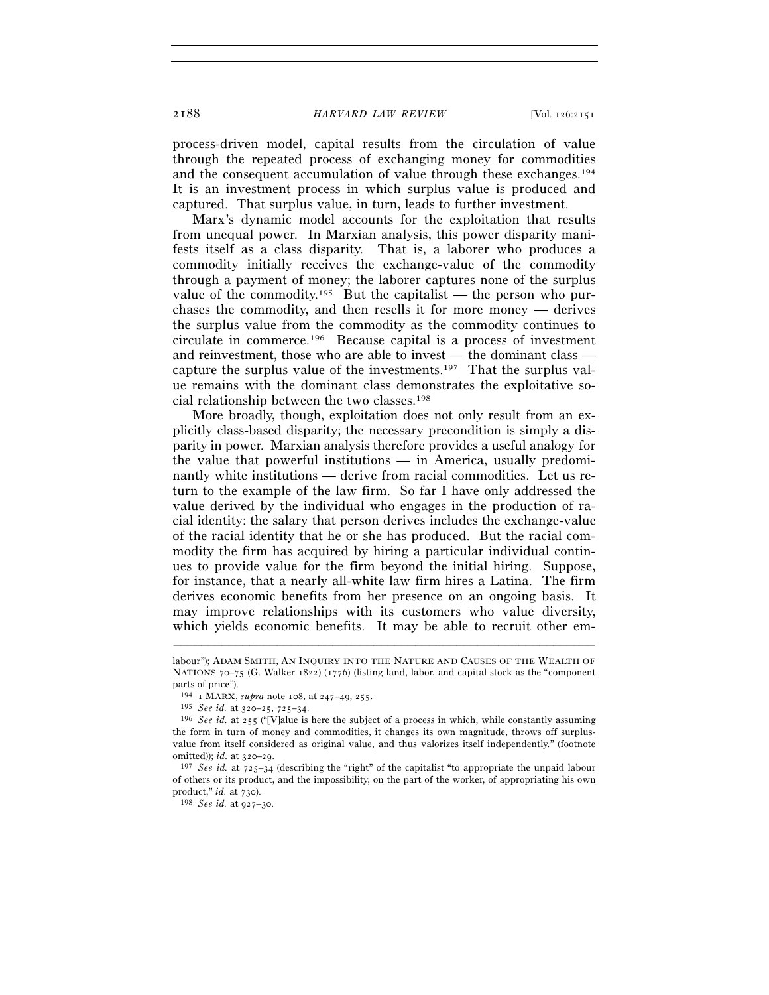process-driven model, capital results from the circulation of value through the repeated process of exchanging money for commodities and the consequent accumulation of value through these exchanges.194 It is an investment process in which surplus value is produced and captured. That surplus value, in turn, leads to further investment.

Marx's dynamic model accounts for the exploitation that results from unequal power. In Marxian analysis, this power disparity manifests itself as a class disparity. That is, a laborer who produces a commodity initially receives the exchange-value of the commodity through a payment of money; the laborer captures none of the surplus value of the commodity.<sup>195</sup> But the capitalist — the person who purchases the commodity, and then resells it for more money — derives the surplus value from the commodity as the commodity continues to circulate in commerce.196 Because capital is a process of investment and reinvestment, those who are able to invest — the dominant class capture the surplus value of the investments.197 That the surplus value remains with the dominant class demonstrates the exploitative social relationship between the two classes.198

More broadly, though, exploitation does not only result from an explicitly class-based disparity; the necessary precondition is simply a disparity in power. Marxian analysis therefore provides a useful analogy for the value that powerful institutions — in America, usually predominantly white institutions — derive from racial commodities. Let us return to the example of the law firm. So far I have only addressed the value derived by the individual who engages in the production of racial identity: the salary that person derives includes the exchange-value of the racial identity that he or she has produced. But the racial commodity the firm has acquired by hiring a particular individual continues to provide value for the firm beyond the initial hiring. Suppose, for instance, that a nearly all-white law firm hires a Latina. The firm derives economic benefits from her presence on an ongoing basis. It may improve relationships with its customers who value diversity, which yields economic benefits. It may be able to recruit other em-

labour"); ADAM SMITH, AN INQUIRY INTO THE NATURE AND CAUSES OF THE WEALTH OF NATIONS 70–75 (G. Walker 1822) (1776) (listing land, labor, and capital stock as the "component" parts of price"). 194  $\,$  I MARX,  $\,supra$  note 108, at 247–49, 255.

<sup>&</sup>lt;sup>195</sup> *See id.* at 320–25, 725–34.<br><sup>196</sup> *See id.* at 255 ("[V]alue is here the subject of a process in which, while constantly assuming the form in turn of money and commodities, it changes its own magnitude, throws off surplusvalue from itself considered as original value, and thus valorizes itself independently." (footnote omitted)); *id.* at 320–29.<br><sup>197</sup> *See id.* at 725–34 (describing the "right" of the capitalist "to appropriate the unpaid labour

of others or its product, and the impossibility, on the part of the worker, of appropriating his own product," *id.* at 730). 198 *See id.* at 927–30.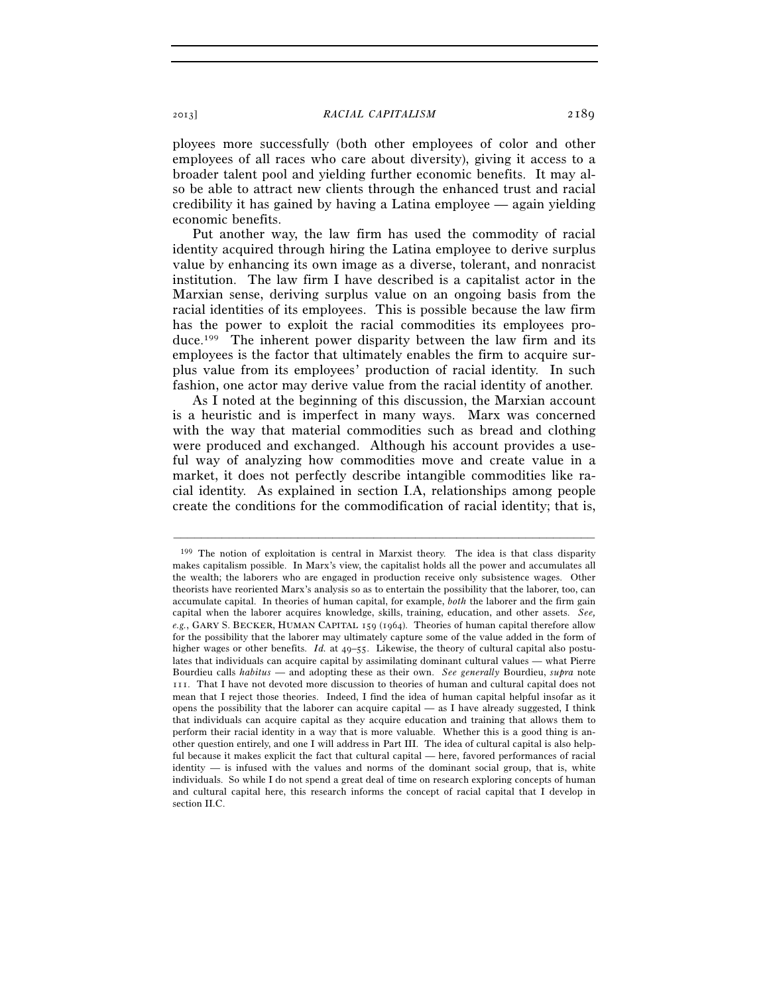ployees more successfully (both other employees of color and other employees of all races who care about diversity), giving it access to a broader talent pool and yielding further economic benefits. It may also be able to attract new clients through the enhanced trust and racial credibility it has gained by having a Latina employee — again yielding economic benefits.

Put another way, the law firm has used the commodity of racial identity acquired through hiring the Latina employee to derive surplus value by enhancing its own image as a diverse, tolerant, and nonracist institution. The law firm I have described is a capitalist actor in the Marxian sense, deriving surplus value on an ongoing basis from the racial identities of its employees. This is possible because the law firm has the power to exploit the racial commodities its employees produce.199 The inherent power disparity between the law firm and its employees is the factor that ultimately enables the firm to acquire surplus value from its employees' production of racial identity. In such fashion, one actor may derive value from the racial identity of another.

As I noted at the beginning of this discussion, the Marxian account is a heuristic and is imperfect in many ways. Marx was concerned with the way that material commodities such as bread and clothing were produced and exchanged. Although his account provides a useful way of analyzing how commodities move and create value in a market, it does not perfectly describe intangible commodities like racial identity. As explained in section I.A, relationships among people create the conditions for the commodification of racial identity; that is,

<sup>199</sup> The notion of exploitation is central in Marxist theory. The idea is that class disparity makes capitalism possible. In Marx's view, the capitalist holds all the power and accumulates all the wealth; the laborers who are engaged in production receive only subsistence wages. Other theorists have reoriented Marx's analysis so as to entertain the possibility that the laborer, too, can accumulate capital. In theories of human capital, for example, *both* the laborer and the firm gain capital when the laborer acquires knowledge, skills, training, education, and other assets. *See, e.g.*, GARY S. BECKER, HUMAN CAPITAL 159 (1964). Theories of human capital therefore allow for the possibility that the laborer may ultimately capture some of the value added in the form of higher wages or other benefits. *Id.* at 49–55. Likewise, the theory of cultural capital also postulates that individuals can acquire capital by assimilating dominant cultural values — what Pierre Bourdieu calls *habitus* — and adopting these as their own. *See generally* Bourdieu, *supra* note 111. That I have not devoted more discussion to theories of human and cultural capital does not mean that I reject those theories. Indeed, I find the idea of human capital helpful insofar as it opens the possibility that the laborer can acquire capital — as I have already suggested, I think that individuals can acquire capital as they acquire education and training that allows them to perform their racial identity in a way that is more valuable. Whether this is a good thing is another question entirely, and one I will address in Part III. The idea of cultural capital is also helpful because it makes explicit the fact that cultural capital — here, favored performances of racial identity — is infused with the values and norms of the dominant social group, that is, white individuals. So while I do not spend a great deal of time on research exploring concepts of human and cultural capital here, this research informs the concept of racial capital that I develop in section II.C.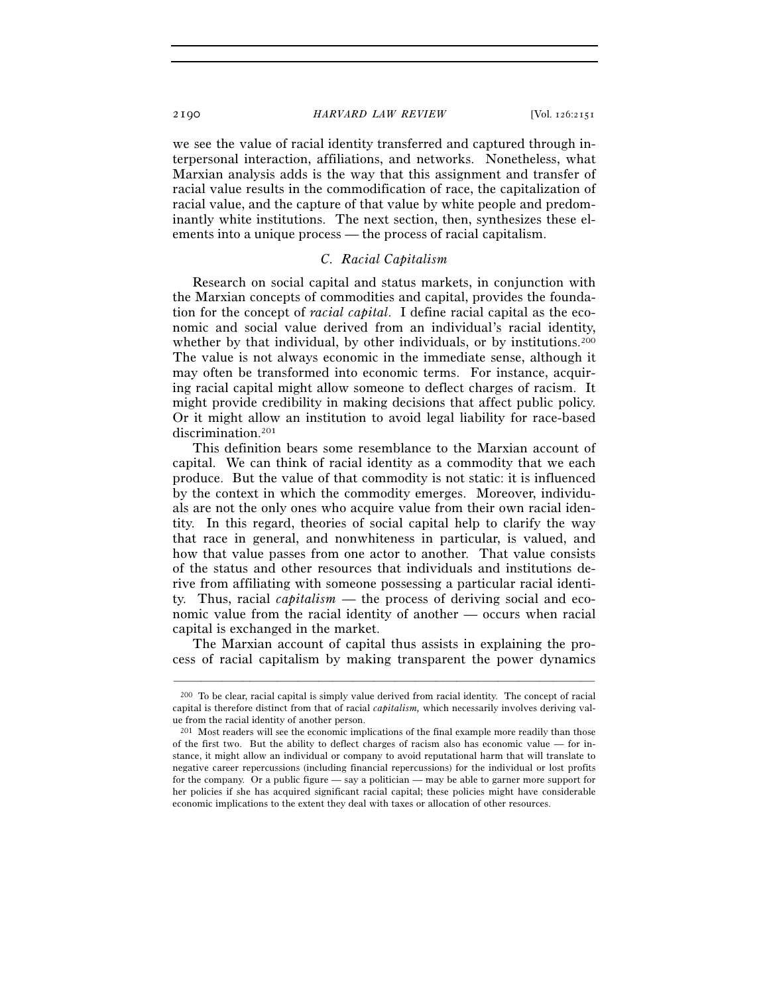we see the value of racial identity transferred and captured through interpersonal interaction, affiliations, and networks. Nonetheless, what Marxian analysis adds is the way that this assignment and transfer of racial value results in the commodification of race, the capitalization of racial value, and the capture of that value by white people and predominantly white institutions. The next section, then, synthesizes these elements into a unique process — the process of racial capitalism.

## *C. Racial Capitalism*

Research on social capital and status markets, in conjunction with the Marxian concepts of commodities and capital, provides the foundation for the concept of *racial capital*. I define racial capital as the economic and social value derived from an individual's racial identity, whether by that individual, by other individuals, or by institutions.<sup>200</sup> The value is not always economic in the immediate sense, although it may often be transformed into economic terms. For instance, acquiring racial capital might allow someone to deflect charges of racism. It might provide credibility in making decisions that affect public policy. Or it might allow an institution to avoid legal liability for race-based discrimination.<sup>201</sup>

This definition bears some resemblance to the Marxian account of capital. We can think of racial identity as a commodity that we each produce. But the value of that commodity is not static: it is influenced by the context in which the commodity emerges. Moreover, individuals are not the only ones who acquire value from their own racial identity. In this regard, theories of social capital help to clarify the way that race in general, and nonwhiteness in particular, is valued, and how that value passes from one actor to another. That value consists of the status and other resources that individuals and institutions derive from affiliating with someone possessing a particular racial identity. Thus, racial *capitalism* — the process of deriving social and economic value from the racial identity of another — occurs when racial capital is exchanged in the market.

The Marxian account of capital thus assists in explaining the process of racial capitalism by making transparent the power dynamics

<sup>200</sup> To be clear, racial capital is simply value derived from racial identity. The concept of racial capital is therefore distinct from that of racial *capitalism,* which necessarily involves deriving value from the racial identity of another person.

<sup>201</sup> Most readers will see the economic implications of the final example more readily than those of the first two. But the ability to deflect charges of racism also has economic value — for instance, it might allow an individual or company to avoid reputational harm that will translate to negative career repercussions (including financial repercussions) for the individual or lost profits for the company. Or a public figure — say a politician — may be able to garner more support for her policies if she has acquired significant racial capital; these policies might have considerable economic implications to the extent they deal with taxes or allocation of other resources.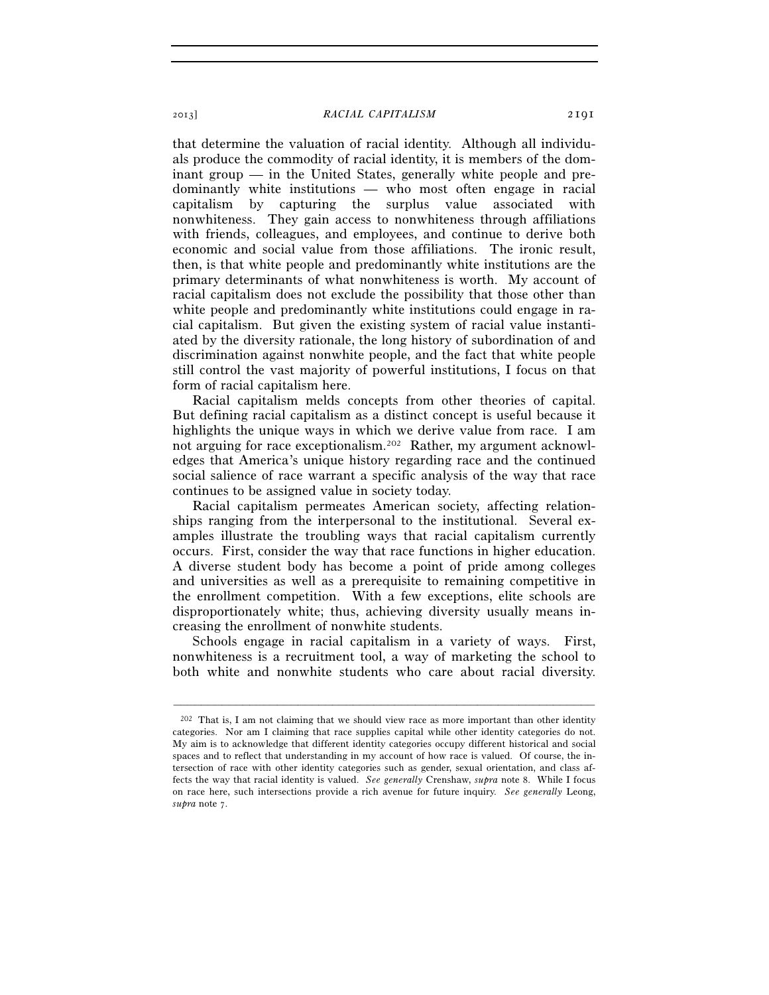that determine the valuation of racial identity. Although all individuals produce the commodity of racial identity, it is members of the dominant group — in the United States, generally white people and predominantly white institutions — who most often engage in racial capitalism by capturing the surplus value associated with nonwhiteness. They gain access to nonwhiteness through affiliations with friends, colleagues, and employees, and continue to derive both economic and social value from those affiliations. The ironic result, then, is that white people and predominantly white institutions are the primary determinants of what nonwhiteness is worth. My account of racial capitalism does not exclude the possibility that those other than white people and predominantly white institutions could engage in racial capitalism. But given the existing system of racial value instantiated by the diversity rationale, the long history of subordination of and discrimination against nonwhite people, and the fact that white people still control the vast majority of powerful institutions, I focus on that form of racial capitalism here.

Racial capitalism melds concepts from other theories of capital. But defining racial capitalism as a distinct concept is useful because it highlights the unique ways in which we derive value from race. I am not arguing for race exceptionalism.202 Rather, my argument acknowledges that America's unique history regarding race and the continued social salience of race warrant a specific analysis of the way that race continues to be assigned value in society today.

Racial capitalism permeates American society, affecting relationships ranging from the interpersonal to the institutional. Several examples illustrate the troubling ways that racial capitalism currently occurs. First, consider the way that race functions in higher education. A diverse student body has become a point of pride among colleges and universities as well as a prerequisite to remaining competitive in the enrollment competition. With a few exceptions, elite schools are disproportionately white; thus, achieving diversity usually means increasing the enrollment of nonwhite students.

Schools engage in racial capitalism in a variety of ways. First, nonwhiteness is a recruitment tool, a way of marketing the school to both white and nonwhite students who care about racial diversity.

 $202$  That is, I am not claiming that we should view race as more important than other identity categories. Nor am I claiming that race supplies capital while other identity categories do not. My aim is to acknowledge that different identity categories occupy different historical and social spaces and to reflect that understanding in my account of how race is valued. Of course, the intersection of race with other identity categories such as gender, sexual orientation, and class affects the way that racial identity is valued. *See generally* Crenshaw, *supra* note 8. While I focus on race here, such intersections provide a rich avenue for future inquiry. *See generally* Leong, *supra* note 7.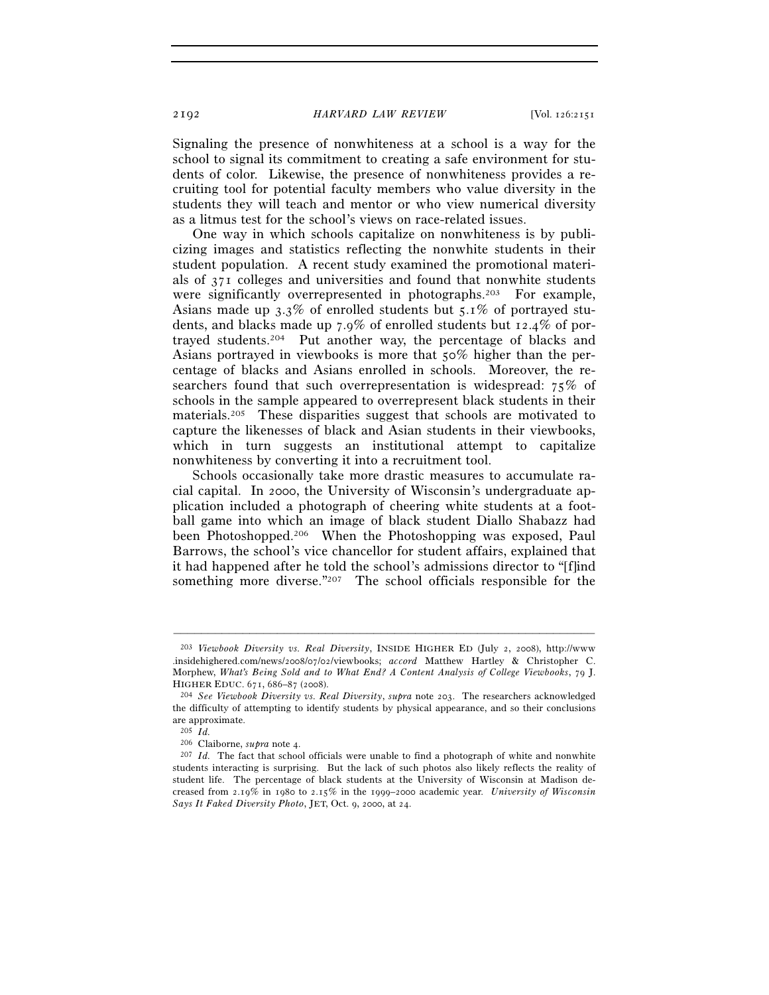Signaling the presence of nonwhiteness at a school is a way for the school to signal its commitment to creating a safe environment for students of color. Likewise, the presence of nonwhiteness provides a recruiting tool for potential faculty members who value diversity in the students they will teach and mentor or who view numerical diversity as a litmus test for the school's views on race-related issues.

One way in which schools capitalize on nonwhiteness is by publicizing images and statistics reflecting the nonwhite students in their student population. A recent study examined the promotional materials of 371 colleges and universities and found that nonwhite students were significantly overrepresented in photographs.203 For example, Asians made up 3.3% of enrolled students but 5.1% of portrayed students, and blacks made up 7.9% of enrolled students but 12.4% of portrayed students.204 Put another way, the percentage of blacks and Asians portrayed in viewbooks is more that 50% higher than the percentage of blacks and Asians enrolled in schools. Moreover, the researchers found that such overrepresentation is widespread: 75% of schools in the sample appeared to overrepresent black students in their materials.205 These disparities suggest that schools are motivated to capture the likenesses of black and Asian students in their viewbooks, which in turn suggests an institutional attempt to capitalize nonwhiteness by converting it into a recruitment tool.

Schools occasionally take more drastic measures to accumulate racial capital. In 2000, the University of Wisconsin's undergraduate application included a photograph of cheering white students at a football game into which an image of black student Diallo Shabazz had been Photoshopped.206 When the Photoshopping was exposed, Paul Barrows, the school's vice chancellor for student affairs, explained that it had happened after he told the school's admissions director to "[f]ind something more diverse."207 The school officials responsible for the

<sup>203</sup> *Viewbook Diversity vs. Real Diversity*, INSIDE HIGHER ED (July 2, 2008), http://www .insidehighered.com/news/2008/07/02/viewbooks; *accord* Matthew Hartley & Christopher C. Morphew, *What's Being Sold and to What End? A Content Analysis of College Viewbooks*, 79 J. HIGHER EDUC. 671, 686–87 (2008). 204 *See Viewbook Diversity vs. Real Diversity*, *supra* note 203. The researchers acknowledged

the difficulty of attempting to identify students by physical appearance, and so their conclusions are approximate.

<sup>205</sup> *Id.*

<sup>&</sup>lt;sup>207</sup> *Id.* The fact that school officials were unable to find a photograph of white and nonwhite students interacting is surprising. But the lack of such photos also likely reflects the reality of student life. The percentage of black students at the University of Wisconsin at Madison decreased from 2.19% in 1980 to 2.15% in the 1999–2000 academic year. *University of Wisconsin Says It Faked Diversity Photo*, JET, Oct. 9, 2000, at 24.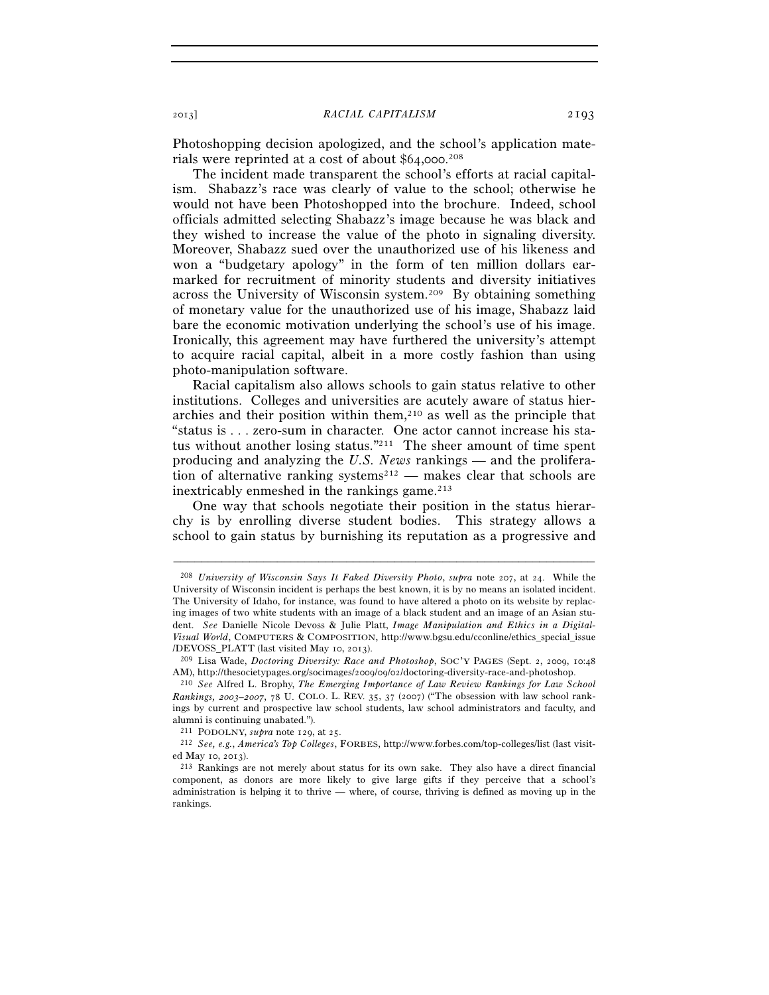Photoshopping decision apologized, and the school's application materials were reprinted at a cost of about \$64,000. 208

The incident made transparent the school's efforts at racial capitalism. Shabazz's race was clearly of value to the school; otherwise he would not have been Photoshopped into the brochure. Indeed, school officials admitted selecting Shabazz's image because he was black and they wished to increase the value of the photo in signaling diversity. Moreover, Shabazz sued over the unauthorized use of his likeness and won a "budgetary apology" in the form of ten million dollars earmarked for recruitment of minority students and diversity initiatives across the University of Wisconsin system.209 By obtaining something of monetary value for the unauthorized use of his image, Shabazz laid bare the economic motivation underlying the school's use of his image. Ironically, this agreement may have furthered the university's attempt to acquire racial capital, albeit in a more costly fashion than using photo-manipulation software.

Racial capitalism also allows schools to gain status relative to other institutions. Colleges and universities are acutely aware of status hierarchies and their position within them, $210$  as well as the principle that "status is . . . zero-sum in character. One actor cannot increase his status without another losing status."211 The sheer amount of time spent producing and analyzing the *U.S. News* rankings — and the proliferation of alternative ranking systems<sup>212</sup> — makes clear that schools are inextricably enmeshed in the rankings game. $213$ 

One way that schools negotiate their position in the status hierarchy is by enrolling diverse student bodies. This strategy allows a school to gain status by burnishing its reputation as a progressive and

<sup>208</sup> *University of Wisconsin Says It Faked Diversity Photo*, *supra* note 207, at 24. While the University of Wisconsin incident is perhaps the best known, it is by no means an isolated incident. The University of Idaho, for instance, was found to have altered a photo on its website by replacing images of two white students with an image of a black student and an image of an Asian student. *See* Danielle Nicole Devoss & Julie Platt, *Image Manipulation and Ethics in a Digital-Visual World*, COMPUTERS & COMPOSITION, http://www.bgsu.edu/cconline/ethics\_special\_issue /DEVOSS\_PLATT (last visited May 10, 2013). 209 Lisa Wade, *Doctoring Diversity: Race and Photoshop*, SOC'Y PAGES (Sept. 2, 2009, 10:<sup>48</sup>

AM), http://thesocietypages.org/socimages/2009/09/02/doctoring-diversity-race-and-photoshop. 210 *See* Alfred L. Brophy, *The Emerging Importance of Law Review Rankings for Law School* 

*Rankings, 2003–2007*, 78 U. COLO. L. REV. 35, 37 (2007) ("The obsession with law school rankings by current and prospective law school students, law school administrators and faculty, and alumni is continuing unabated.").

<sup>211</sup> PODOLNY, *supra* note 129, at 25. 212 *See, e.g.*, *America's Top Colleges*, FORBES, http://www.forbes.com/top-colleges/list (last visited May 10, 2013). 213 Rankings are not merely about status for its own sake. They also have a direct financial

component, as donors are more likely to give large gifts if they perceive that a school's administration is helping it to thrive — where, of course, thriving is defined as moving up in the rankings.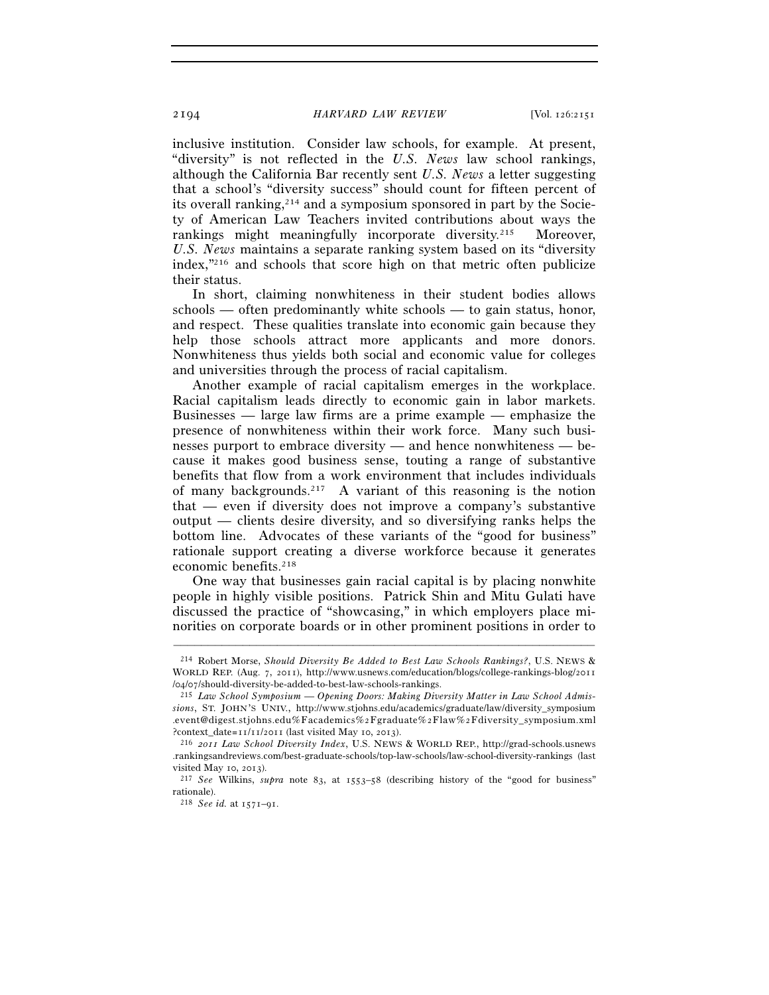inclusive institution. Consider law schools, for example. At present, "diversity" is not reflected in the *U.S. News* law school rankings, although the California Bar recently sent *U.S. News* a letter suggesting that a school's "diversity success" should count for fifteen percent of its overall ranking,<sup>214</sup> and a symposium sponsored in part by the Society of American Law Teachers invited contributions about ways the rankings might meaningfully incorporate diversity.<sup>215</sup> Moreover, *U.S. News* maintains a separate ranking system based on its "diversity index,"216 and schools that score high on that metric often publicize their status.

In short, claiming nonwhiteness in their student bodies allows schools — often predominantly white schools — to gain status, honor, and respect. These qualities translate into economic gain because they help those schools attract more applicants and more donors. Nonwhiteness thus yields both social and economic value for colleges and universities through the process of racial capitalism.

Another example of racial capitalism emerges in the workplace. Racial capitalism leads directly to economic gain in labor markets. Businesses — large law firms are a prime example — emphasize the presence of nonwhiteness within their work force. Many such businesses purport to embrace diversity — and hence nonwhiteness — because it makes good business sense, touting a range of substantive benefits that flow from a work environment that includes individuals of many backgrounds.217 A variant of this reasoning is the notion that — even if diversity does not improve a company's substantive output — clients desire diversity, and so diversifying ranks helps the bottom line. Advocates of these variants of the "good for business" rationale support creating a diverse workforce because it generates economic benefits.<sup>218</sup>

One way that businesses gain racial capital is by placing nonwhite people in highly visible positions. Patrick Shin and Mitu Gulati have discussed the practice of "showcasing," in which employers place minorities on corporate boards or in other prominent positions in order to

<sup>214</sup> Robert Morse, *Should Diversity Be Added to Best Law Schools Rankings?*, U.S. NEWS & WORLD REP. (Aug. 7, 2011), http://www.usnews.com/education/blogs/college-rankings-blog/2011 /04/07/should-diversity-be-added-to-best-law-schools-rankings. 215 *Law School Symposium* — *Opening Doors: Making Diversity Matter in Law School Admis-*

*sions*, ST. JOHN'S UNIV., http://www.stjohns.edu/academics/graduate/law/diversity\_symposium .event@digest.stjohns.edu%Facademics%2Fgraduate%2Flaw%2Fdiversity\_symposium.xml ?context\_date=11/11/2011 (last visited May 10, 2013). 216 *<sup>2011</sup> Law School Diversity Index*, U.S. NEWS & WORLD REP., http://grad-schools.usnews

<sup>.</sup>rankingsandreviews.com/best-graduate-schools/top-law-schools/law-school-diversity-rankings (last visited May 10, 2013). 217 *See* Wilkins, *supra* note 83, at 1553–58 (describing history of the "good for business"

rationale).

<sup>218</sup> *See id.* at 1571–91.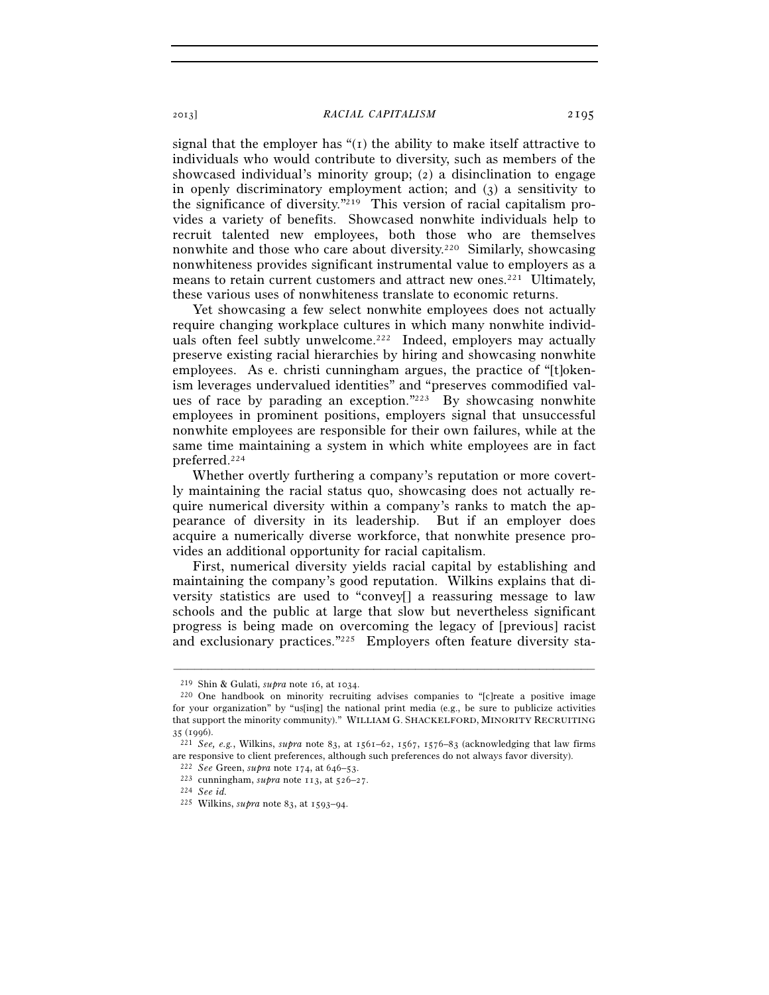signal that the employer has  $\lq$ ( $\lq$ ) the ability to make itself attractive to individuals who would contribute to diversity, such as members of the showcased individual's minority group; (2) a disinclination to engage in openly discriminatory employment action; and (3) a sensitivity to the significance of diversity."219 This version of racial capitalism provides a variety of benefits. Showcased nonwhite individuals help to recruit talented new employees, both those who are themselves nonwhite and those who care about diversity.220 Similarly, showcasing nonwhiteness provides significant instrumental value to employers as a means to retain current customers and attract new ones.<sup>221</sup> Ultimately, these various uses of nonwhiteness translate to economic returns.

Yet showcasing a few select nonwhite employees does not actually require changing workplace cultures in which many nonwhite individuals often feel subtly unwelcome.<sup>222</sup> Indeed, employers may actually preserve existing racial hierarchies by hiring and showcasing nonwhite employees. As e. christi cunningham argues, the practice of "[t]okenism leverages undervalued identities" and "preserves commodified values of race by parading an exception."223 By showcasing nonwhite employees in prominent positions, employers signal that unsuccessful nonwhite employees are responsible for their own failures, while at the same time maintaining a system in which white employees are in fact preferred.224

Whether overtly furthering a company's reputation or more covertly maintaining the racial status quo, showcasing does not actually require numerical diversity within a company's ranks to match the appearance of diversity in its leadership. But if an employer does acquire a numerically diverse workforce, that nonwhite presence provides an additional opportunity for racial capitalism.

First, numerical diversity yields racial capital by establishing and maintaining the company's good reputation. Wilkins explains that diversity statistics are used to "convey[] a reassuring message to law schools and the public at large that slow but nevertheless significant progress is being made on overcoming the legacy of [previous] racist and exclusionary practices."225 Employers often feature diversity sta-

<sup>&</sup>lt;sup>219</sup> Shin & Gulati, *supra* note 16, at 1034.<br><sup>220</sup> One handbook on minority recruiting advises companies to "[c]reate a positive image for your organization" by "us[ing] the national print media (e.g., be sure to publicize activities that support the minority community)." WILLIAM G. SHACKELFORD, MINORITY RECRUITING <sup>35</sup> (1996). 221 *See, e.g.*, Wilkins, *supra* note 83, at 1561–62, 1567, 1576–83 (acknowledging that law firms

are responsive to client preferences, although such preferences do not always favor diversity).<br>
<sup>222</sup> See Green, *supra* note 174, at 646–53.<br>
<sup>223</sup> cunningham, *supra* note 113, at 526–27.<br>
<sup>224</sup> See id.

<sup>225</sup> Wilkins, *supra* note 83, at 1593–94.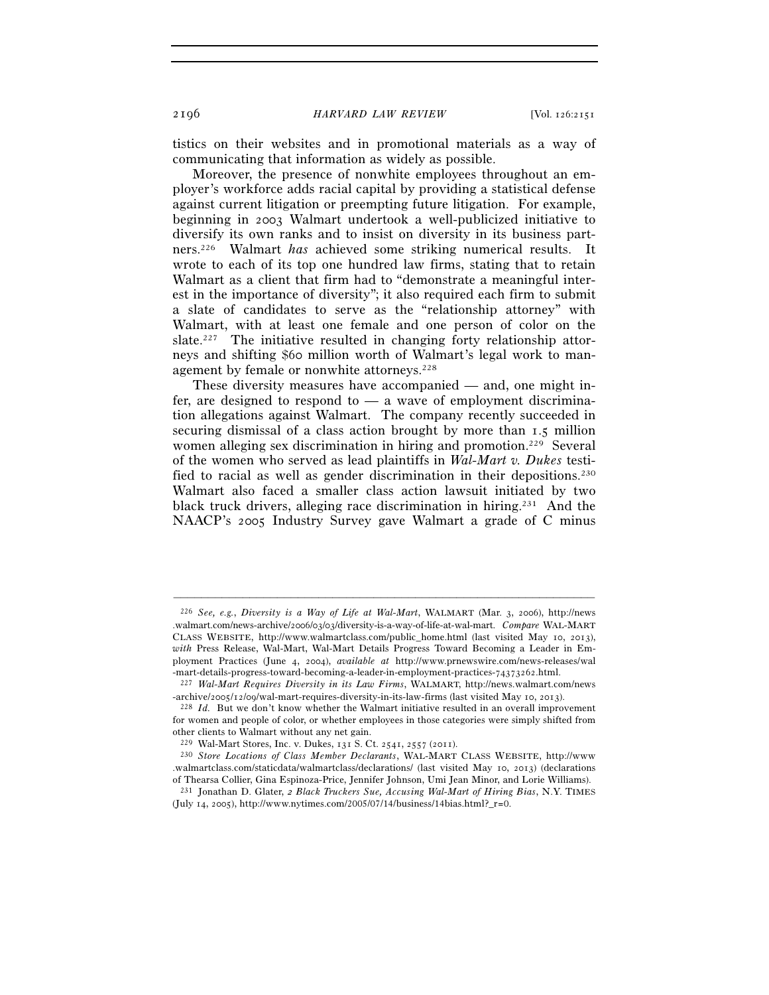tistics on their websites and in promotional materials as a way of communicating that information as widely as possible.

Moreover, the presence of nonwhite employees throughout an employer's workforce adds racial capital by providing a statistical defense against current litigation or preempting future litigation. For example, beginning in 2003 Walmart undertook a well-publicized initiative to diversify its own ranks and to insist on diversity in its business partners.226 Walmart *has* achieved some striking numerical results. It wrote to each of its top one hundred law firms, stating that to retain Walmart as a client that firm had to "demonstrate a meaningful interest in the importance of diversity"; it also required each firm to submit a slate of candidates to serve as the "relationship attorney" with Walmart, with at least one female and one person of color on the slate.<sup>227</sup> The initiative resulted in changing forty relationship attorneys and shifting \$60 million worth of Walmart's legal work to management by female or nonwhite attorneys.<sup>228</sup>

These diversity measures have accompanied — and, one might infer, are designed to respond to  $-$  a wave of employment discrimination allegations against Walmart. The company recently succeeded in securing dismissal of a class action brought by more than 1.5 million women alleging sex discrimination in hiring and promotion.<sup>229</sup> Several of the women who served as lead plaintiffs in *Wal-Mart v. Dukes* testified to racial as well as gender discrimination in their depositions.230 Walmart also faced a smaller class action lawsuit initiated by two black truck drivers, alleging race discrimination in hiring.231 And the NAACP's 2005 Industry Survey gave Walmart a grade of C minus

<sup>226</sup> *See, e.g.*, *Diversity is a Way of Life at Wal-Mart*, WALMART (Mar. 3, 2006), http://news .walmart.com/news-archive/2006/03/03/diversity-is-a-way-of-life-at-wal-mart. *Compare* WAL-MART CLASS WEBSITE, http://www.walmartclass.com/public\_home.html (last visited May 10, 2013), *with* Press Release, Wal-Mart, Wal-Mart Details Progress Toward Becoming a Leader in Employment Practices (June 4, 2004), *available at* http://www.prnewswire.com/news-releases/wal -mart-details-progress-toward-becoming-a-leader-in-employment-practices-74373262.html. 227 *Wal-Mart Requires Diversity in its Law Firms*, WALMART, http://news.walmart.com/news

<sup>-</sup>archive/2005/12/09/wal-mart-requires-diversity-in-its-law-firms (last visited May 10, 2013). 228 *Id.* But we don't know whether the Walmart initiative resulted in an overall improvement

for women and people of color, or whether employees in those categories were simply shifted from other clients to Walmart without any net gain.<br><sup>229</sup> Wal-Mart Stores, Inc. v. Dukes, 131 S. Ct. 2541, 2557 (2011).

<sup>&</sup>lt;sup>230</sup> Store Locations of Class Member Declarants, WAL-MART CLASS WEBSITE, http://www .walmartclass.com/staticdata/walmartclass/declarations/ (last visited May 10, 2013) (declarations of Thearsa Collier, Gina Espinoza-Price, Jennifer Johnson, Umi Jean Minor, and Lorie Williams).

<sup>231</sup> Jonathan D. Glater, *2 Black Truckers Sue, Accusing Wal-Mart of Hiring Bias*, N.Y. TIMES (July 14, 2005), http://www.nytimes.com/2005/07/14/business/14bias.html?\_r=0.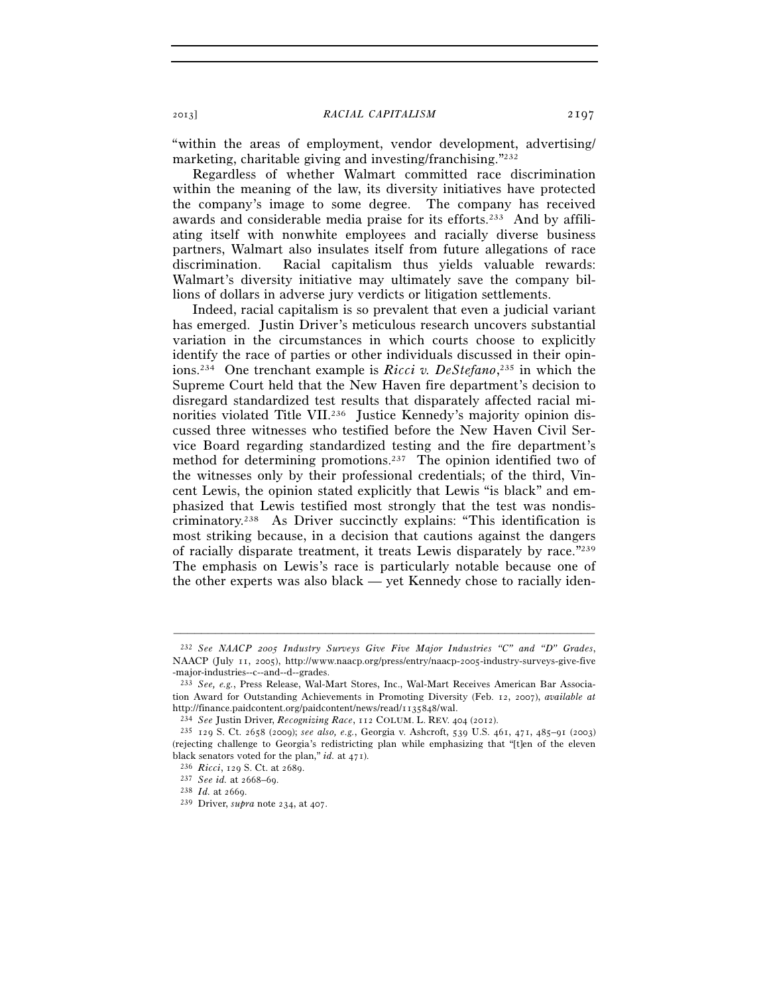"within the areas of employment, vendor development, advertising/ marketing, charitable giving and investing/franchising."232

Regardless of whether Walmart committed race discrimination within the meaning of the law, its diversity initiatives have protected the company's image to some degree. The company has received awards and considerable media praise for its efforts.233 And by affiliating itself with nonwhite employees and racially diverse business partners, Walmart also insulates itself from future allegations of race discrimination. Racial capitalism thus yields valuable rewards: Walmart's diversity initiative may ultimately save the company billions of dollars in adverse jury verdicts or litigation settlements.

Indeed, racial capitalism is so prevalent that even a judicial variant has emerged. Justin Driver's meticulous research uncovers substantial variation in the circumstances in which courts choose to explicitly identify the race of parties or other individuals discussed in their opinions.234 One trenchant example is *Ricci v. DeStefano*, 235 in which the Supreme Court held that the New Haven fire department's decision to disregard standardized test results that disparately affected racial minorities violated Title VII.<sup>236</sup> Justice Kennedy's majority opinion discussed three witnesses who testified before the New Haven Civil Service Board regarding standardized testing and the fire department's method for determining promotions.<sup>237</sup> The opinion identified two of the witnesses only by their professional credentials; of the third, Vincent Lewis, the opinion stated explicitly that Lewis "is black" and emphasized that Lewis testified most strongly that the test was nondiscriminatory.238 As Driver succinctly explains: "This identification is most striking because, in a decision that cautions against the dangers of racially disparate treatment, it treats Lewis disparately by race."239 The emphasis on Lewis's race is particularly notable because one of the other experts was also black — yet Kennedy chose to racially iden-

<sup>232</sup> *See NAACP 2005 Industry Surveys Give Five Major Industries "C" and "D" Grades*, NAACP (July 11, 2005), http://www.naacp.org/press/entry/naacp-2005-industry-surveys-give-five -major-industries--c--and--d--grades.

<sup>233</sup> *See, e.g.*, Press Release, Wal-Mart Stores, Inc., Wal-Mart Receives American Bar Association Award for Outstanding Achievements in Promoting Diversity (Feb. 12, 2007), *available at*  http://finance.paidcontent.org/paidcontent/news/read/1135848/wal.

<sup>234</sup> *See* Justin Driver, *Recognizing Race*, 112 COLUM. L. REV. 404 (2012). 235 129 S. Ct. 2658 (2009); *see also, e.g.*, Georgia v. Ashcroft, 539 U.S. 461, 471, 485–91 (2003) (rejecting challenge to Georgia's redistricting plan while emphasizing that "[t]en of the eleven black senators voted for the plan," *id.* at 471). 236 *Ricci*, 129 S. Ct. at 2689. 237 *See id.* at 2668–69. 238 *Id.* at 2669. 239 Driver, *supra* note 234, at 407.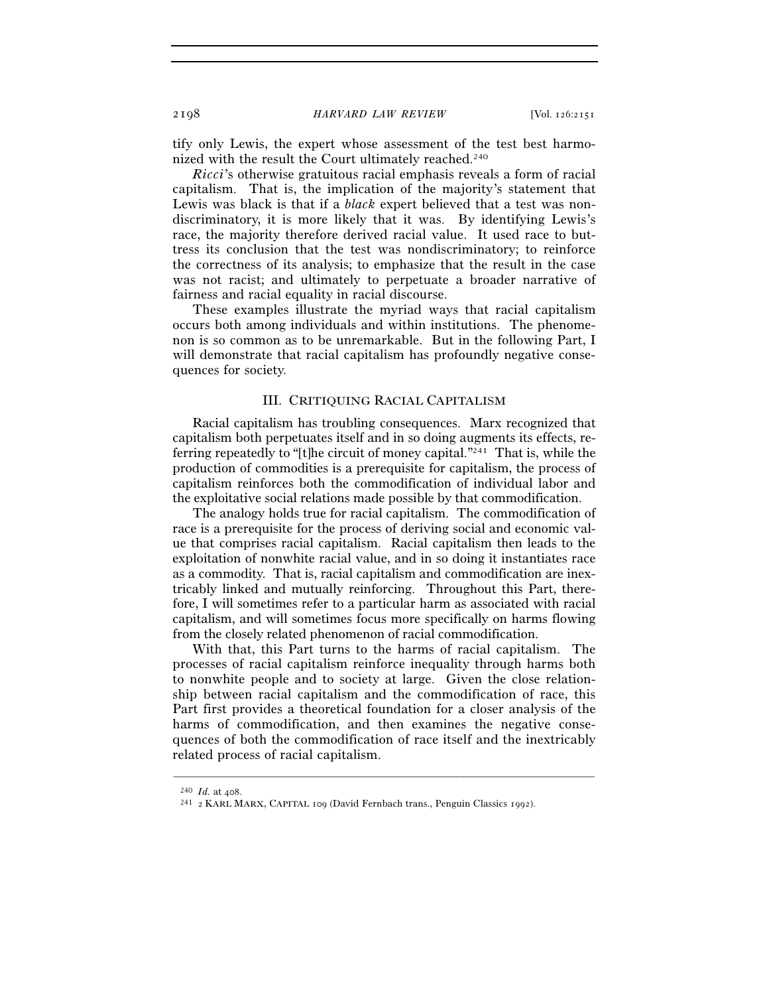tify only Lewis, the expert whose assessment of the test best harmonized with the result the Court ultimately reached.<sup>240</sup>

*Ricci*'s otherwise gratuitous racial emphasis reveals a form of racial capitalism. That is, the implication of the majority's statement that Lewis was black is that if a *black* expert believed that a test was nondiscriminatory, it is more likely that it was. By identifying Lewis's race, the majority therefore derived racial value. It used race to buttress its conclusion that the test was nondiscriminatory; to reinforce the correctness of its analysis; to emphasize that the result in the case was not racist; and ultimately to perpetuate a broader narrative of fairness and racial equality in racial discourse.

These examples illustrate the myriad ways that racial capitalism occurs both among individuals and within institutions. The phenomenon is so common as to be unremarkable. But in the following Part, I will demonstrate that racial capitalism has profoundly negative consequences for society.

## III. CRITIQUING RACIAL CAPITALISM

Racial capitalism has troubling consequences. Marx recognized that capitalism both perpetuates itself and in so doing augments its effects, referring repeatedly to "[t]he circuit of money capital."241 That is, while the production of commodities is a prerequisite for capitalism, the process of capitalism reinforces both the commodification of individual labor and the exploitative social relations made possible by that commodification.

The analogy holds true for racial capitalism. The commodification of race is a prerequisite for the process of deriving social and economic value that comprises racial capitalism. Racial capitalism then leads to the exploitation of nonwhite racial value, and in so doing it instantiates race as a commodity. That is, racial capitalism and commodification are inextricably linked and mutually reinforcing. Throughout this Part, therefore, I will sometimes refer to a particular harm as associated with racial capitalism, and will sometimes focus more specifically on harms flowing from the closely related phenomenon of racial commodification.

With that, this Part turns to the harms of racial capitalism. The processes of racial capitalism reinforce inequality through harms both to nonwhite people and to society at large. Given the close relationship between racial capitalism and the commodification of race, this Part first provides a theoretical foundation for a closer analysis of the harms of commodification, and then examines the negative consequences of both the commodification of race itself and the inextricably related process of racial capitalism.

<sup>240</sup> *Id.* at 408. 241 <sup>2</sup> KARL MARX, CAPITAL <sup>109</sup> (David Fernbach trans., Penguin Classics 1992).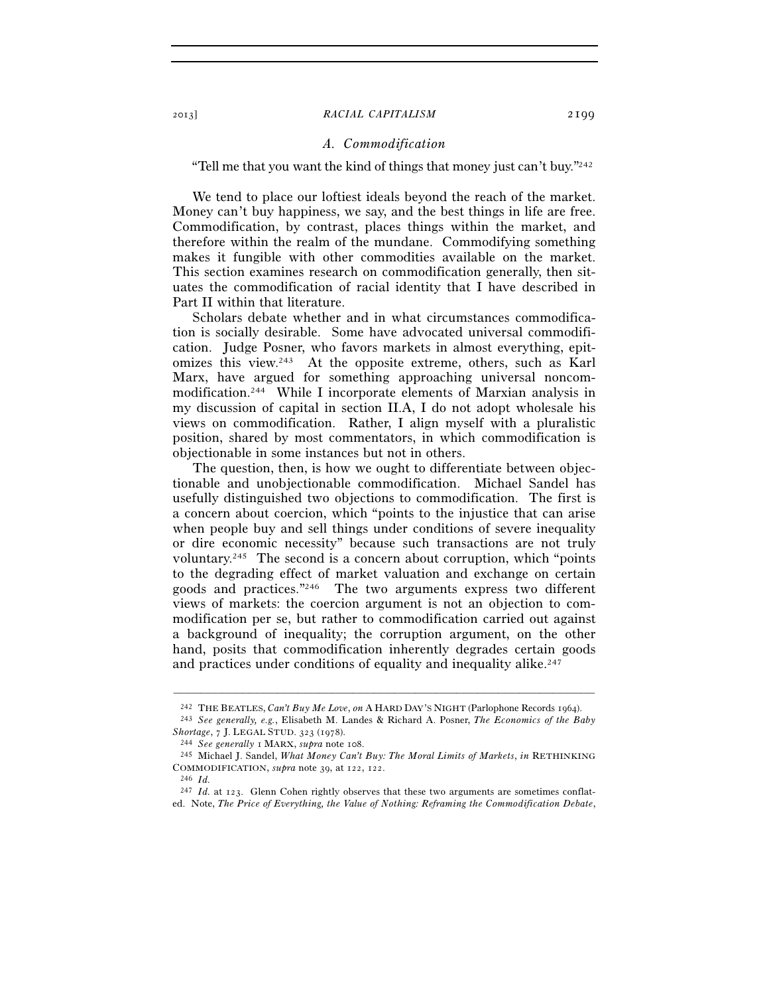## *A. Commodification*

## "Tell me that you want the kind of things that money just can't buy." $242$

We tend to place our loftiest ideals beyond the reach of the market. Money can't buy happiness, we say, and the best things in life are free. Commodification, by contrast, places things within the market, and therefore within the realm of the mundane. Commodifying something makes it fungible with other commodities available on the market. This section examines research on commodification generally, then situates the commodification of racial identity that I have described in Part II within that literature.

Scholars debate whether and in what circumstances commodification is socially desirable. Some have advocated universal commodification. Judge Posner, who favors markets in almost everything, epitomizes this view.243 At the opposite extreme, others, such as Karl Marx, have argued for something approaching universal noncommodification.244 While I incorporate elements of Marxian analysis in my discussion of capital in section II.A, I do not adopt wholesale his views on commodification. Rather, I align myself with a pluralistic position, shared by most commentators, in which commodification is objectionable in some instances but not in others.

The question, then, is how we ought to differentiate between objectionable and unobjectionable commodification. Michael Sandel has usefully distinguished two objections to commodification. The first is a concern about coercion, which "points to the injustice that can arise when people buy and sell things under conditions of severe inequality or dire economic necessity" because such transactions are not truly voluntary.245 The second is a concern about corruption, which "points to the degrading effect of market valuation and exchange on certain goods and practices."246 The two arguments express two different views of markets: the coercion argument is not an objection to commodification per se, but rather to commodification carried out against a background of inequality; the corruption argument, on the other hand, posits that commodification inherently degrades certain goods and practices under conditions of equality and inequality alike.<sup>247</sup>

<sup>–––––––––––––––––––––––––––––––––––––––––––––––––––––––––––––</sup>

<sup>242</sup> THE BEATLES, *Can't Buy Me Love*, *on*<sup>A</sup> HARD DAY'S NIGHT (Parlophone Records 1964). 243 *See generally, e.g.*, Elisabeth M. Landes & Richard A. Posner, *The Economics of the Baby Shortage*, 7 J. LEGAL STUD. 323 (1978). 244 *See generally* <sup>1</sup> MARX, *supra* note 108. 245 Michael J. Sandel, *What Money Can't Buy: The Moral Limits of Markets*, *in* RETHINKING

COMMODIFICATION, *supra* note 39, at 122, 122. 246 *Id.* 

<sup>&</sup>lt;sup>247</sup> *Id.* at 123. Glenn Cohen rightly observes that these two arguments are sometimes conflated. Note, *The Price of Everything, the Value of Nothing: Reframing the Commodification Debate*,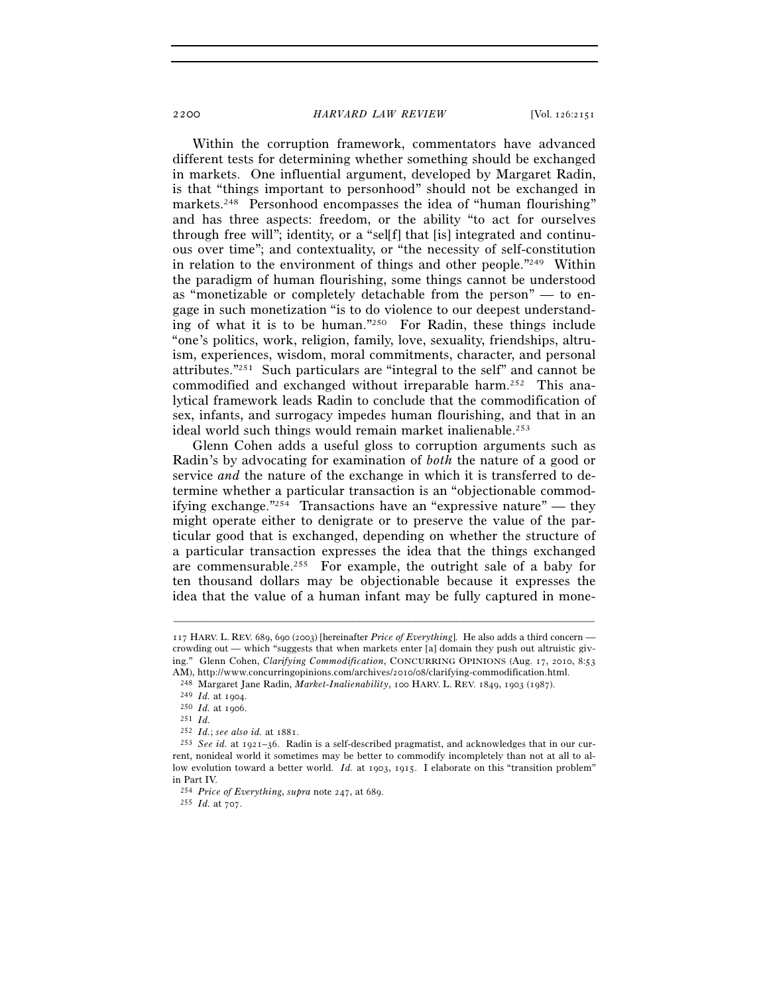Within the corruption framework, commentators have advanced different tests for determining whether something should be exchanged in markets. One influential argument, developed by Margaret Radin, is that "things important to personhood" should not be exchanged in markets.<sup>248</sup> Personhood encompasses the idea of "human flourishing" and has three aspects: freedom, or the ability "to act for ourselves through free will"; identity, or a "sel[f] that [is] integrated and continuous over time"; and contextuality, or "the necessity of self-constitution in relation to the environment of things and other people." $249$  Within the paradigm of human flourishing, some things cannot be understood as "monetizable or completely detachable from the person" — to engage in such monetization "is to do violence to our deepest understanding of what it is to be human."250 For Radin, these things include "one's politics, work, religion, family, love, sexuality, friendships, altruism, experiences, wisdom, moral commitments, character, and personal attributes."251 Such particulars are "integral to the self" and cannot be commodified and exchanged without irreparable harm.252 This analytical framework leads Radin to conclude that the commodification of sex, infants, and surrogacy impedes human flourishing, and that in an ideal world such things would remain market inalienable.253

Glenn Cohen adds a useful gloss to corruption arguments such as Radin's by advocating for examination of *both* the nature of a good or service *and* the nature of the exchange in which it is transferred to determine whether a particular transaction is an "objectionable commodifying exchange."254 Transactions have an "expressive nature" — they might operate either to denigrate or to preserve the value of the particular good that is exchanged, depending on whether the structure of a particular transaction expresses the idea that the things exchanged are commensurable.255 For example, the outright sale of a baby for ten thousand dollars may be objectionable because it expresses the idea that the value of a human infant may be fully captured in mone-

<sup>117</sup> HARV. L. REV. 689, 690 (2003) [hereinafter *Price of Everything*]. He also adds a third concern crowding out — which "suggests that when markets enter [a] domain they push out altruistic giving." Glenn Cohen, *Clarifying Commodification*, CONCURRING OPINIONS (Aug. 17, 2010, 8:53

AM), http://www.concurring<br>opinions.com/archives/2010/08/clarifying-commodification.html.<br><sup>248</sup> Margaret Jane Radin, *Market-Inalienability*, 100 HARV. L. REV. 1849, 1903 (1987).<br><sup>249</sup> Id. at 1904.<br><sup>250</sup> Id. at 1906.<br><sup>251</sup>

<sup>&</sup>lt;sup>253</sup> *See id.* at 1921–36. Radin is a self-described pragmatist, and acknowledges that in our current, nonideal world it sometimes may be better to commodify incompletely than not at all to allow evolution toward a better world. *Id.* at 1903, 1915. I elaborate on this "transition problem" in Part IV.

<sup>254</sup> *Price of Everything*, *supra* note 247, at 689. 255 *Id.* at 707.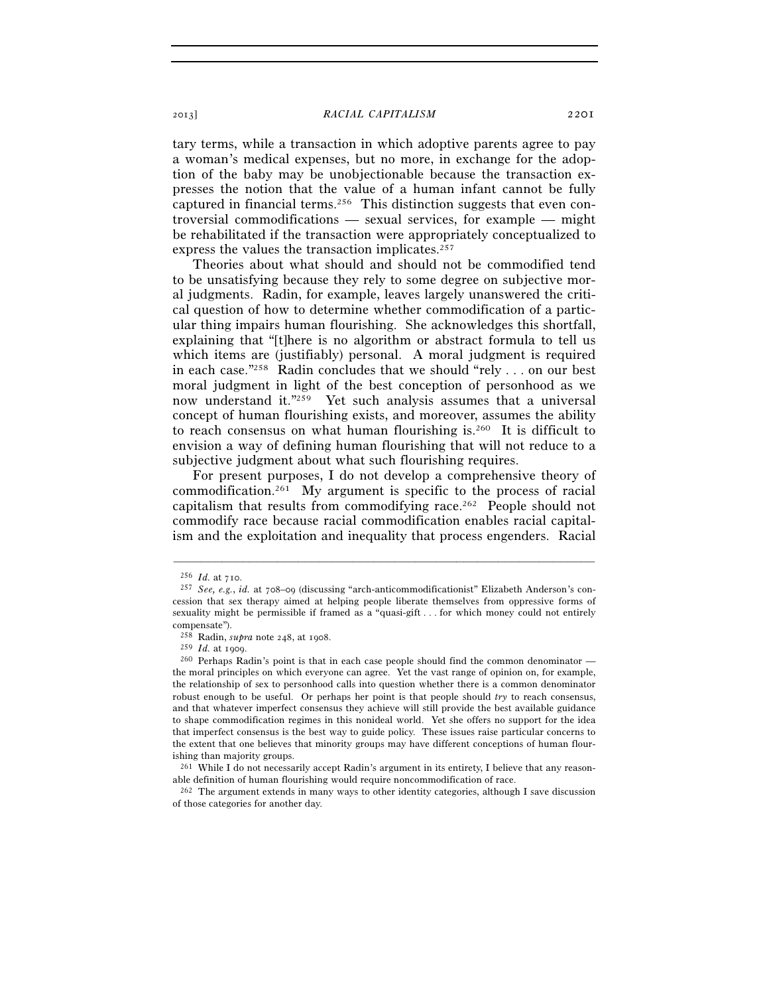tary terms, while a transaction in which adoptive parents agree to pay a woman's medical expenses, but no more, in exchange for the adoption of the baby may be unobjectionable because the transaction expresses the notion that the value of a human infant cannot be fully captured in financial terms.256 This distinction suggests that even controversial commodifications — sexual services, for example — might be rehabilitated if the transaction were appropriately conceptualized to express the values the transaction implicates.<sup>257</sup>

Theories about what should and should not be commodified tend to be unsatisfying because they rely to some degree on subjective moral judgments. Radin, for example, leaves largely unanswered the critical question of how to determine whether commodification of a particular thing impairs human flourishing. She acknowledges this shortfall, explaining that "[t]here is no algorithm or abstract formula to tell us which items are (justifiably) personal. A moral judgment is required in each case."258 Radin concludes that we should "rely . . . on our best moral judgment in light of the best conception of personhood as we now understand it."259 Yet such analysis assumes that a universal concept of human flourishing exists, and moreover, assumes the ability to reach consensus on what human flourishing is.260 It is difficult to envision a way of defining human flourishing that will not reduce to a subjective judgment about what such flourishing requires.

For present purposes, I do not develop a comprehensive theory of commodification.261 My argument is specific to the process of racial capitalism that results from commodifying race.262 People should not commodify race because racial commodification enables racial capitalism and the exploitation and inequality that process engenders. Racial

<sup>256</sup> *Id.* at 710. 257 *See, e.g.*, *id.* at 708–09 (discussing "arch-anticommodificationist" Elizabeth Anderson's concession that sex therapy aimed at helping people liberate themselves from oppressive forms of sexuality might be permissible if framed as a "quasi-gift . . . for which money could not entirely compensate").<br><sup>258</sup> Radin, *supra* note 248, at 1908.

<sup>&</sup>lt;sup>259</sup> *Id.* at 1909.<br><sup>260</sup> Perhaps Radin's point is that in each case people should find the common denominator the moral principles on which everyone can agree. Yet the vast range of opinion on, for example, the relationship of sex to personhood calls into question whether there is a common denominator robust enough to be useful. Or perhaps her point is that people should *try* to reach consensus, and that whatever imperfect consensus they achieve will still provide the best available guidance to shape commodification regimes in this nonideal world. Yet she offers no support for the idea that imperfect consensus is the best way to guide policy. These issues raise particular concerns to the extent that one believes that minority groups may have different conceptions of human flourishing than majority groups.

<sup>261</sup> While I do not necessarily accept Radin's argument in its entirety, I believe that any reasonable definition of human flourishing would require noncommodification of race.

<sup>262</sup> The argument extends in many ways to other identity categories, although I save discussion of those categories for another day.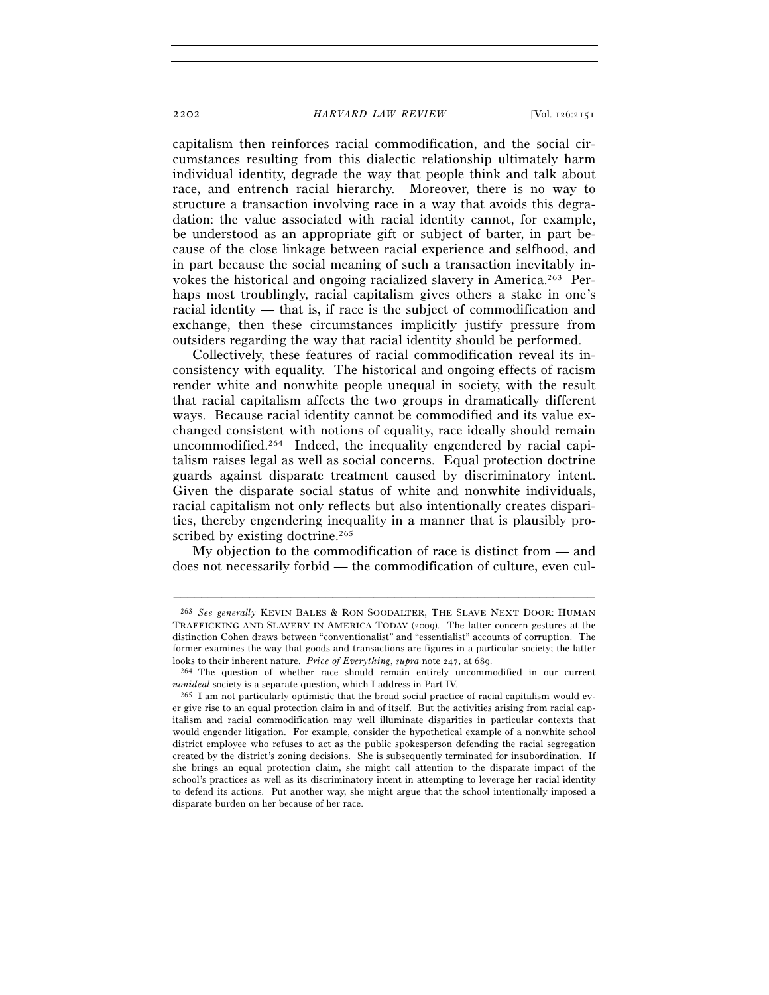capitalism then reinforces racial commodification, and the social circumstances resulting from this dialectic relationship ultimately harm individual identity, degrade the way that people think and talk about race, and entrench racial hierarchy. Moreover, there is no way to structure a transaction involving race in a way that avoids this degradation: the value associated with racial identity cannot, for example, be understood as an appropriate gift or subject of barter, in part because of the close linkage between racial experience and selfhood, and in part because the social meaning of such a transaction inevitably invokes the historical and ongoing racialized slavery in America.263 Perhaps most troublingly, racial capitalism gives others a stake in one's racial identity — that is, if race is the subject of commodification and exchange, then these circumstances implicitly justify pressure from outsiders regarding the way that racial identity should be performed.

Collectively, these features of racial commodification reveal its inconsistency with equality. The historical and ongoing effects of racism render white and nonwhite people unequal in society, with the result that racial capitalism affects the two groups in dramatically different ways. Because racial identity cannot be commodified and its value exchanged consistent with notions of equality, race ideally should remain uncommodified.264 Indeed, the inequality engendered by racial capitalism raises legal as well as social concerns. Equal protection doctrine guards against disparate treatment caused by discriminatory intent. Given the disparate social status of white and nonwhite individuals, racial capitalism not only reflects but also intentionally creates disparities, thereby engendering inequality in a manner that is plausibly proscribed by existing doctrine.<sup>265</sup>

My objection to the commodification of race is distinct from — and does not necessarily forbid — the commodification of culture, even cul-

<sup>263</sup> *See generally* KEVIN BALES & RON SOODALTER, THE SLAVE NEXT DOOR: HUMAN TRAFFICKING AND SLAVERY IN AMERICA TODAY (2009). The latter concern gestures at the distinction Cohen draws between "conventionalist" and "essentialist" accounts of corruption. The former examines the way that goods and transactions are figures in a particular society; the latter looks to their inherent nature. Price of Everything, supra note 247, at 689.

<sup>&</sup>lt;sup>264</sup> The question of whether race should remain entirely uncommodified in our current *nonideal* society is a separate question, which I address in Part IV.<br><sup>265</sup> I am not particularly optimistic that the broad social practice of racial capitalism would ev-

er give rise to an equal protection claim in and of itself. But the activities arising from racial capitalism and racial commodification may well illuminate disparities in particular contexts that would engender litigation. For example, consider the hypothetical example of a nonwhite school district employee who refuses to act as the public spokesperson defending the racial segregation created by the district's zoning decisions. She is subsequently terminated for insubordination. If she brings an equal protection claim, she might call attention to the disparate impact of the school's practices as well as its discriminatory intent in attempting to leverage her racial identity to defend its actions. Put another way, she might argue that the school intentionally imposed a disparate burden on her because of her race.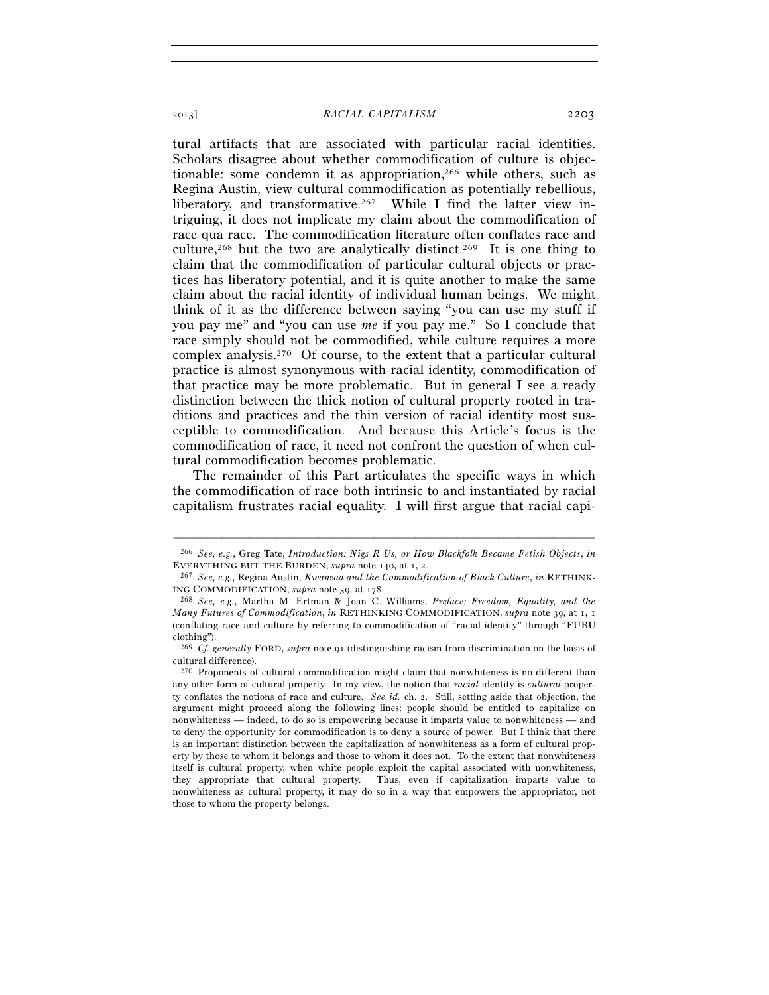tural artifacts that are associated with particular racial identities. Scholars disagree about whether commodification of culture is objectionable: some condemn it as appropriation,<sup>266</sup> while others, such as Regina Austin, view cultural commodification as potentially rebellious, liberatory, and transformative.<sup>267</sup> While I find the latter view intriguing, it does not implicate my claim about the commodification of race qua race. The commodification literature often conflates race and culture,<sup>268</sup> but the two are analytically distinct.<sup>269</sup> It is one thing to claim that the commodification of particular cultural objects or practices has liberatory potential, and it is quite another to make the same claim about the racial identity of individual human beings. We might think of it as the difference between saying "you can use my stuff if you pay me" and "you can use *me* if you pay me." So I conclude that race simply should not be commodified, while culture requires a more complex analysis.270 Of course, to the extent that a particular cultural practice is almost synonymous with racial identity, commodification of that practice may be more problematic. But in general I see a ready distinction between the thick notion of cultural property rooted in traditions and practices and the thin version of racial identity most susceptible to commodification. And because this Article's focus is the commodification of race, it need not confront the question of when cultural commodification becomes problematic.

The remainder of this Part articulates the specific ways in which the commodification of race both intrinsic to and instantiated by racial capitalism frustrates racial equality. I will first argue that racial capi-

<sup>–––––––––––––––––––––––––––––––––––––––––––––––––––––––––––––</sup> 266 *See, e.g.*, Greg Tate, *Introduction: Nigs R Us, or How Blackfolk Became Fetish Objects*, *in*

<sup>&</sup>lt;sup>267</sup> See, e.g., Regina Austin, *Kwanzaa and the Commodification of Black Culture*, *in* RETHINK-ING COMMODIFICATION, *supra* note 39, at 178. 268 *See, e.g.*, Martha M. Ertman & Joan C. Williams, *Preface: Freedom, Equality, and the* 

*Many Futures of Commodification*, *in* RETHINKING COMMODIFICATION, *supra* note 39, at 1, 1 (conflating race and culture by referring to commodification of "racial identity" through "FUBU clothing").

<sup>269</sup> *Cf. generally* FORD, *supra* note 91 (distinguishing racism from discrimination on the basis of cultural difference).

<sup>270</sup> Proponents of cultural commodification might claim that nonwhiteness is no different than any other form of cultural property. In my view, the notion that *racial* identity is *cultural* property conflates the notions of race and culture. *See id.* ch. 2. Still, setting aside that objection, the argument might proceed along the following lines: people should be entitled to capitalize on nonwhiteness — indeed, to do so is empowering because it imparts value to nonwhiteness — and to deny the opportunity for commodification is to deny a source of power. But I think that there is an important distinction between the capitalization of nonwhiteness as a form of cultural property by those to whom it belongs and those to whom it does not. To the extent that nonwhiteness itself is cultural property, when white people exploit the capital associated with nonwhiteness, they appropriate that cultural property. Thus, even if capitalization imparts value to nonwhiteness as cultural property, it may do so in a way that empowers the appropriator, not those to whom the property belongs.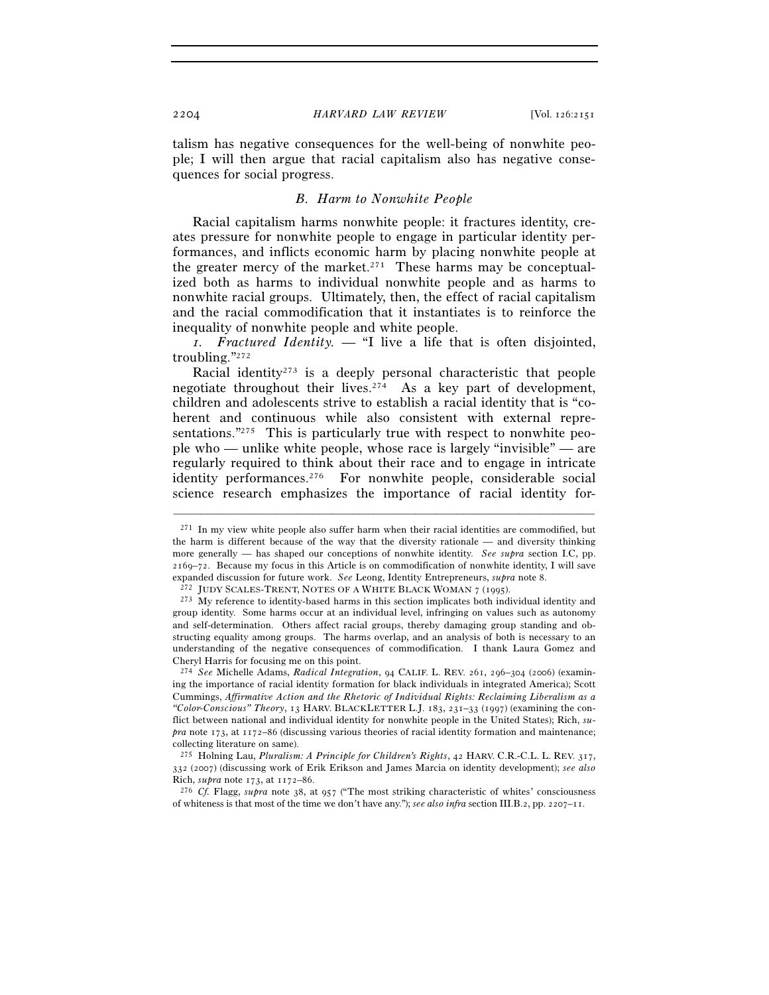talism has negative consequences for the well-being of nonwhite people; I will then argue that racial capitalism also has negative consequences for social progress.

# *B. Harm to Nonwhite People*

Racial capitalism harms nonwhite people: it fractures identity, creates pressure for nonwhite people to engage in particular identity performances, and inflicts economic harm by placing nonwhite people at the greater mercy of the market.271 These harms may be conceptualized both as harms to individual nonwhite people and as harms to nonwhite racial groups. Ultimately, then, the effect of racial capitalism and the racial commodification that it instantiates is to reinforce the inequality of nonwhite people and white people.

*1. Fractured Identity. —* "I live a life that is often disjointed, troubling."272

Racial identity<sup>273</sup> is a deeply personal characteristic that people negotiate throughout their lives.<sup>274</sup> As a key part of development, children and adolescents strive to establish a racial identity that is "coherent and continuous while also consistent with external representations."<sup>275</sup> This is particularly true with respect to nonwhite people who — unlike white people, whose race is largely "invisible" — are regularly required to think about their race and to engage in intricate identity performances.<sup>276</sup> For nonwhite people, considerable social science research emphasizes the importance of racial identity for-

 $271$  In my view white people also suffer harm when their racial identities are commodified, but the harm is different because of the way that the diversity rationale — and diversity thinking more generally — has shaped our conceptions of nonwhite identity. *See supra* section I.C, pp. 2169–72. Because my focus in this Article is on commodification of nonwhite identity, I will save expanded discussion for future work. See Leong, Identity Entrepreneurs, *supra* note 8.<br><sup>272</sup> JUDY SCALES-TRENT, NOTES OF A WHITE BLACK WOMAN 7 (1995).<br><sup>273</sup> My reference to identity-based harms in this section implicates

group identity. Some harms occur at an individual level, infringing on values such as autonomy and self-determination. Others affect racial groups, thereby damaging group standing and obstructing equality among groups. The harms overlap, and an analysis of both is necessary to an understanding of the negative consequences of commodification. I thank Laura Gomez and Cheryl Harris for focusing me on this point.

<sup>274</sup> *See* Michelle Adams, *Radical Integration*, 94 CALIF. L. REV. 261, 296–304 (2006) (examining the importance of racial identity formation for black individuals in integrated America); Scott Cummings, *Affirmative Action and the Rhetoric of Individual Rights: Reclaiming Liberalism as a "Color-Conscious" Theory*, 13 HARV. BLACKLETTER L.J. 183, 231–33 (1997) (examining the conflict between national and individual identity for nonwhite people in the United States); Rich, *supra* note 173, at 1172–86 (discussing various theories of racial identity formation and maintenance; collecting literature on same).

<sup>275</sup> Holning Lau, *Pluralism: A Principle for Children's Rights*, 42 HARV. C.R.-C.L. L. REV. 317, 332 (2007) (discussing work of Erik Erikson and James Marcia on identity development); *see also* Rich, *supra* note 173, at 1172–86. 276 *Cf.* Flagg, *supra* note 38, at 957 ("The most striking characteristic of whites' consciousness

of whiteness is that most of the time we don't have any."); *see also infra* section III.B.2, pp. 2207–11.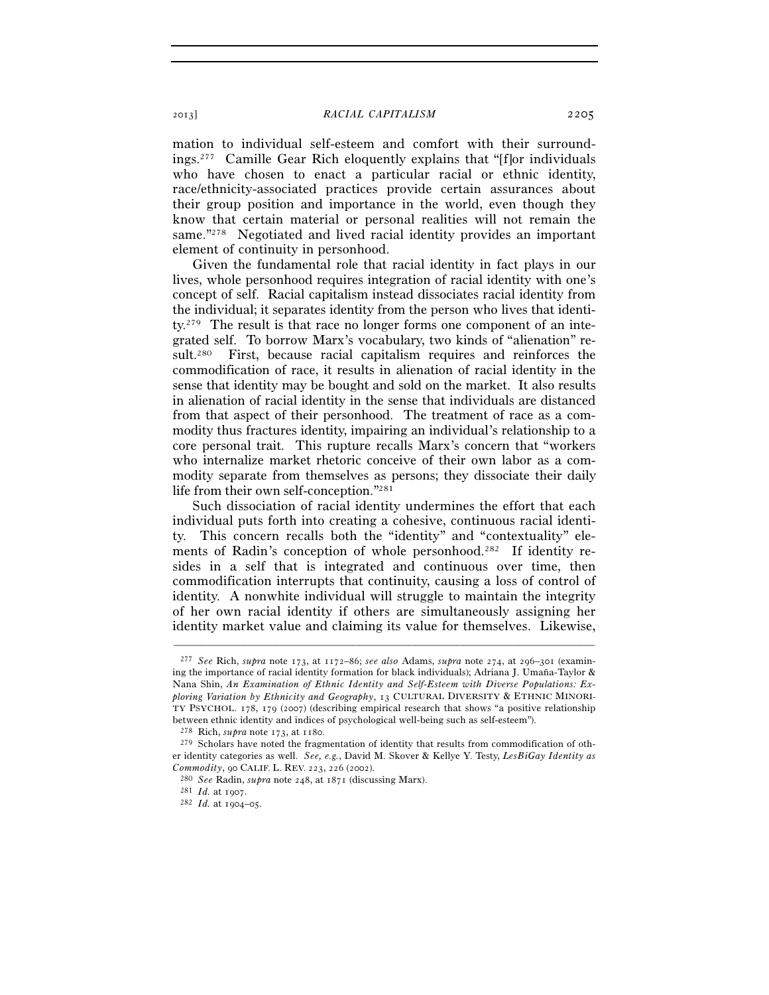mation to individual self-esteem and comfort with their surroundings.277 Camille Gear Rich eloquently explains that "[f]or individuals who have chosen to enact a particular racial or ethnic identity, race/ethnicity-associated practices provide certain assurances about their group position and importance in the world, even though they know that certain material or personal realities will not remain the same."<sup>278</sup> Negotiated and lived racial identity provides an important element of continuity in personhood.

Given the fundamental role that racial identity in fact plays in our lives, whole personhood requires integration of racial identity with one's concept of self. Racial capitalism instead dissociates racial identity from the individual; it separates identity from the person who lives that identity.279 The result is that race no longer forms one component of an integrated self. To borrow Marx's vocabulary, two kinds of "alienation" result.280 First, because racial capitalism requires and reinforces the commodification of race, it results in alienation of racial identity in the sense that identity may be bought and sold on the market. It also results in alienation of racial identity in the sense that individuals are distanced from that aspect of their personhood. The treatment of race as a commodity thus fractures identity, impairing an individual's relationship to a core personal trait. This rupture recalls Marx's concern that "workers who internalize market rhetoric conceive of their own labor as a commodity separate from themselves as persons; they dissociate their daily life from their own self-conception."281

Such dissociation of racial identity undermines the effort that each individual puts forth into creating a cohesive, continuous racial identity. This concern recalls both the "identity" and "contextuality" elements of Radin's conception of whole personhood.<sup>282</sup> If identity resides in a self that is integrated and continuous over time, then commodification interrupts that continuity, causing a loss of control of identity. A nonwhite individual will struggle to maintain the integrity of her own racial identity if others are simultaneously assigning her identity market value and claiming its value for themselves. Likewise,

<sup>277</sup> *See* Rich, *supra* note 173, at 1172–86; *see also* Adams, *supra* note 274, at 296–301 (examining the importance of racial identity formation for black individuals); Adriana J. Umaña-Taylor & Nana Shin, *An Examination of Ethnic Identity and Self-Esteem with Diverse Populations: Exploring Variation by Ethnicity and Geography*, 13 CULTURAL DIVERSITY & ETHNIC MINORI-TY PSYCHOL. 178, 179 (2007) (describing empirical research that shows "a positive relationship between ethnic identity and indices of psychological well-being such as self-esteem").

<sup>&</sup>lt;sup>278</sup> Rich, *supra* note 173, at 1180.<br><sup>279</sup> Scholars have noted the fragmentation of identity that results from commodification of other identity categories as well. *See, e.g.*, David M. Skover & Kellye Y. Testy, *LesBiGay Identity as Commodity*, 90 CALIF. L. REV. <sup>223</sup>, 226 (2002). 280 *See* Radin, *supra* note 248, at 1871 (discussing Marx). 281 *Id.* at 1907. 282 *Id.* at 1904–05.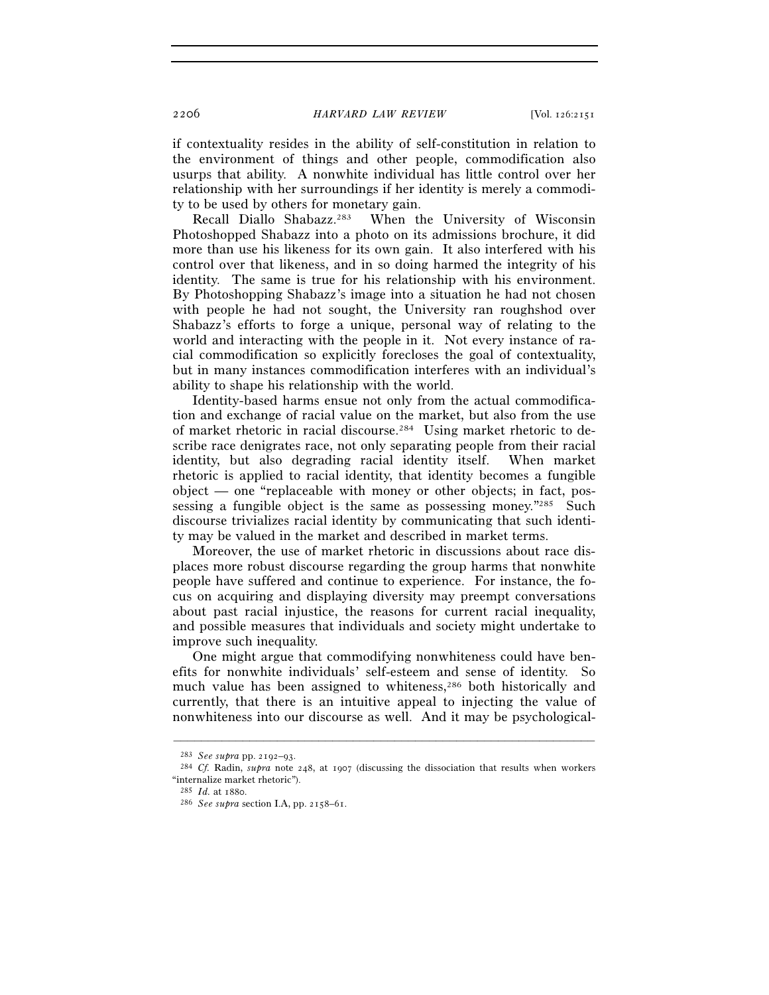if contextuality resides in the ability of self-constitution in relation to the environment of things and other people, commodification also usurps that ability. A nonwhite individual has little control over her relationship with her surroundings if her identity is merely a commodity to be used by others for monetary gain.

Recall Diallo Shabazz.283 When the University of Wisconsin Photoshopped Shabazz into a photo on its admissions brochure, it did more than use his likeness for its own gain. It also interfered with his control over that likeness, and in so doing harmed the integrity of his identity. The same is true for his relationship with his environment. By Photoshopping Shabazz's image into a situation he had not chosen with people he had not sought, the University ran roughshod over Shabazz's efforts to forge a unique, personal way of relating to the world and interacting with the people in it. Not every instance of racial commodification so explicitly forecloses the goal of contextuality, but in many instances commodification interferes with an individual's ability to shape his relationship with the world.

Identity-based harms ensue not only from the actual commodification and exchange of racial value on the market, but also from the use of market rhetoric in racial discourse.284 Using market rhetoric to describe race denigrates race, not only separating people from their racial identity, but also degrading racial identity itself. When market rhetoric is applied to racial identity, that identity becomes a fungible object — one "replaceable with money or other objects; in fact, possessing a fungible object is the same as possessing money."285 Such discourse trivializes racial identity by communicating that such identity may be valued in the market and described in market terms.

Moreover, the use of market rhetoric in discussions about race displaces more robust discourse regarding the group harms that nonwhite people have suffered and continue to experience. For instance, the focus on acquiring and displaying diversity may preempt conversations about past racial injustice, the reasons for current racial inequality, and possible measures that individuals and society might undertake to improve such inequality.

One might argue that commodifying nonwhiteness could have benefits for nonwhite individuals' self-esteem and sense of identity. So much value has been assigned to whiteness,<sup>286</sup> both historically and currently, that there is an intuitive appeal to injecting the value of nonwhiteness into our discourse as well. And it may be psychological-

<sup>283</sup> *See supra* pp. 2192–93. 284 *Cf.* Radin, *supra* note 248, at 1907 (discussing the dissociation that results when workers "internalize market rhetoric").

<sup>285</sup> *Id.* at 1880. 286 *See supra* section I.A, pp. 2158–61.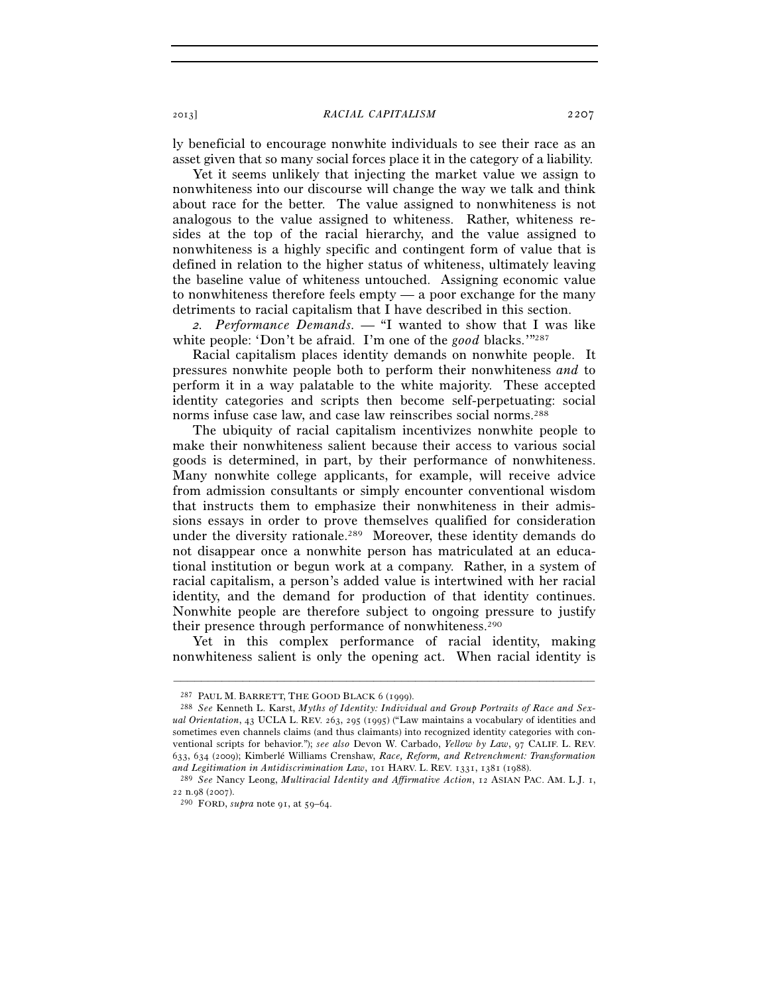ly beneficial to encourage nonwhite individuals to see their race as an asset given that so many social forces place it in the category of a liability.

Yet it seems unlikely that injecting the market value we assign to nonwhiteness into our discourse will change the way we talk and think about race for the better. The value assigned to nonwhiteness is not analogous to the value assigned to whiteness. Rather, whiteness resides at the top of the racial hierarchy, and the value assigned to nonwhiteness is a highly specific and contingent form of value that is defined in relation to the higher status of whiteness, ultimately leaving the baseline value of whiteness untouched. Assigning economic value to nonwhiteness therefore feels empty — a poor exchange for the many detriments to racial capitalism that I have described in this section.

*2. Performance Demands. —* "I wanted to show that I was like white people: 'Don't be afraid. I'm one of the *good* blacks.'"<sup>287</sup>

Racial capitalism places identity demands on nonwhite people. It pressures nonwhite people both to perform their nonwhiteness *and* to perform it in a way palatable to the white majority. These accepted identity categories and scripts then become self-perpetuating: social norms infuse case law, and case law reinscribes social norms.288

The ubiquity of racial capitalism incentivizes nonwhite people to make their nonwhiteness salient because their access to various social goods is determined, in part, by their performance of nonwhiteness. Many nonwhite college applicants, for example, will receive advice from admission consultants or simply encounter conventional wisdom that instructs them to emphasize their nonwhiteness in their admissions essays in order to prove themselves qualified for consideration under the diversity rationale.289 Moreover, these identity demands do not disappear once a nonwhite person has matriculated at an educational institution or begun work at a company. Rather, in a system of racial capitalism, a person's added value is intertwined with her racial identity, and the demand for production of that identity continues. Nonwhite people are therefore subject to ongoing pressure to justify their presence through performance of nonwhiteness.290

Yet in this complex performance of racial identity, making nonwhiteness salient is only the opening act. When racial identity is

<sup>287</sup> PAUL M. BARRETT, THE GOOD BLACK <sup>6</sup> (1999). 288 *See* Kenneth L. Karst, *Myths of Identity: Individual and Group Portraits of Race and Sexual Orientation*, 43 UCLA L. REV. 263, 295 (1995) ("Law maintains a vocabulary of identities and sometimes even channels claims (and thus claimants) into recognized identity categories with conventional scripts for behavior."); *see also* Devon W. Carbado, *Yellow by Law*, 97 CALIF. L. REV. 633, 634 (2009); Kimberlé Williams Crenshaw, *Race, Reform, and Retrenchment: Transformation and Legitimation in Antidiscrimination Law*, 101 HARV. L. REV. 1331, 1381 (1988). 289 *See* Nancy Leong, *Multiracial Identity and Affirmative Action*, <sup>12</sup> ASIAN PAC. AM. L.J. 1,

<sup>22</sup> n.98 (2007). 290 FORD, *supra* note 91, at 59–64.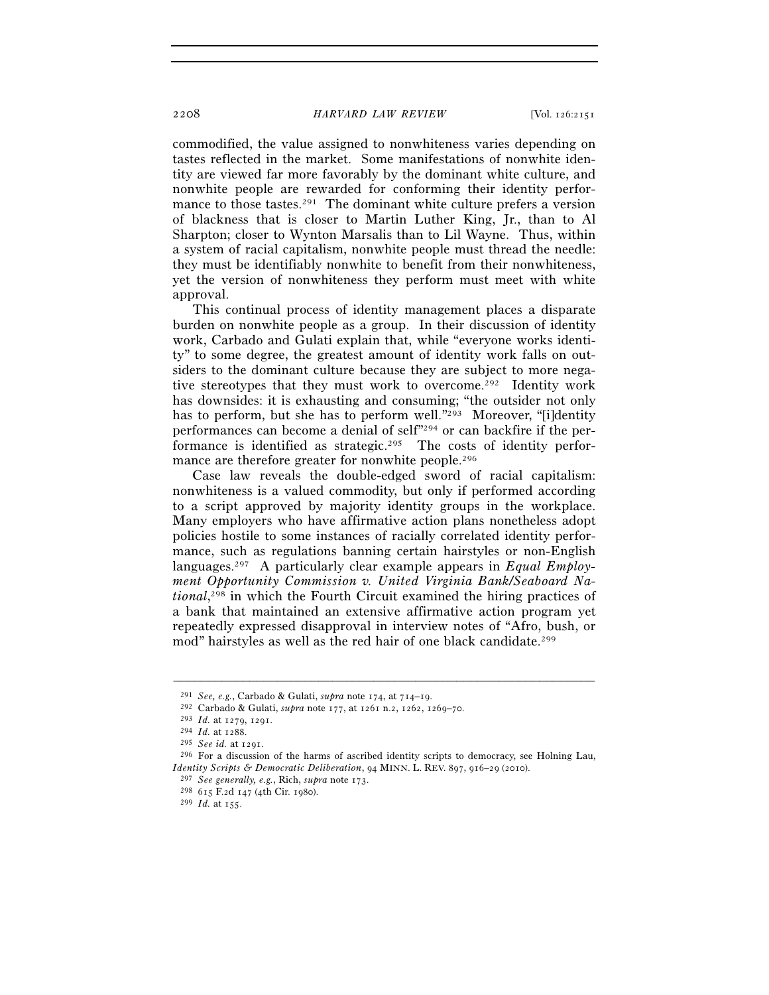commodified, the value assigned to nonwhiteness varies depending on tastes reflected in the market. Some manifestations of nonwhite identity are viewed far more favorably by the dominant white culture, and nonwhite people are rewarded for conforming their identity performance to those tastes.<sup>291</sup> The dominant white culture prefers a version of blackness that is closer to Martin Luther King, Jr., than to Al Sharpton; closer to Wynton Marsalis than to Lil Wayne. Thus, within a system of racial capitalism, nonwhite people must thread the needle: they must be identifiably nonwhite to benefit from their nonwhiteness, yet the version of nonwhiteness they perform must meet with white approval.

This continual process of identity management places a disparate burden on nonwhite people as a group. In their discussion of identity work, Carbado and Gulati explain that, while "everyone works identity" to some degree, the greatest amount of identity work falls on outsiders to the dominant culture because they are subject to more negative stereotypes that they must work to overcome.<sup>292</sup> Identity work has downsides: it is exhausting and consuming; "the outsider not only has to perform, but she has to perform well."<sup>293</sup> Moreover, "[i]dentity performances can become a denial of self"294 or can backfire if the performance is identified as strategic.295 The costs of identity performance are therefore greater for nonwhite people.<sup>296</sup>

Case law reveals the double-edged sword of racial capitalism: nonwhiteness is a valued commodity, but only if performed according to a script approved by majority identity groups in the workplace. Many employers who have affirmative action plans nonetheless adopt policies hostile to some instances of racially correlated identity performance, such as regulations banning certain hairstyles or non-English languages.297 A particularly clear example appears in *Equal Employment Opportunity Commission v. United Virginia Bank/Seaboard National*, 298 in which the Fourth Circuit examined the hiring practices of a bank that maintained an extensive affirmative action program yet repeatedly expressed disapproval in interview notes of "Afro, bush, or mod" hairstyles as well as the red hair of one black candidate.<sup>299</sup>

<sup>&</sup>lt;sup>291</sup> *See, e.g.*, Carbado & Gulati, *supra* note 174, at 714–19.<br><sup>292</sup> Carbado & Gulati, *supra* note 177, at 1261 n.2, 1262, 1269–70.<br><sup>293</sup> *Id.* at 1279, 1291.<br><sup>294</sup> *Id.* at 1288.<br><sup>295</sup> *See id.* at 1291.<br><sup>296</sup> For a *Identity Scripts & Democratic Deliberation*, 94 MINN. L. REV. 897, 916–29 (2010).

<sup>297</sup> *See generally, e.g.*, Rich, *supra* note 173. 298 <sup>615</sup> F.2d 147 (4th Cir. 1980). 299 *Id.* at 155.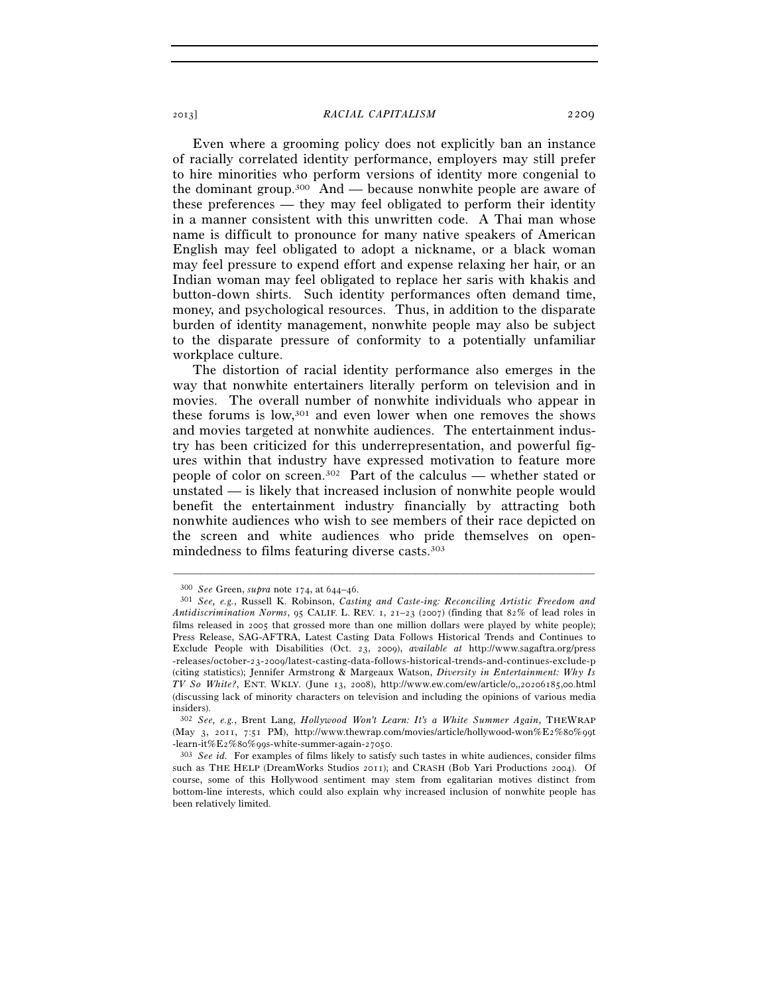Even where a grooming policy does not explicitly ban an instance of racially correlated identity performance, employers may still prefer to hire minorities who perform versions of identity more congenial to the dominant group.<sup>300</sup> And — because nonwhite people are aware of these preferences — they may feel obligated to perform their identity in a manner consistent with this unwritten code. A Thai man whose name is difficult to pronounce for many native speakers of American English may feel obligated to adopt a nickname, or a black woman may feel pressure to expend effort and expense relaxing her hair, or an Indian woman may feel obligated to replace her saris with khakis and button-down shirts. Such identity performances often demand time, money, and psychological resources. Thus, in addition to the disparate burden of identity management, nonwhite people may also be subject to the disparate pressure of conformity to a potentially unfamiliar workplace culture.

The distortion of racial identity performance also emerges in the way that nonwhite entertainers literally perform on television and in movies. The overall number of nonwhite individuals who appear in these forums is low,301 and even lower when one removes the shows and movies targeted at nonwhite audiences. The entertainment industry has been criticized for this underrepresentation, and powerful figures within that industry have expressed motivation to feature more people of color on screen.302 Part of the calculus — whether stated or unstated — is likely that increased inclusion of nonwhite people would benefit the entertainment industry financially by attracting both nonwhite audiences who wish to see members of their race depicted on the screen and white audiences who pride themselves on openmindedness to films featuring diverse casts.303

<sup>300</sup> *See* Green, *supra* note 174, at 644–46. 301 *See, e.g.*, Russell K. Robinson, *Casting and Caste-ing: Reconciling Artistic Freedom and Antidiscrimination Norms*, 95 CALIF. L. REV. 1, 21–23 (2007) (finding that 82% of lead roles in films released in 2005 that grossed more than one million dollars were played by white people); Press Release, SAG-AFTRA, Latest Casting Data Follows Historical Trends and Continues to Exclude People with Disabilities (Oct. 23, 2009), *available at* http://www.sagaftra.org/press -releases/october-23-2009/latest-casting-data-follows-historical-trends-and-continues-exclude-p (citing statistics); Jennifer Armstrong & Margeaux Watson, *Diversity in Entertainment: Why Is TV So White?*, ENT. WKLY. (June 13, 2008), http://www.ew.com/ew/article/0,,20206185,00.html (discussing lack of minority characters on television and including the opinions of various media insiders).

<sup>302</sup> *See, e.g.*, Brent Lang, *Hollywood Won't Learn: It's a White Summer Again*, THEWRAP (May 3, 2011, 7:51 PM), http://www.thewrap.com/movies/article/hollywood-won%E2%80%99t -learn-it%E2%80%99s-white-summer-again-27050. 303 *See id.* For examples of films likely to satisfy such tastes in white audiences, consider films

such as THE HELP (DreamWorks Studios 2011); and CRASH (Bob Yari Productions 2004). Of course, some of this Hollywood sentiment may stem from egalitarian motives distinct from bottom-line interests, which could also explain why increased inclusion of nonwhite people has been relatively limited.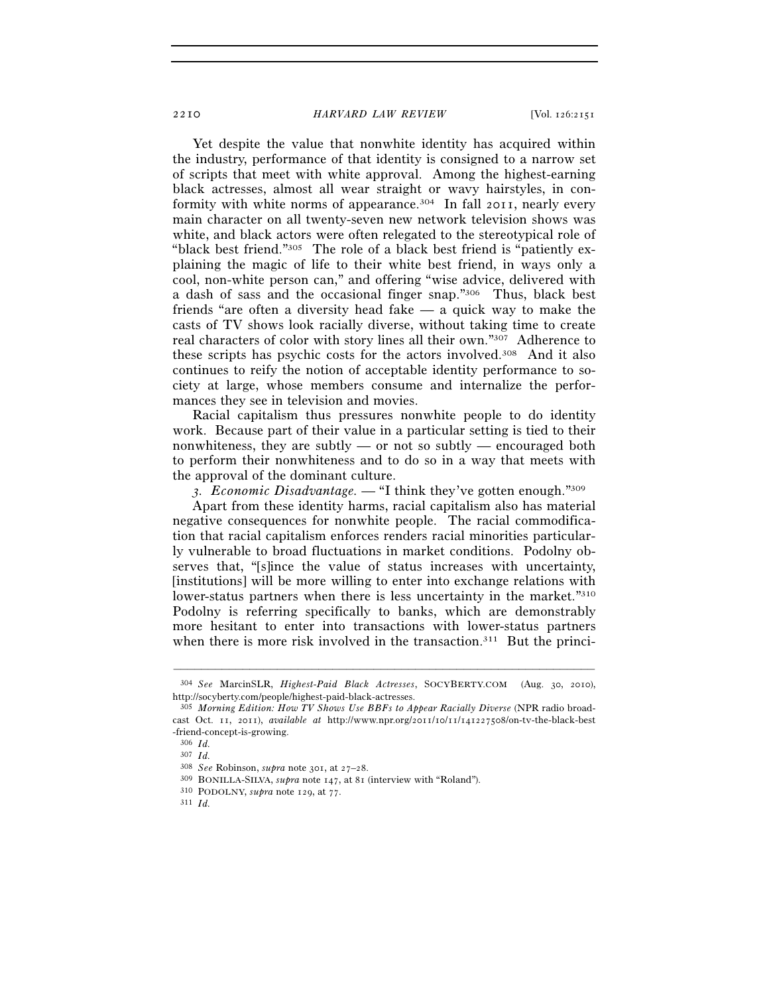Yet despite the value that nonwhite identity has acquired within the industry, performance of that identity is consigned to a narrow set of scripts that meet with white approval. Among the highest-earning black actresses, almost all wear straight or wavy hairstyles, in conformity with white norms of appearance.<sup>304</sup> In fall 2011, nearly every main character on all twenty-seven new network television shows was white, and black actors were often relegated to the stereotypical role of "black best friend."305 The role of a black best friend is "patiently explaining the magic of life to their white best friend, in ways only a cool, non-white person can," and offering "wise advice, delivered with a dash of sass and the occasional finger snap."306 Thus, black best friends "are often a diversity head fake — a quick way to make the casts of TV shows look racially diverse, without taking time to create real characters of color with story lines all their own."307 Adherence to these scripts has psychic costs for the actors involved.308 And it also continues to reify the notion of acceptable identity performance to society at large, whose members consume and internalize the performances they see in television and movies.

Racial capitalism thus pressures nonwhite people to do identity work. Because part of their value in a particular setting is tied to their nonwhiteness, they are subtly  $-$  or not so subtly  $-$  encouraged both to perform their nonwhiteness and to do so in a way that meets with the approval of the dominant culture.

*3. Economic Disadvantage. —* "I think they've gotten enough."309

Apart from these identity harms, racial capitalism also has material negative consequences for nonwhite people. The racial commodification that racial capitalism enforces renders racial minorities particularly vulnerable to broad fluctuations in market conditions. Podolny observes that, "[s]ince the value of status increases with uncertainty, [institutions] will be more willing to enter into exchange relations with lower-status partners when there is less uncertainty in the market."310 Podolny is referring specifically to banks, which are demonstrably more hesitant to enter into transactions with lower-status partners when there is more risk involved in the transaction.<sup>311</sup> But the princi-

<sup>–––––––––––––––––––––––––––––––––––––––––––––––––––––––––––––</sup> 304 *See* MarcinSLR, *Highest-Paid Black Actresses*, SOCYBERTY.COM (Aug. 30, 2010), http://socyberty.com/people/highest-paid-black-actresses.

<sup>305</sup> *Morning Edition: How TV Shows Use BBFs to Appear Racially Diverse* (NPR radio broadcast Oct. 11, 2011), *available at* http://www.npr.org/2011/10/11/141227508/on-tv-the-black-best -friend-concept-is-growing.

<sup>306</sup> *Id.* 

<sup>307</sup> *Id.* 

<sup>&</sup>lt;sup>309</sup> BONILLA-SILVA, *supra* note 147, at 81 (interview with "Roland"). <sup>310</sup> PODOLNY, *supra* note 129, at 77. <sup>311</sup> *Id.*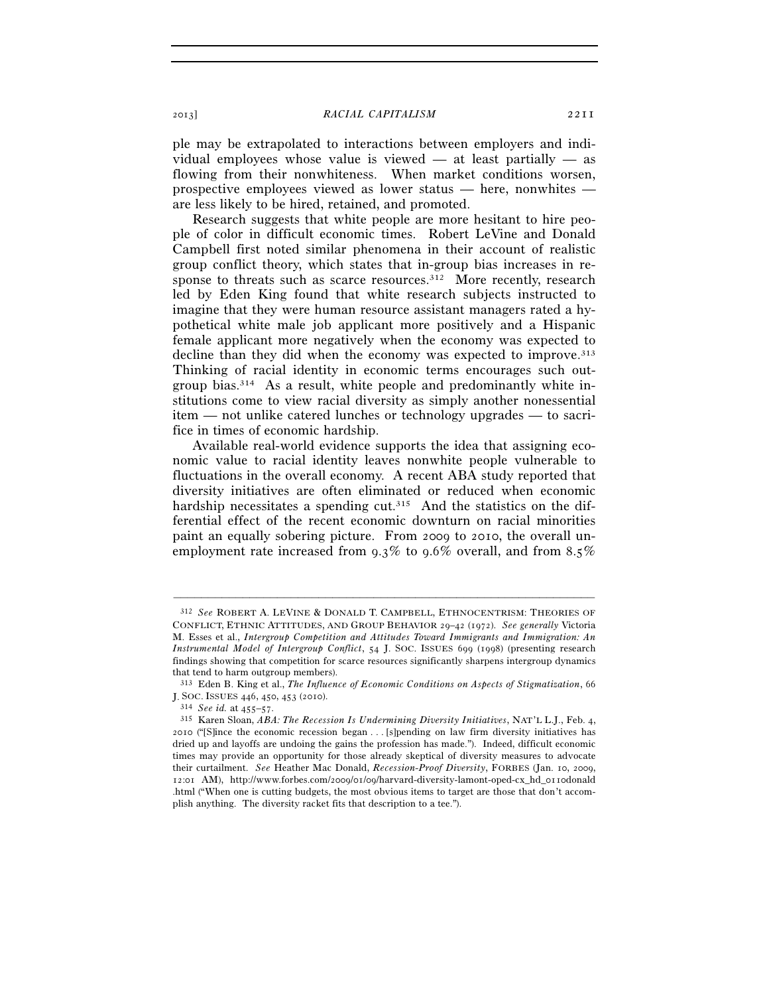ple may be extrapolated to interactions between employers and individual employees whose value is viewed — at least partially — as flowing from their nonwhiteness. When market conditions worsen, prospective employees viewed as lower status — here, nonwhites are less likely to be hired, retained, and promoted.

Research suggests that white people are more hesitant to hire people of color in difficult economic times. Robert LeVine and Donald Campbell first noted similar phenomena in their account of realistic group conflict theory, which states that in-group bias increases in response to threats such as scarce resources.<sup>312</sup> More recently, research led by Eden King found that white research subjects instructed to imagine that they were human resource assistant managers rated a hypothetical white male job applicant more positively and a Hispanic female applicant more negatively when the economy was expected to decline than they did when the economy was expected to improve.313 Thinking of racial identity in economic terms encourages such outgroup bias.314 As a result, white people and predominantly white institutions come to view racial diversity as simply another nonessential item — not unlike catered lunches or technology upgrades — to sacrifice in times of economic hardship.

Available real-world evidence supports the idea that assigning economic value to racial identity leaves nonwhite people vulnerable to fluctuations in the overall economy. A recent ABA study reported that diversity initiatives are often eliminated or reduced when economic hardship necessitates a spending cut.<sup>315</sup> And the statistics on the differential effect of the recent economic downturn on racial minorities paint an equally sobering picture. From 2009 to 2010, the overall unemployment rate increased from 9.3% to 9.6% overall, and from 8.5%

<sup>312</sup> *See* ROBERT A. LEVINE & DONALD T. CAMPBELL, ETHNOCENTRISM: THEORIES OF CONFLICT, ETHNIC ATTITUDES, AND GROUP BEHAVIOR 29–42 (1972). *See generally* Victoria M. Esses et al., *Intergroup Competition and Attitudes Toward Immigrants and Immigration: An Instrumental Model of Intergroup Conflict*, 54 J. SOC. ISSUES 699 (1998) (presenting research findings showing that competition for scarce resources significantly sharpens intergroup dynamics that tend to harm outgroup members).

<sup>313</sup> Eden B. King et al., *The Influence of Economic Conditions on Aspects of Stigmatization*, 66

J. SOC. ISSUES <sup>446</sup>, 450, 453 (2010). 314 *See id.* at 455–57. 315 Karen Sloan, *ABA: The Recession Is Undermining Diversity Initiatives*, NAT'L L.J., Feb. 4, 2010 ("[S]ince the economic recession began . . . [s]pending on law firm diversity initiatives has dried up and layoffs are undoing the gains the profession has made."). Indeed, difficult economic times may provide an opportunity for those already skeptical of diversity measures to advocate their curtailment. *See* Heather Mac Donald, *Recession-Proof Diversity*, FORBES (Jan. 10, 2009, 12:01 AM), http://www.forbes.com/2009/01/09/harvard-diversity-lamont-oped-cx\_hd\_0110donald .html ("When one is cutting budgets, the most obvious items to target are those that don't accomplish anything. The diversity racket fits that description to a tee.").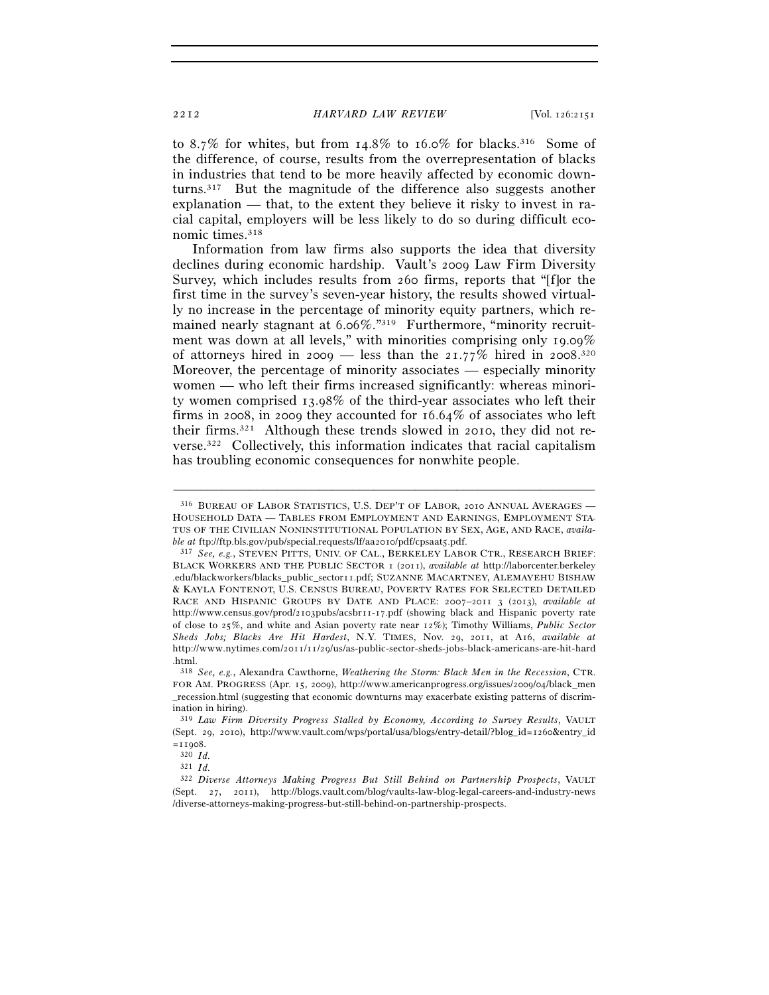to 8.7% for whites, but from 14.8% to 16.0% for blacks.<sup>316</sup> Some of the difference, of course, results from the overrepresentation of blacks in industries that tend to be more heavily affected by economic downturns.317 But the magnitude of the difference also suggests another explanation — that, to the extent they believe it risky to invest in racial capital, employers will be less likely to do so during difficult economic times.<sup>318</sup>

Information from law firms also supports the idea that diversity declines during economic hardship. Vault's 2009 Law Firm Diversity Survey, which includes results from 260 firms, reports that "[f]or the first time in the survey's seven-year history, the results showed virtually no increase in the percentage of minority equity partners, which remained nearly stagnant at 6.06%."<sup>319</sup> Furthermore, "minority recruitment was down at all levels," with minorities comprising only 19.09% of attorneys hired in 2009 – less than the 21.77% hired in 2008.<sup>320</sup> Moreover, the percentage of minority associates — especially minority women — who left their firms increased significantly: whereas minority women comprised 13.98% of the third-year associates who left their firms in 2008, in 2009 they accounted for 16.64% of associates who left their firms.321 Although these trends slowed in 2010, they did not reverse.322 Collectively, this information indicates that racial capitalism has troubling economic consequences for nonwhite people.

<sup>316</sup> BUREAU OF LABOR STATISTICS, U.S. DEP'T OF LABOR, 2010 ANNUAL AVERAGES — HOUSEHOLD DATA — TABLES FROM EMPLOYMENT AND EARNINGS, EMPLOYMENT STA-TUS OF THE CIVILIAN NONINSTITUTIONAL POPULATION BY SEX, AGE, AND RACE, *availa-*

*ble at* ftp://ftp.bls.gov/pub/special.requests/lf/aa2010/pdf/cpsaat5.pdf. 317 *See, e.g.*, STEVEN PITTS, UNIV. OF CAL., BERKELEY LABOR CTR., RESEARCH BRIEF: BLACK WORKERS AND THE PUBLIC SECTOR 1 (2011), *available at* http://laborcenter.berkeley .edu/blackworkers/blacks\_public\_sector11.pdf; SUZANNE MACARTNEY, ALEMAYEHU BISHAW & KAYLA FONTENOT, U.S. CENSUS BUREAU, POVERTY RATES FOR SELECTED DETAILED RACE AND HISPANIC GROUPS BY DATE AND PLACE: 2007–2011 3 (2013), *available at* http://www.census.gov/prod/2103pubs/acsbr11-17.pdf (showing black and Hispanic poverty rate of close to 25%, and white and Asian poverty rate near 12%); Timothy Williams, *Public Sector Sheds Jobs; Blacks Are Hit Hardest*, N.Y. TIMES, Nov. 29, 2011, at A16, *available at* http://www.nytimes.com/2011/11/29/us/as-public-sector-sheds-jobs-black-americans-are-hit-hard .html.

<sup>318</sup> *See, e.g.*, Alexandra Cawthorne, *Weathering the Storm: Black Men in the Recession*, CTR. FOR AM. PROGRESS (Apr. 15, 2009), http://www.americanprogress.org/issues/2009/04/black\_men \_recession.html (suggesting that economic downturns may exacerbate existing patterns of discrimination in hiring).

<sup>319</sup> *Law Firm Diversity Progress Stalled by Economy, According to Survey Results*, VAULT (Sept. 29, 2010), http://www.vault.com/wps/portal/usa/blogs/entry-detail/?blog\_id=1260&entry\_id  $=11908.$ <br> $320$  *Id.* 

<sup>321</sup> *Id.* 

<sup>322</sup> *Diverse Attorneys Making Progress But Still Behind on Partnership Prospects*, VAULT (Sept. 27, 2011), http://blogs.vault.com/blog/vaults-law-blog-legal-careers-and-industry-news /diverse-attorneys-making-progress-but-still-behind-on-partnership-prospects.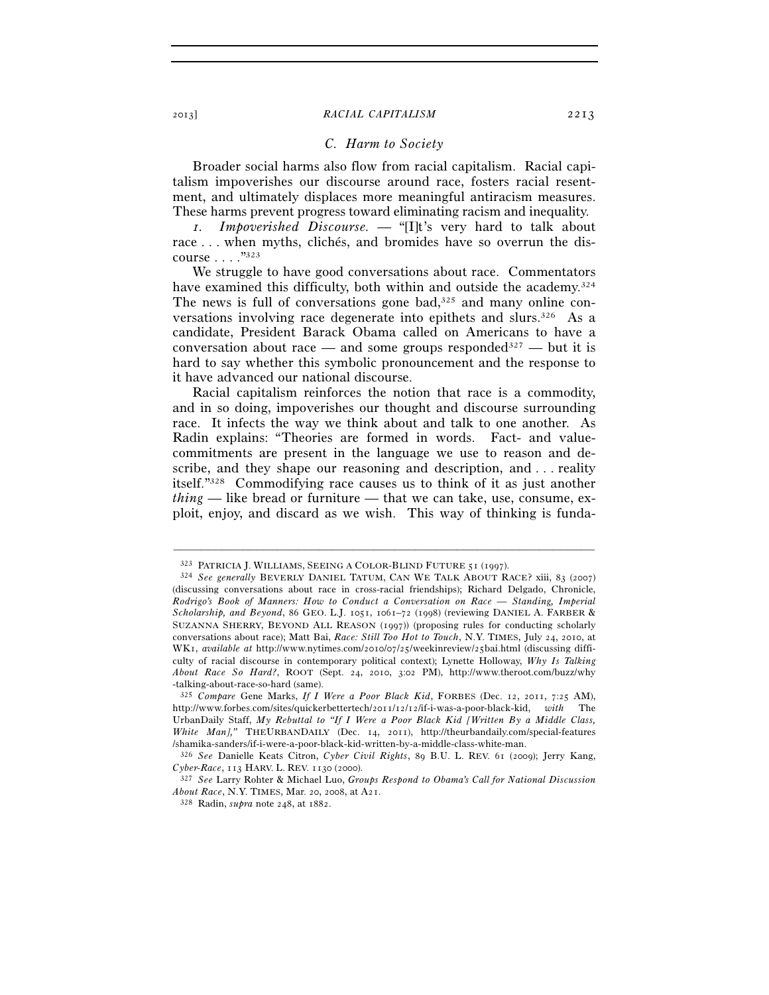## *C. Harm to Society*

Broader social harms also flow from racial capitalism. Racial capitalism impoverishes our discourse around race, fosters racial resentment, and ultimately displaces more meaningful antiracism measures. These harms prevent progress toward eliminating racism and inequality.

*1. Impoverished Discourse. —* "[I]t's very hard to talk about race . . . when myths, clichés, and bromides have so overrun the discourse . . . ."323

We struggle to have good conversations about race. Commentators have examined this difficulty, both within and outside the academy.<sup>324</sup> The news is full of conversations gone bad,<sup>325</sup> and many online conversations involving race degenerate into epithets and slurs.<sup>326</sup> As a candidate, President Barack Obama called on Americans to have a conversation about race — and some groups responded<sup>327</sup> — but it is hard to say whether this symbolic pronouncement and the response to it have advanced our national discourse.

Racial capitalism reinforces the notion that race is a commodity, and in so doing, impoverishes our thought and discourse surrounding race. It infects the way we think about and talk to one another. As Radin explains: "Theories are formed in words. Fact- and valuecommitments are present in the language we use to reason and describe, and they shape our reasoning and description, and . . . reality itself."328 Commodifying race causes us to think of it as just another *thing* — like bread or furniture — that we can take, use, consume, exploit, enjoy, and discard as we wish. This way of thinking is funda-

<sup>323</sup> PATRICIA J. WILLIAMS, SEEING <sup>A</sup> COLOR-BLIND FUTURE <sup>51</sup> (1997). 324 *See generally* BEVERLY DANIEL TATUM, CAN WE TALK ABOUT RACE? xiii, 83 (2007) (discussing conversations about race in cross-racial friendships); Richard Delgado, Chronicle, *Rodrigo's Book of Manners: How to Conduct a Conversation on Race — Standing, Imperial Scholarship, and Beyond*, 86 GEO. L.J. 1051, 1061–72 (1998) (reviewing DANIEL A. FARBER & SUZANNA SHERRY, BEYOND ALL REASON (1997)) (proposing rules for conducting scholarly conversations about race); Matt Bai, *Race: Still Too Hot to Touch*, N.Y. TIMES, July 24, 2010, at WK1, *available at* http://www.nytimes.com/2010/07/25/weekinreview/25bai.html (discussing difficulty of racial discourse in contemporary political context); Lynette Holloway, *Why Is Talking About Race So Hard?*, ROOT (Sept. 24, 2010, 3:02 PM), http://www.theroot.com/buzz/why -talking-about-race-so-hard (same).

<sup>325</sup> *Compare* Gene Marks, *If I Were a Poor Black Kid*, FORBES (Dec. 12, 2011, 7:25 AM), http://www.forbes.com/sites/quickerbettertech/2011/12/12/if-i-was-a-poor-black-kid, *with* The UrbanDaily Staff, *My Rebuttal to "If I Were a Poor Black Kid [Written By a Middle Class, White Man],"* THEURBANDAILY (Dec. 14, 2011), http://theurbandaily.com/special-features /shamika-sanders/if-i-were-a-poor-black-kid-written-by-a-middle-class-white-man.

<sup>/</sup>shamika-sanders/if-i-were-a-poor-black-kid-written-by-a-middle-class-white-man. 326 *See* Danielle Keats Citron, *Cyber Civil Rights*, 89 B.U. L. REV. 61 (2009); Jerry Kang, *Cyber-Race*, 113 HARV. L. REV. 1130 (2000). 327 *See* Larry Rohter & Michael Luo, *Groups Respond to Obama's Call for National Discussion* 

*About Race*, N.Y. TIMES, Mar. 20, 2008, at A21. 328 Radin, *supra* note 248, at 1882.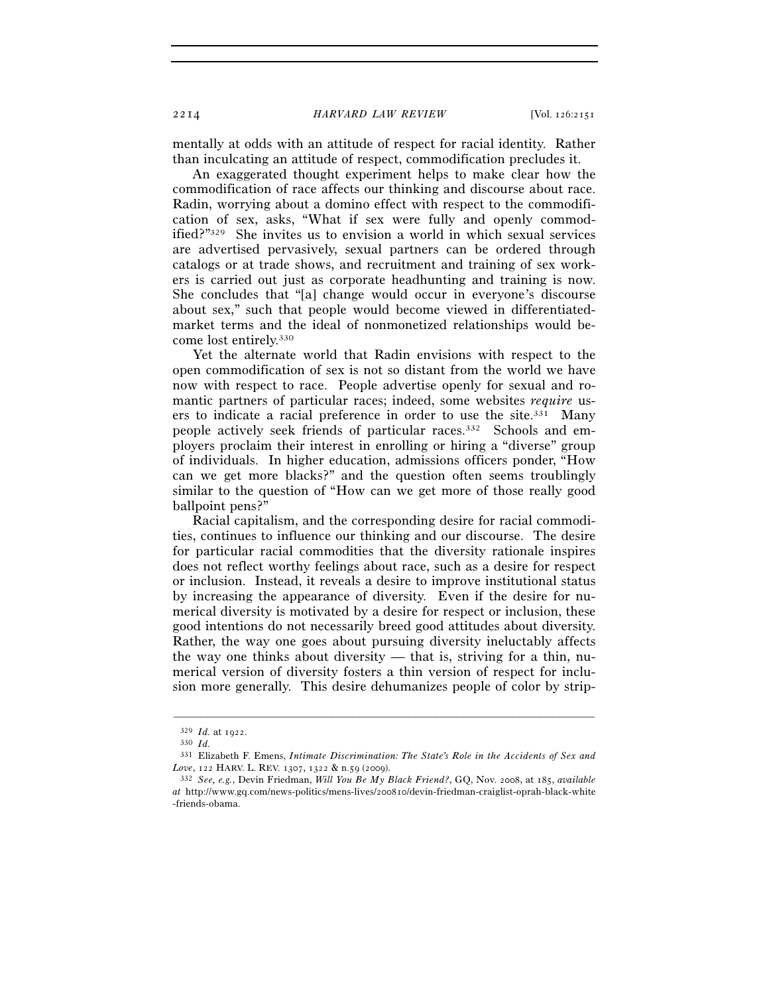mentally at odds with an attitude of respect for racial identity. Rather than inculcating an attitude of respect, commodification precludes it.

An exaggerated thought experiment helps to make clear how the commodification of race affects our thinking and discourse about race. Radin, worrying about a domino effect with respect to the commodification of sex, asks, "What if sex were fully and openly commodified?"329 She invites us to envision a world in which sexual services are advertised pervasively, sexual partners can be ordered through catalogs or at trade shows, and recruitment and training of sex workers is carried out just as corporate headhunting and training is now. She concludes that "[a] change would occur in everyone's discourse about sex," such that people would become viewed in differentiatedmarket terms and the ideal of nonmonetized relationships would become lost entirely.330

Yet the alternate world that Radin envisions with respect to the open commodification of sex is not so distant from the world we have now with respect to race. People advertise openly for sexual and romantic partners of particular races; indeed, some websites *require* users to indicate a racial preference in order to use the site.331 Many people actively seek friends of particular races.332 Schools and employers proclaim their interest in enrolling or hiring a "diverse" group of individuals. In higher education, admissions officers ponder, "How can we get more blacks?" and the question often seems troublingly similar to the question of "How can we get more of those really good ballpoint pens?"

Racial capitalism, and the corresponding desire for racial commodities, continues to influence our thinking and our discourse. The desire for particular racial commodities that the diversity rationale inspires does not reflect worthy feelings about race, such as a desire for respect or inclusion. Instead, it reveals a desire to improve institutional status by increasing the appearance of diversity. Even if the desire for numerical diversity is motivated by a desire for respect or inclusion, these good intentions do not necessarily breed good attitudes about diversity. Rather, the way one goes about pursuing diversity ineluctably affects the way one thinks about diversity — that is, striving for a thin, numerical version of diversity fosters a thin version of respect for inclusion more generally. This desire dehumanizes people of color by strip-

<sup>329</sup> *Id.* at 1922. 330 *Id.* 

<sup>331</sup> Elizabeth F. Emens, *Intimate Discrimination: The State's Role in the Accidents of Sex and Love*, 122 HARV. L. REV. 1307, 1322 & n.59 (2009). 332 *See, e.g.*, Devin Friedman, *Will You Be My Black Friend?*, GQ, Nov. 2008, at 185, *available* 

*at* http://www.gq.com/news-politics/mens-lives/200810/devin-friedman-craiglist-oprah-black-white -friends-obama.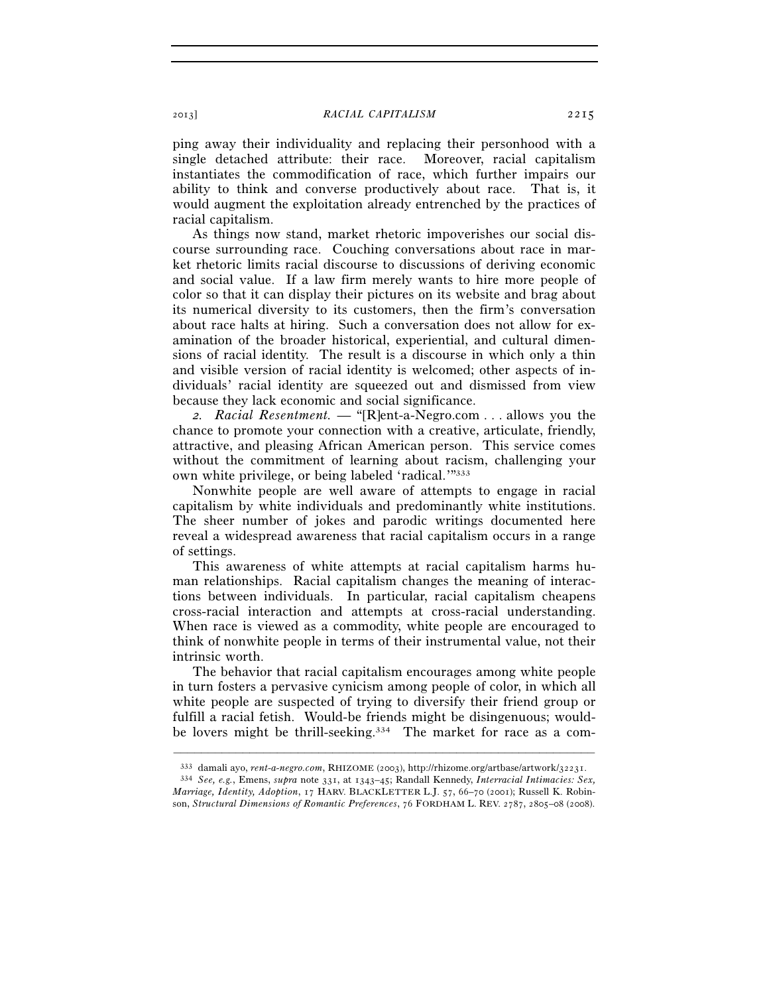ping away their individuality and replacing their personhood with a single detached attribute: their race. Moreover, racial capitalism instantiates the commodification of race, which further impairs our ability to think and converse productively about race. That is, it would augment the exploitation already entrenched by the practices of racial capitalism.

As things now stand, market rhetoric impoverishes our social discourse surrounding race. Couching conversations about race in market rhetoric limits racial discourse to discussions of deriving economic and social value. If a law firm merely wants to hire more people of color so that it can display their pictures on its website and brag about its numerical diversity to its customers, then the firm's conversation about race halts at hiring. Such a conversation does not allow for examination of the broader historical, experiential, and cultural dimensions of racial identity. The result is a discourse in which only a thin and visible version of racial identity is welcomed; other aspects of individuals' racial identity are squeezed out and dismissed from view because they lack economic and social significance.

*2. Racial Resentment. —* "[R]ent-a-Negro.com . . . allows you the chance to promote your connection with a creative, articulate, friendly, attractive, and pleasing African American person. This service comes without the commitment of learning about racism, challenging your own white privilege, or being labeled 'radical.'"333

Nonwhite people are well aware of attempts to engage in racial capitalism by white individuals and predominantly white institutions. The sheer number of jokes and parodic writings documented here reveal a widespread awareness that racial capitalism occurs in a range of settings.

This awareness of white attempts at racial capitalism harms human relationships. Racial capitalism changes the meaning of interactions between individuals. In particular, racial capitalism cheapens cross-racial interaction and attempts at cross-racial understanding. When race is viewed as a commodity, white people are encouraged to think of nonwhite people in terms of their instrumental value, not their intrinsic worth.

The behavior that racial capitalism encourages among white people in turn fosters a pervasive cynicism among people of color, in which all white people are suspected of trying to diversify their friend group or fulfill a racial fetish. Would-be friends might be disingenuous; wouldbe lovers might be thrill-seeking.<sup>334</sup> The market for race as a com-

<sup>–––––––––––––––––––––––––––––––––––––––––––––––––––––––––––––</sup> 333 damali ayo, *rent-a-negro.com*, RHIZOME (2003), http://rhizome.org/artbase/artwork/32231. 334 *See, e.g.*, Emens, *supra* note 331, at 1343–45; Randall Kennedy, *Interracial Intimacies: Sex,* 

*Marriage, Identity, Adoption*, 17 HARV. BLACKLETTER L.J. 57, 66–70 (2001); Russell K. Robinson, *Structural Dimensions of Romantic Preferences*, 76 FORDHAM L. REV. 2787, 2805–08 (2008).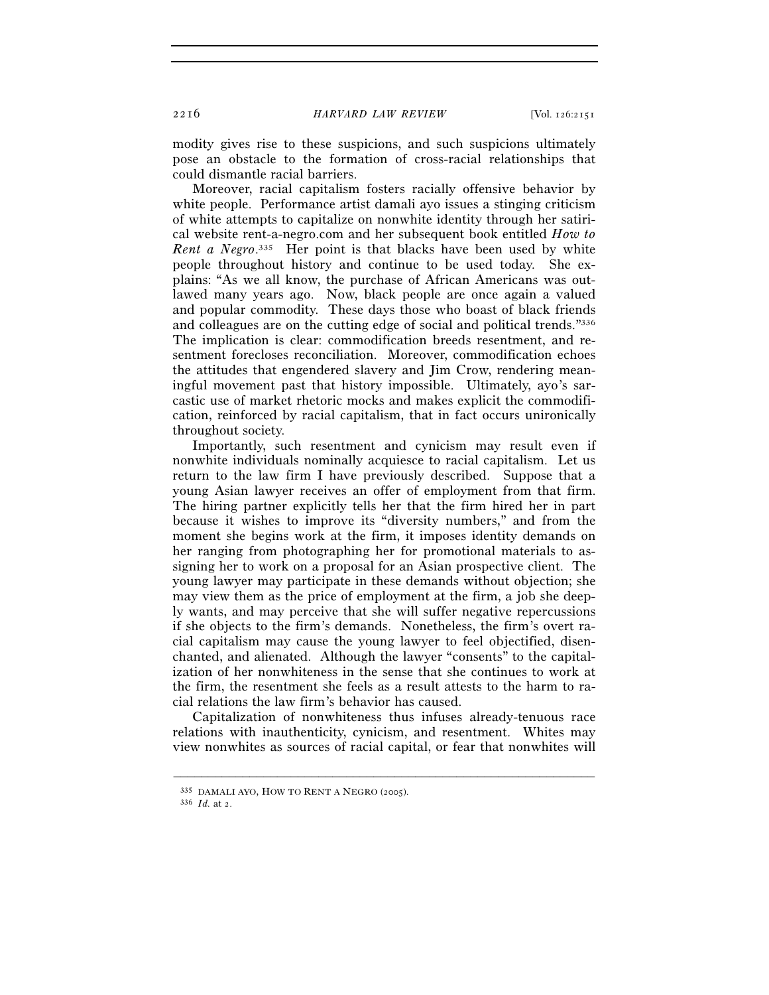modity gives rise to these suspicions, and such suspicions ultimately pose an obstacle to the formation of cross-racial relationships that could dismantle racial barriers.

Moreover, racial capitalism fosters racially offensive behavior by white people. Performance artist damali ayo issues a stinging criticism of white attempts to capitalize on nonwhite identity through her satirical website rent-a-negro.com and her subsequent book entitled *How to Rent a Negro*. 335 Her point is that blacks have been used by white people throughout history and continue to be used today. She explains: "As we all know, the purchase of African Americans was outlawed many years ago. Now, black people are once again a valued and popular commodity. These days those who boast of black friends and colleagues are on the cutting edge of social and political trends."336 The implication is clear: commodification breeds resentment, and resentment forecloses reconciliation. Moreover, commodification echoes the attitudes that engendered slavery and Jim Crow, rendering meaningful movement past that history impossible. Ultimately, ayo's sarcastic use of market rhetoric mocks and makes explicit the commodification, reinforced by racial capitalism, that in fact occurs unironically throughout society.

Importantly, such resentment and cynicism may result even if nonwhite individuals nominally acquiesce to racial capitalism. Let us return to the law firm I have previously described. Suppose that a young Asian lawyer receives an offer of employment from that firm. The hiring partner explicitly tells her that the firm hired her in part because it wishes to improve its "diversity numbers," and from the moment she begins work at the firm, it imposes identity demands on her ranging from photographing her for promotional materials to assigning her to work on a proposal for an Asian prospective client. The young lawyer may participate in these demands without objection; she may view them as the price of employment at the firm, a job she deeply wants, and may perceive that she will suffer negative repercussions if she objects to the firm's demands. Nonetheless, the firm's overt racial capitalism may cause the young lawyer to feel objectified, disenchanted, and alienated. Although the lawyer "consents" to the capitalization of her nonwhiteness in the sense that she continues to work at the firm, the resentment she feels as a result attests to the harm to racial relations the law firm's behavior has caused.

Capitalization of nonwhiteness thus infuses already-tenuous race relations with inauthenticity, cynicism, and resentment. Whites may view nonwhites as sources of racial capital, or fear that nonwhites will

<sup>335</sup> DAMALI AYO, HOW TO RENT <sup>A</sup> NEGRO (2005). 336 *Id.* at 2.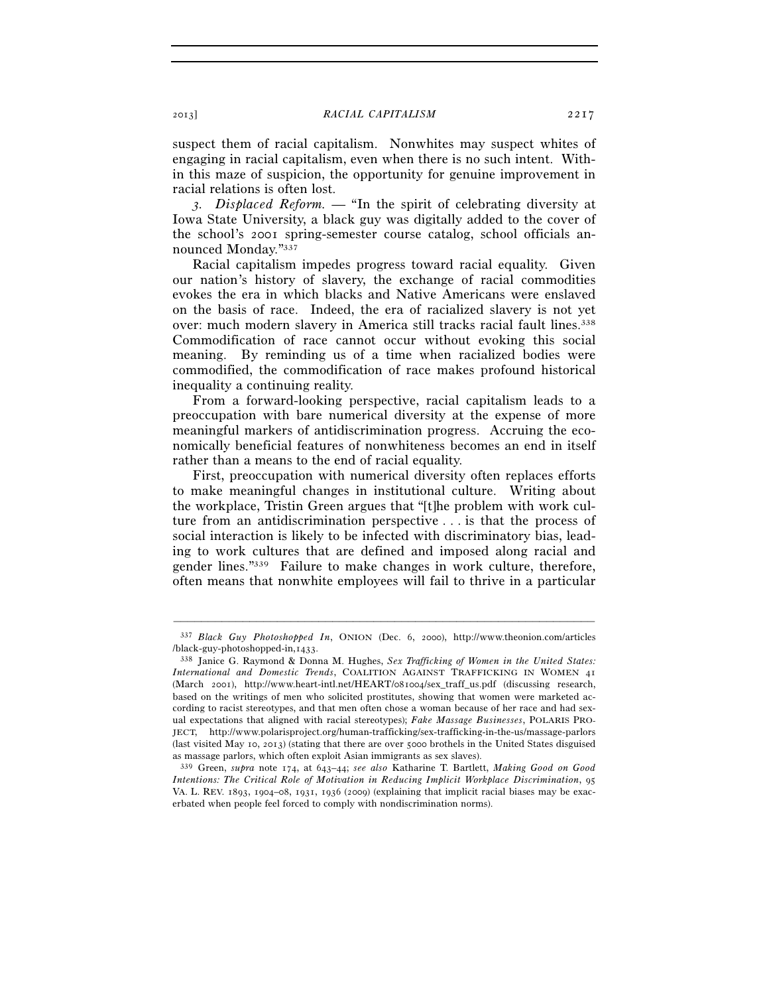suspect them of racial capitalism. Nonwhites may suspect whites of engaging in racial capitalism, even when there is no such intent. Within this maze of suspicion, the opportunity for genuine improvement in racial relations is often lost.

*3. Displaced Reform. —* "In the spirit of celebrating diversity at Iowa State University, a black guy was digitally added to the cover of the school's 2001 spring-semester course catalog, school officials announced Monday."337

Racial capitalism impedes progress toward racial equality. Given our nation's history of slavery, the exchange of racial commodities evokes the era in which blacks and Native Americans were enslaved on the basis of race. Indeed, the era of racialized slavery is not yet over: much modern slavery in America still tracks racial fault lines.<sup>338</sup> Commodification of race cannot occur without evoking this social meaning. By reminding us of a time when racialized bodies were commodified, the commodification of race makes profound historical inequality a continuing reality.

From a forward-looking perspective, racial capitalism leads to a preoccupation with bare numerical diversity at the expense of more meaningful markers of antidiscrimination progress. Accruing the economically beneficial features of nonwhiteness becomes an end in itself rather than a means to the end of racial equality.

First, preoccupation with numerical diversity often replaces efforts to make meaningful changes in institutional culture. Writing about the workplace, Tristin Green argues that "[t]he problem with work culture from an antidiscrimination perspective . . . is that the process of social interaction is likely to be infected with discriminatory bias, leading to work cultures that are defined and imposed along racial and gender lines."339 Failure to make changes in work culture, therefore, often means that nonwhite employees will fail to thrive in a particular

<sup>–––––––––––––––––––––––––––––––––––––––––––––––––––––––––––––</sup> 337 *Black Guy Photoshopped In*, ONION (Dec. 6, 2000), http://www.theonion.com/articles /black-guy-photoshopped-in,1433. 338 Janice G. Raymond & Donna M. Hughes, *Sex Trafficking of Women in the United States:* 

*International and Domestic Trends*, COALITION AGAINST TRAFFICKING IN WOMEN 41 (March 2001), http://www.heart-intl.net/HEART/081004/sex\_traff\_us.pdf (discussing research, based on the writings of men who solicited prostitutes, showing that women were marketed according to racist stereotypes, and that men often chose a woman because of her race and had sexual expectations that aligned with racial stereotypes); *Fake Massage Businesses*, POLARIS PRO-JECT, http://www.polarisproject.org/human-trafficking/sex-trafficking-in-the-us/massage-parlors (last visited May 10, 2013) (stating that there are over 5000 brothels in the United States disguised as massage parlors, which often exploit Asian immigrants as sex slaves).

<sup>339</sup> Green, *supra* note 174, at 643–44; *see also* Katharine T. Bartlett, *Making Good on Good Intentions: The Critical Role of Motivation in Reducing Implicit Workplace Discrimination*, 95 VA. L. REV. 1893, 1904–08, 1931, 1936 (2009) (explaining that implicit racial biases may be exacerbated when people feel forced to comply with nondiscrimination norms).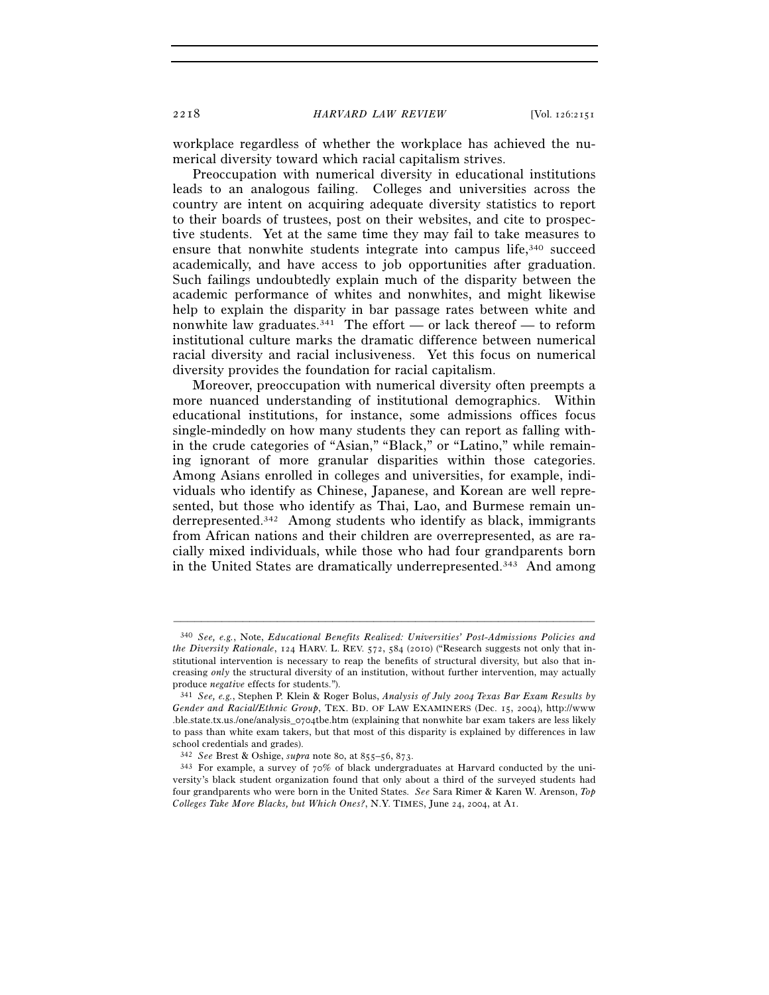workplace regardless of whether the workplace has achieved the numerical diversity toward which racial capitalism strives.

Preoccupation with numerical diversity in educational institutions leads to an analogous failing. Colleges and universities across the country are intent on acquiring adequate diversity statistics to report to their boards of trustees, post on their websites, and cite to prospective students. Yet at the same time they may fail to take measures to ensure that nonwhite students integrate into campus life, $340$  succeed academically, and have access to job opportunities after graduation. Such failings undoubtedly explain much of the disparity between the academic performance of whites and nonwhites, and might likewise help to explain the disparity in bar passage rates between white and nonwhite law graduates.<sup>341</sup> The effort — or lack thereof — to reform institutional culture marks the dramatic difference between numerical racial diversity and racial inclusiveness. Yet this focus on numerical diversity provides the foundation for racial capitalism.

Moreover, preoccupation with numerical diversity often preempts a more nuanced understanding of institutional demographics. Within educational institutions, for instance, some admissions offices focus single-mindedly on how many students they can report as falling within the crude categories of "Asian," "Black," or "Latino," while remaining ignorant of more granular disparities within those categories. Among Asians enrolled in colleges and universities, for example, individuals who identify as Chinese, Japanese, and Korean are well represented, but those who identify as Thai, Lao, and Burmese remain underrepresented.<sup>342</sup> Among students who identify as black, immigrants from African nations and their children are overrepresented, as are racially mixed individuals, while those who had four grandparents born in the United States are dramatically underrepresented.343 And among

<sup>340</sup> *See, e.g.*, Note, *Educational Benefits Realized: Universities' Post-Admissions Policies and the Diversity Rationale*, 124 HARV. L. REV. 572, 584 (2010) ("Research suggests not only that institutional intervention is necessary to reap the benefits of structural diversity, but also that increasing *only* the structural diversity of an institution, without further intervention, may actually produce *negative* effects for students."). 341 *See, e.g.*, Stephen P. Klein & Roger Bolus, *Analysis of July 2004 Texas Bar Exam Results by* 

*Gender and Racial/Ethnic Group*, TEX. BD. OF LAW EXAMINERS (Dec. 15, 2004), http://www .ble.state.tx.us./one/analysis\_0704tbe.htm (explaining that nonwhite bar exam takers are less likely to pass than white exam takers, but that most of this disparity is explained by differences in law school credentials and grades).

<sup>342</sup> *See* Brest & Oshige, *supra* note 80, at 855–56, 873. 343 For example, a survey of 70% of black undergraduates at Harvard conducted by the university's black student organization found that only about a third of the surveyed students had four grandparents who were born in the United States. *See* Sara Rimer & Karen W. Arenson, *Top Colleges Take More Blacks, but Which Ones?*, N.Y. TIMES, June 24, 2004, at A1.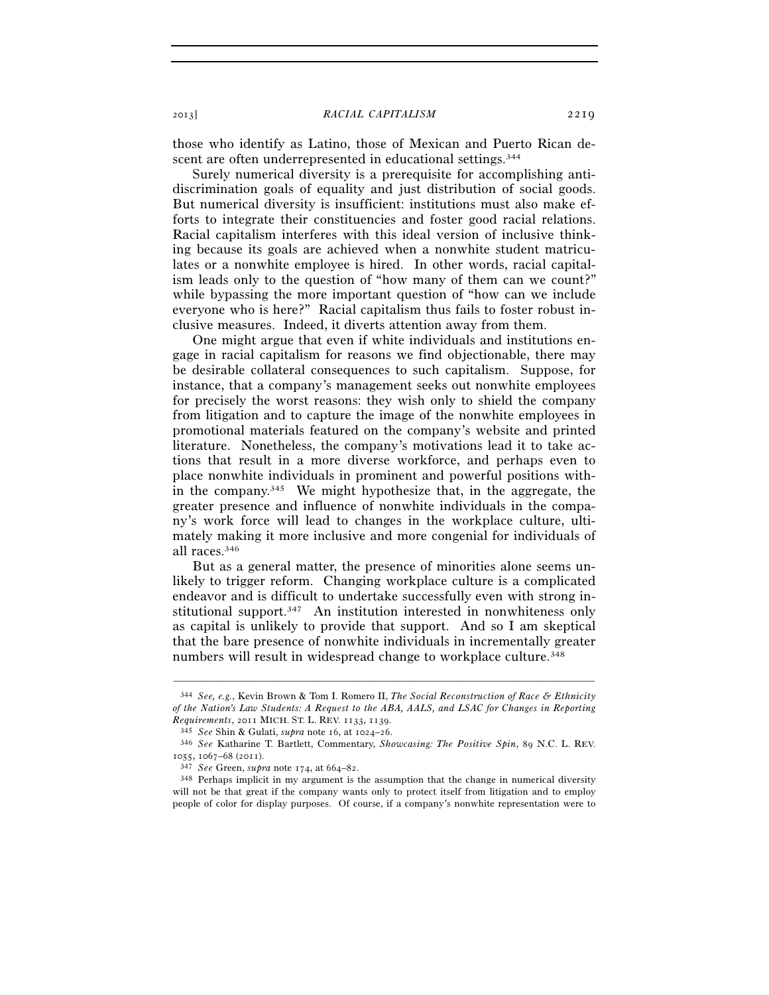those who identify as Latino, those of Mexican and Puerto Rican descent are often underrepresented in educational settings.<sup>344</sup>

Surely numerical diversity is a prerequisite for accomplishing antidiscrimination goals of equality and just distribution of social goods. But numerical diversity is insufficient: institutions must also make efforts to integrate their constituencies and foster good racial relations. Racial capitalism interferes with this ideal version of inclusive thinking because its goals are achieved when a nonwhite student matriculates or a nonwhite employee is hired. In other words, racial capitalism leads only to the question of "how many of them can we count?" while bypassing the more important question of "how can we include everyone who is here?" Racial capitalism thus fails to foster robust inclusive measures. Indeed, it diverts attention away from them.

One might argue that even if white individuals and institutions engage in racial capitalism for reasons we find objectionable, there may be desirable collateral consequences to such capitalism. Suppose, for instance, that a company's management seeks out nonwhite employees for precisely the worst reasons: they wish only to shield the company from litigation and to capture the image of the nonwhite employees in promotional materials featured on the company's website and printed literature. Nonetheless, the company's motivations lead it to take actions that result in a more diverse workforce, and perhaps even to place nonwhite individuals in prominent and powerful positions within the company.345 We might hypothesize that, in the aggregate, the greater presence and influence of nonwhite individuals in the company's work force will lead to changes in the workplace culture, ultimately making it more inclusive and more congenial for individuals of all races.346

But as a general matter, the presence of minorities alone seems unlikely to trigger reform. Changing workplace culture is a complicated endeavor and is difficult to undertake successfully even with strong institutional support.<sup>347</sup> An institution interested in nonwhiteness only as capital is unlikely to provide that support. And so I am skeptical that the bare presence of nonwhite individuals in incrementally greater numbers will result in widespread change to workplace culture.<sup>348</sup>

<sup>344</sup> *See, e.g.*, Kevin Brown & Tom I. Romero II, *The Social Reconstruction of Race & Ethnicity of the Nation's Law Students: A Request to the ABA, AALS, and LSAC for Changes in Reporting Requirements, 2011 MICH. ST. L. REV. 1133, 1139.* 

*Requirements*, 2011 MICH. ST. L. REV. 1133, 1139. 345 *See* Shin & Gulati, *supra* note 16, at 1024–26. 346 *See* Katharine T. Bartlett, Commentary, *Showcasing: The Positive Spin*, 89 N.C. L. REV. <sup>1055</sup>, 1067–68 (2011). 347 *See* Green, *supra* note 174, at 664–82. 348 Perhaps implicit in my argument is the assumption that the change in numerical diversity

will not be that great if the company wants only to protect itself from litigation and to employ people of color for display purposes. Of course, if a company's nonwhite representation were to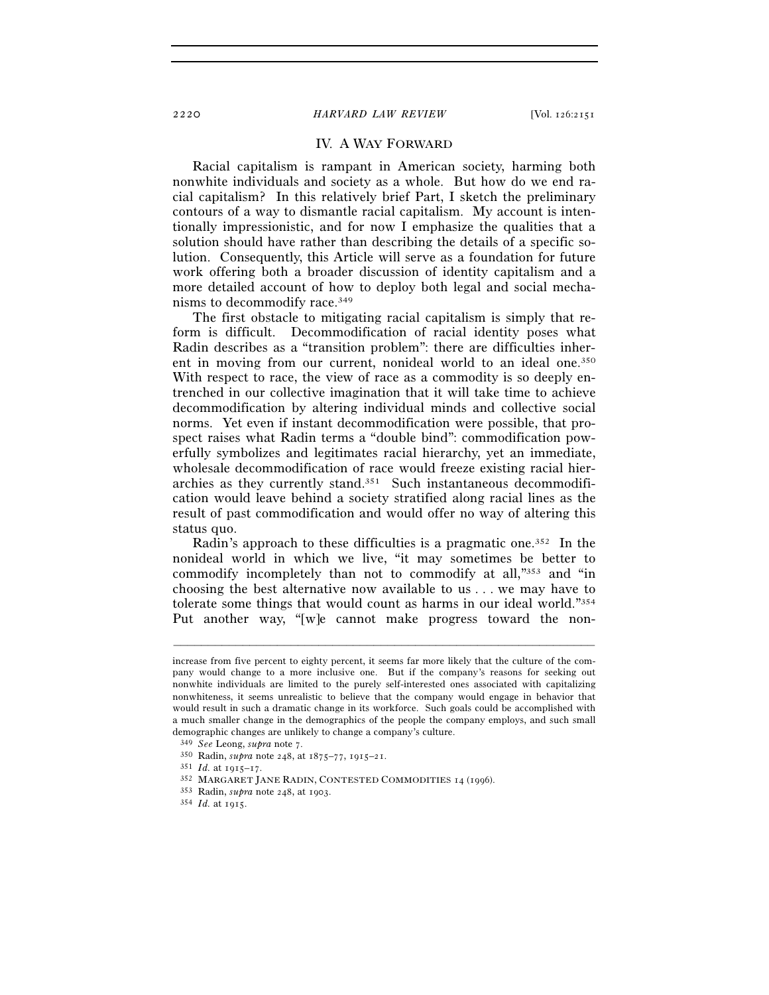# IV. A WAY FORWARD

Racial capitalism is rampant in American society, harming both nonwhite individuals and society as a whole. But how do we end racial capitalism? In this relatively brief Part, I sketch the preliminary contours of a way to dismantle racial capitalism. My account is intentionally impressionistic, and for now I emphasize the qualities that a solution should have rather than describing the details of a specific solution. Consequently, this Article will serve as a foundation for future work offering both a broader discussion of identity capitalism and a more detailed account of how to deploy both legal and social mechanisms to decommodify race.349

The first obstacle to mitigating racial capitalism is simply that reform is difficult. Decommodification of racial identity poses what Radin describes as a "transition problem": there are difficulties inherent in moving from our current, nonideal world to an ideal one.350 With respect to race, the view of race as a commodity is so deeply entrenched in our collective imagination that it will take time to achieve decommodification by altering individual minds and collective social norms. Yet even if instant decommodification were possible, that prospect raises what Radin terms a "double bind": commodification powerfully symbolizes and legitimates racial hierarchy, yet an immediate, wholesale decommodification of race would freeze existing racial hierarchies as they currently stand.351 Such instantaneous decommodification would leave behind a society stratified along racial lines as the result of past commodification and would offer no way of altering this status quo.

Radin's approach to these difficulties is a pragmatic one.<sup>352</sup> In the nonideal world in which we live, "it may sometimes be better to commodify incompletely than not to commodify at all,"353 and "in choosing the best alternative now available to us . . . we may have to tolerate some things that would count as harms in our ideal world."354 Put another way, "[w]e cannot make progress toward the non-

increase from five percent to eighty percent, it seems far more likely that the culture of the company would change to a more inclusive one. But if the company's reasons for seeking out nonwhite individuals are limited to the purely self-interested ones associated with capitalizing nonwhiteness, it seems unrealistic to believe that the company would engage in behavior that would result in such a dramatic change in its workforce. Such goals could be accomplished with a much smaller change in the demographics of the people the company employs, and such small demographic changes are unlikely to change a company's culture.<br> $349\,$  See Leong, supra note 7.

<sup>350</sup> Radin, *supra* note 248, at  $1875-77$ ,  $1915-21$ .<br>
351 *Id.* at  $1915-17$ .<br>
352 MARGARET JANE RADIN, CONTESTED COMMODITIES 14 (1996).<br>
353 Radin, *supra* note 248, at 1903.<br>
354 *Id.* at 1915.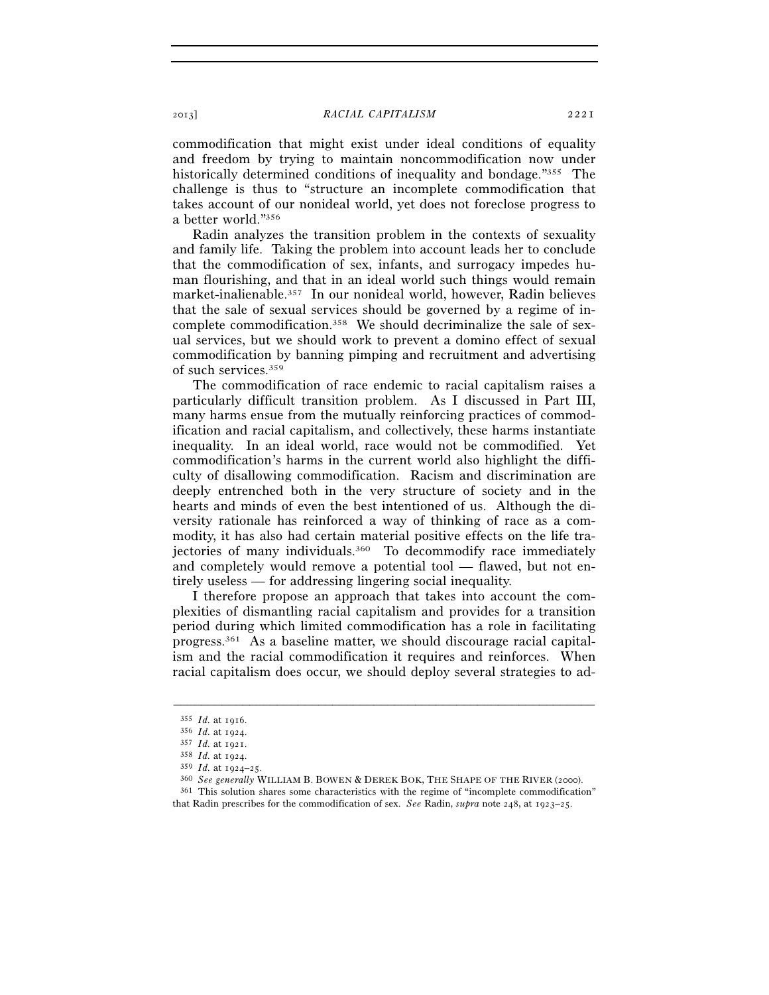commodification that might exist under ideal conditions of equality and freedom by trying to maintain noncommodification now under historically determined conditions of inequality and bondage."355 The challenge is thus to "structure an incomplete commodification that takes account of our nonideal world, yet does not foreclose progress to a better world."356

Radin analyzes the transition problem in the contexts of sexuality and family life. Taking the problem into account leads her to conclude that the commodification of sex, infants, and surrogacy impedes human flourishing, and that in an ideal world such things would remain market-inalienable.357 In our nonideal world, however, Radin believes that the sale of sexual services should be governed by a regime of incomplete commodification.358 We should decriminalize the sale of sexual services, but we should work to prevent a domino effect of sexual commodification by banning pimping and recruitment and advertising of such services.359

The commodification of race endemic to racial capitalism raises a particularly difficult transition problem. As I discussed in Part III, many harms ensue from the mutually reinforcing practices of commodification and racial capitalism, and collectively, these harms instantiate inequality. In an ideal world, race would not be commodified. Yet commodification's harms in the current world also highlight the difficulty of disallowing commodification. Racism and discrimination are deeply entrenched both in the very structure of society and in the hearts and minds of even the best intentioned of us. Although the diversity rationale has reinforced a way of thinking of race as a commodity, it has also had certain material positive effects on the life trajectories of many individuals.<sup>360</sup> To decommodify race immediately and completely would remove a potential tool — flawed, but not entirely useless — for addressing lingering social inequality.

I therefore propose an approach that takes into account the complexities of dismantling racial capitalism and provides for a transition period during which limited commodification has a role in facilitating progress.361 As a baseline matter, we should discourage racial capitalism and the racial commodification it requires and reinforces. When racial capitalism does occur, we should deploy several strategies to ad-

<sup>&</sup>lt;sup>355</sup> *Id.* at 1916.<br>
<sup>356</sup> *Id.* at 1924.<br>
<sup>357</sup> *Id.* at 1921.<br>
<sup>358</sup> *Id.* at 1924.<br>
<sup>359</sup> *Id.* at 1924–25.<br>
<sup>360</sup> *See generally* WILLIAM B. BOWEN & DEREK BOK, THE SHAPE OF THE RIVER (2000).<br>
<sup>361</sup> This solution shar

that Radin prescribes for the commodification of sex. *See* Radin, *supra* note 248, at 1923–25.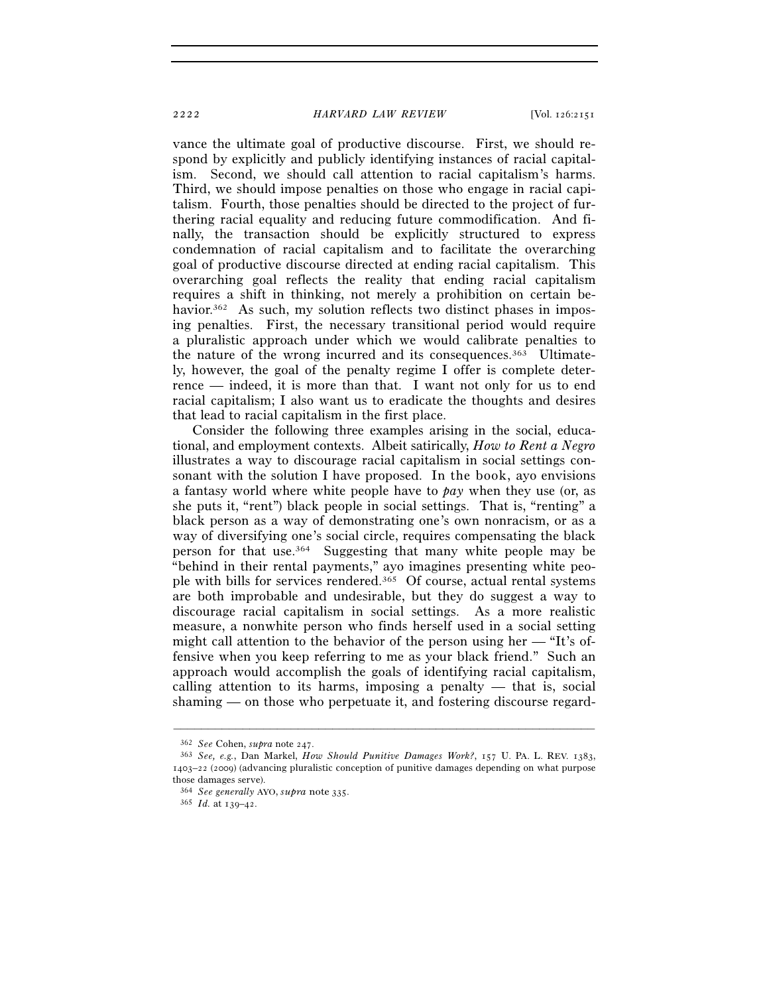vance the ultimate goal of productive discourse. First, we should respond by explicitly and publicly identifying instances of racial capitalism. Second, we should call attention to racial capitalism's harms. Third, we should impose penalties on those who engage in racial capitalism. Fourth, those penalties should be directed to the project of furthering racial equality and reducing future commodification. And finally, the transaction should be explicitly structured to express condemnation of racial capitalism and to facilitate the overarching goal of productive discourse directed at ending racial capitalism. This overarching goal reflects the reality that ending racial capitalism requires a shift in thinking, not merely a prohibition on certain behavior.<sup>362</sup> As such, my solution reflects two distinct phases in imposing penalties. First, the necessary transitional period would require a pluralistic approach under which we would calibrate penalties to the nature of the wrong incurred and its consequences.363 Ultimately, however, the goal of the penalty regime I offer is complete deterrence — indeed, it is more than that. I want not only for us to end racial capitalism; I also want us to eradicate the thoughts and desires that lead to racial capitalism in the first place.

Consider the following three examples arising in the social, educational, and employment contexts. Albeit satirically, *How to Rent a Negro* illustrates a way to discourage racial capitalism in social settings consonant with the solution I have proposed. In the book, ayo envisions a fantasy world where white people have to *pay* when they use (or, as she puts it, "rent") black people in social settings. That is, "renting" a black person as a way of demonstrating one's own nonracism, or as a way of diversifying one's social circle, requires compensating the black person for that use.364 Suggesting that many white people may be "behind in their rental payments," ayo imagines presenting white people with bills for services rendered.365 Of course, actual rental systems are both improbable and undesirable, but they do suggest a way to discourage racial capitalism in social settings. As a more realistic measure, a nonwhite person who finds herself used in a social setting might call attention to the behavior of the person using her — "It's offensive when you keep referring to me as your black friend." Such an approach would accomplish the goals of identifying racial capitalism, calling attention to its harms, imposing a penalty — that is, social shaming — on those who perpetuate it, and fostering discourse regard-

<sup>362</sup> *See* Cohen, *supra* note 247. 363 *See, e.g.*, Dan Markel, *How Should Punitive Damages Work?*, 157 U. PA. L. REV. 1383, 1403–22 (2009) (advancing pluralistic conception of punitive damages depending on what purpose those damages serve).

<sup>364</sup> *See generally* AYO, *supra* note <sup>335</sup>. 365 *Id.* at 139–42.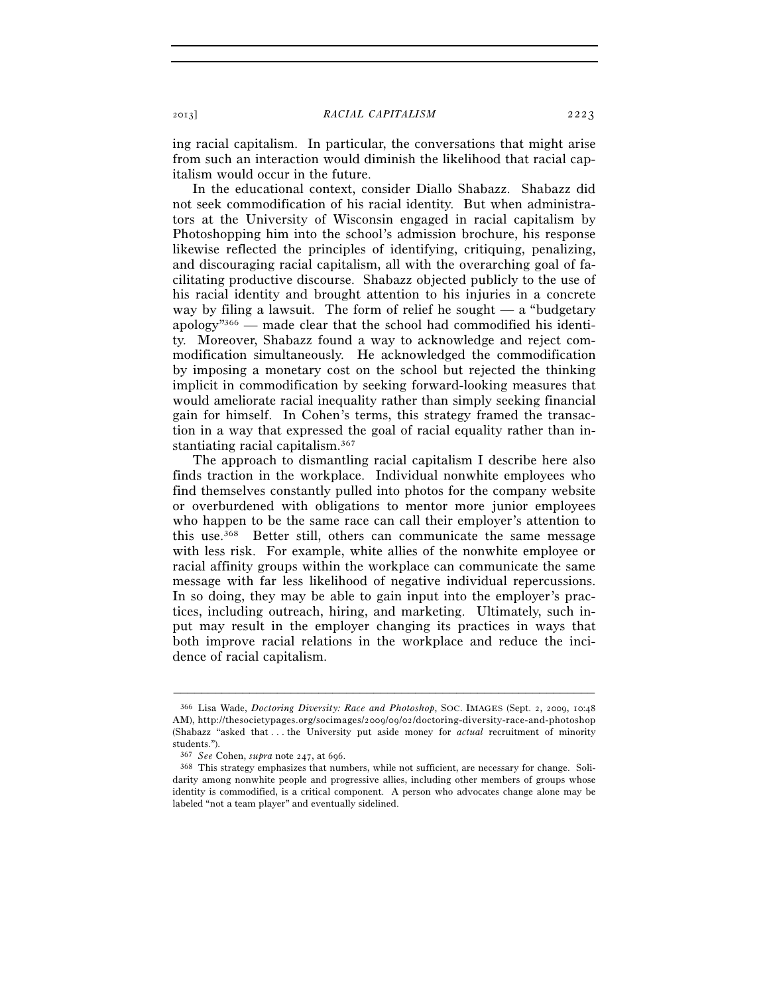ing racial capitalism. In particular, the conversations that might arise from such an interaction would diminish the likelihood that racial capitalism would occur in the future.

In the educational context, consider Diallo Shabazz. Shabazz did not seek commodification of his racial identity. But when administrators at the University of Wisconsin engaged in racial capitalism by Photoshopping him into the school's admission brochure, his response likewise reflected the principles of identifying, critiquing, penalizing, and discouraging racial capitalism, all with the overarching goal of facilitating productive discourse. Shabazz objected publicly to the use of his racial identity and brought attention to his injuries in a concrete way by filing a lawsuit. The form of relief he sought  $-$  a "budgetary" apology<sup>"366</sup> — made clear that the school had commodified his identity. Moreover, Shabazz found a way to acknowledge and reject commodification simultaneously. He acknowledged the commodification by imposing a monetary cost on the school but rejected the thinking implicit in commodification by seeking forward-looking measures that would ameliorate racial inequality rather than simply seeking financial gain for himself. In Cohen's terms, this strategy framed the transaction in a way that expressed the goal of racial equality rather than instantiating racial capitalism.367

The approach to dismantling racial capitalism I describe here also finds traction in the workplace. Individual nonwhite employees who find themselves constantly pulled into photos for the company website or overburdened with obligations to mentor more junior employees who happen to be the same race can call their employer's attention to this use.368 Better still, others can communicate the same message with less risk. For example, white allies of the nonwhite employee or racial affinity groups within the workplace can communicate the same message with far less likelihood of negative individual repercussions. In so doing, they may be able to gain input into the employer's practices, including outreach, hiring, and marketing. Ultimately, such input may result in the employer changing its practices in ways that both improve racial relations in the workplace and reduce the incidence of racial capitalism.

–––––––––––––––––––––––––––––––––––––––––––––––––––––––––––––

<sup>366</sup> Lisa Wade, *Doctoring Diversity: Race and Photoshop*, SOC. IMAGES (Sept. 2, 2009, 10:48 AM), http://thesocietypages.org/socimages/2009/09/02/doctoring-diversity-race-and-photoshop (Shabazz "asked that . . . the University put aside money for *actual* recruitment of minority students.").

<sup>367</sup> *See* Cohen, *supra* note 247, at 696. 368 This strategy emphasizes that numbers, while not sufficient, are necessary for change. Solidarity among nonwhite people and progressive allies, including other members of groups whose identity is commodified, is a critical component. A person who advocates change alone may be labeled "not a team player" and eventually sidelined.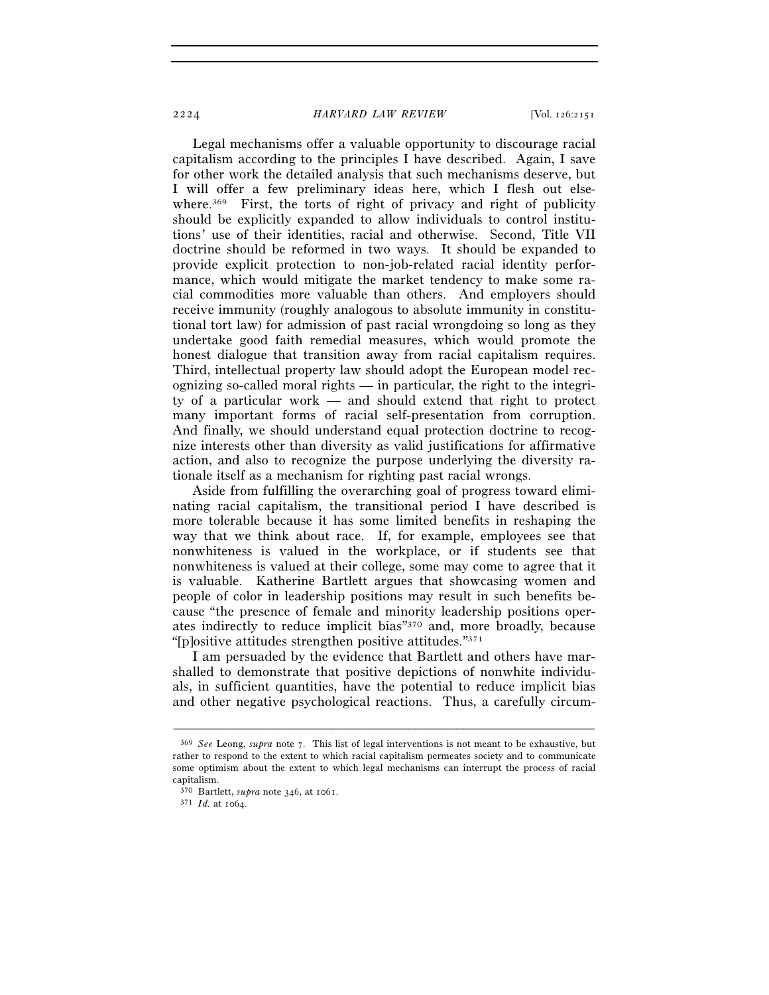2224 *HARVARD LAW REVIEW* [Vol. 126:2151

Legal mechanisms offer a valuable opportunity to discourage racial capitalism according to the principles I have described. Again, I save for other work the detailed analysis that such mechanisms deserve, but I will offer a few preliminary ideas here, which I flesh out elsewhere.<sup>369</sup> First, the torts of right of privacy and right of publicity should be explicitly expanded to allow individuals to control institutions' use of their identities, racial and otherwise. Second, Title VII doctrine should be reformed in two ways. It should be expanded to provide explicit protection to non-job-related racial identity performance, which would mitigate the market tendency to make some racial commodities more valuable than others. And employers should receive immunity (roughly analogous to absolute immunity in constitutional tort law) for admission of past racial wrongdoing so long as they undertake good faith remedial measures, which would promote the honest dialogue that transition away from racial capitalism requires. Third, intellectual property law should adopt the European model recognizing so-called moral rights — in particular, the right to the integrity of a particular work — and should extend that right to protect many important forms of racial self-presentation from corruption. And finally, we should understand equal protection doctrine to recognize interests other than diversity as valid justifications for affirmative action, and also to recognize the purpose underlying the diversity rationale itself as a mechanism for righting past racial wrongs.

Aside from fulfilling the overarching goal of progress toward eliminating racial capitalism, the transitional period I have described is more tolerable because it has some limited benefits in reshaping the way that we think about race. If, for example, employees see that nonwhiteness is valued in the workplace, or if students see that nonwhiteness is valued at their college, some may come to agree that it is valuable. Katherine Bartlett argues that showcasing women and people of color in leadership positions may result in such benefits because "the presence of female and minority leadership positions operates indirectly to reduce implicit bias"370 and, more broadly, because "[p]ositive attitudes strengthen positive attitudes."371

I am persuaded by the evidence that Bartlett and others have marshalled to demonstrate that positive depictions of nonwhite individuals, in sufficient quantities, have the potential to reduce implicit bias and other negative psychological reactions. Thus, a carefully circum-

–––––––––––––––––––––––––––––––––––––––––––––––––––––––––––––

<sup>369</sup> *See* Leong, *supra* note 7. This list of legal interventions is not meant to be exhaustive, but rather to respond to the extent to which racial capitalism permeates society and to communicate some optimism about the extent to which legal mechanisms can interrupt the process of racial capitalism.

<sup>370</sup> Bartlett, *supra* note 346, at 1061. 371 *Id.* at 1064.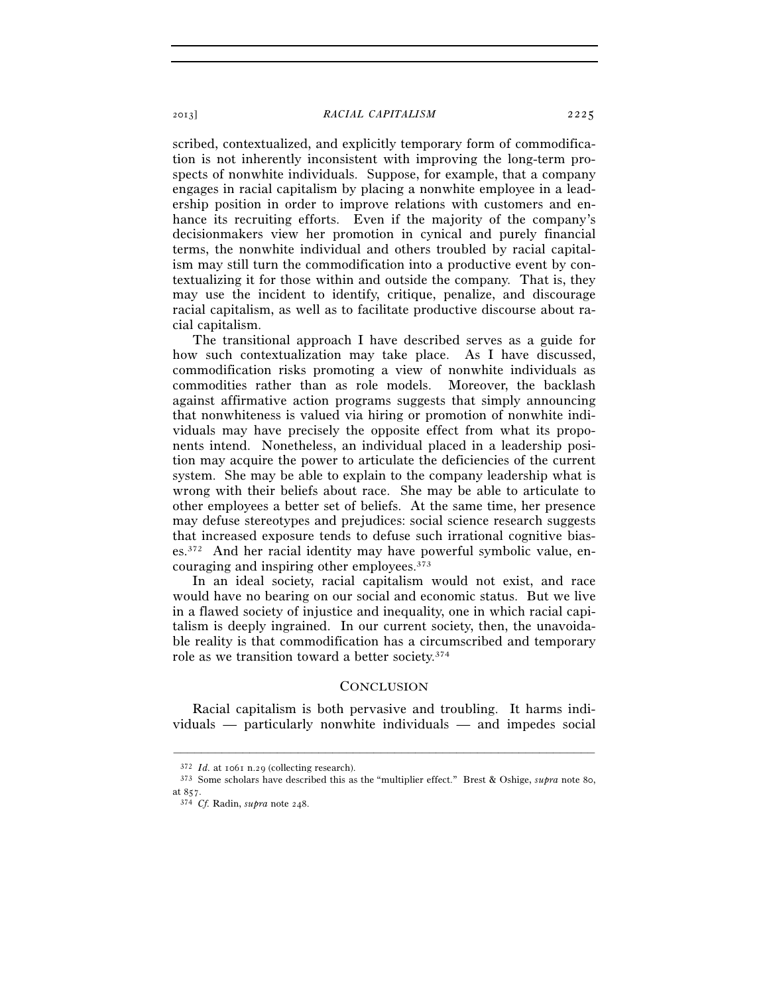## 2013] *RACIAL CAPITALISM* 2225

scribed, contextualized, and explicitly temporary form of commodification is not inherently inconsistent with improving the long-term prospects of nonwhite individuals. Suppose, for example, that a company engages in racial capitalism by placing a nonwhite employee in a leadership position in order to improve relations with customers and enhance its recruiting efforts. Even if the majority of the company's decisionmakers view her promotion in cynical and purely financial terms, the nonwhite individual and others troubled by racial capitalism may still turn the commodification into a productive event by contextualizing it for those within and outside the company. That is, they may use the incident to identify, critique, penalize, and discourage racial capitalism, as well as to facilitate productive discourse about racial capitalism.

The transitional approach I have described serves as a guide for how such contextualization may take place. As I have discussed, commodification risks promoting a view of nonwhite individuals as commodities rather than as role models. Moreover, the backlash against affirmative action programs suggests that simply announcing that nonwhiteness is valued via hiring or promotion of nonwhite individuals may have precisely the opposite effect from what its proponents intend. Nonetheless, an individual placed in a leadership position may acquire the power to articulate the deficiencies of the current system. She may be able to explain to the company leadership what is wrong with their beliefs about race. She may be able to articulate to other employees a better set of beliefs. At the same time, her presence may defuse stereotypes and prejudices: social science research suggests that increased exposure tends to defuse such irrational cognitive biases.372 And her racial identity may have powerful symbolic value, encouraging and inspiring other employees.373

In an ideal society, racial capitalism would not exist, and race would have no bearing on our social and economic status. But we live in a flawed society of injustice and inequality, one in which racial capitalism is deeply ingrained. In our current society, then, the unavoidable reality is that commodification has a circumscribed and temporary role as we transition toward a better society.374

## **CONCLUSION**

Racial capitalism is both pervasive and troubling. It harms individuals — particularly nonwhite individuals — and impedes social

–––––––––––––––––––––––––––––––––––––––––––––––––––––––––––––

<sup>372</sup> *Id.* at 1061 n.29 (collecting research). 373 Some scholars have described this as the "multiplier effect." Brest & Oshige, *supra* note 80, at 857. 374 *Cf.* Radin, *supra* note 248.